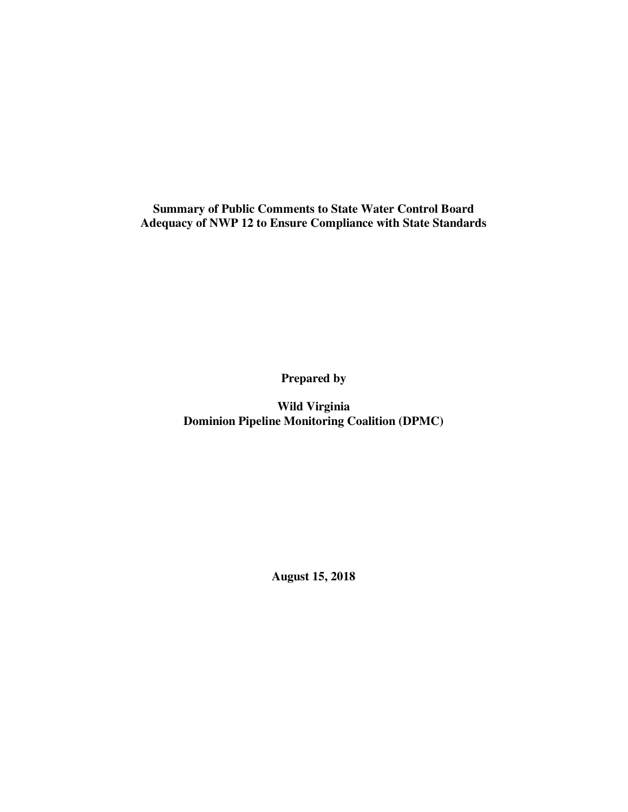**Summary of Public Comments to State Water Control Board Adequacy of NWP 12 to Ensure Compliance with State Standards** 

**Prepared by** 

**Wild Virginia Dominion Pipeline Monitoring Coalition (DPMC)** 

**August 15, 2018**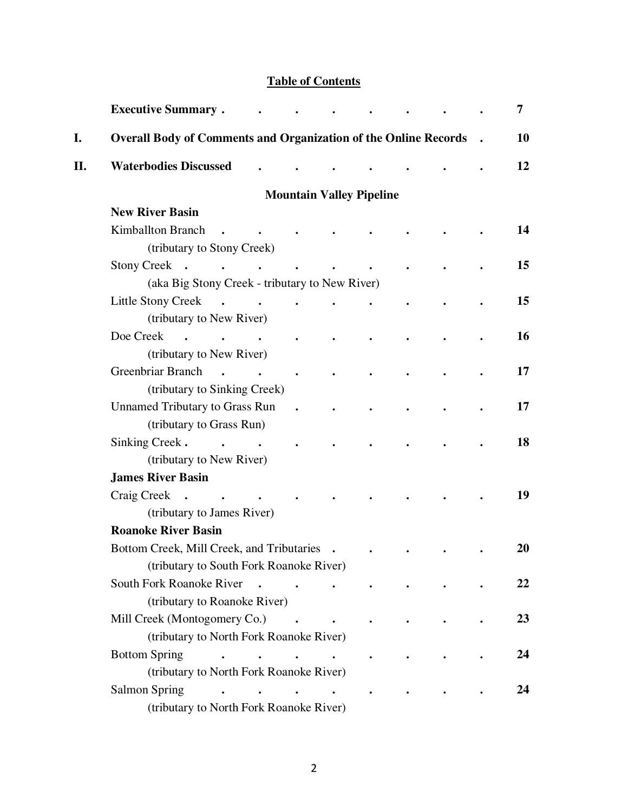### **Table of Contents**

|     | <b>Executive Summary.</b>                                                |                                            |                      |                                                    |           |  | 7  |
|-----|--------------------------------------------------------------------------|--------------------------------------------|----------------------|----------------------------------------------------|-----------|--|----|
| I.  | <b>Overall Body of Comments and Organization of the Online Records</b> . |                                            |                      |                                                    |           |  | 10 |
| II. | <b>Waterbodies Discussed</b>                                             |                                            |                      |                                                    |           |  | 12 |
|     |                                                                          |                                            |                      | <b>Mountain Valley Pipeline</b>                    |           |  |    |
|     | <b>New River Basin</b>                                                   |                                            |                      |                                                    |           |  |    |
|     | Kimballton Branch<br>$\ddot{\phantom{0}}$                                | <b>Contract Contract Contract Contract</b> |                      |                                                    |           |  | 14 |
|     | (tributary to Stony Creek)                                               |                                            |                      |                                                    |           |  |    |
|     | Stony Creek                                                              |                                            |                      |                                                    |           |  | 15 |
|     | (aka Big Stony Creek - tributary to New River)                           |                                            |                      |                                                    |           |  |    |
|     | Little Stony Creek<br>$\ddot{\phantom{0}}$                               |                                            | $\bullet$            |                                                    |           |  | 15 |
|     | (tributary to New River)                                                 |                                            |                      |                                                    |           |  |    |
|     | Doe Creek<br><b>Contract Contract Street</b>                             | $\sim$                                     |                      |                                                    |           |  | 16 |
|     | (tributary to New River)                                                 |                                            |                      |                                                    |           |  |    |
|     | Greenbriar Branch<br>$\sim$                                              |                                            |                      |                                                    |           |  | 17 |
|     | (tributary to Sinking Creek)                                             |                                            |                      |                                                    |           |  |    |
|     | <b>Unnamed Tributary to Grass Run</b>                                    |                                            | $\ddot{\phantom{a}}$ |                                                    |           |  | 17 |
|     | (tributary to Grass Run)                                                 |                                            |                      |                                                    |           |  |    |
|     | Sinking Creek.<br>$\mathbf{r}$ , and $\mathbf{r}$                        |                                            |                      |                                                    |           |  | 18 |
|     | (tributary to New River)                                                 |                                            |                      |                                                    |           |  |    |
|     | <b>James River Basin</b>                                                 |                                            |                      |                                                    |           |  |    |
|     | Craig Creek .                                                            |                                            |                      |                                                    |           |  | 19 |
|     | (tributary to James River)                                               |                                            |                      |                                                    |           |  |    |
|     | <b>Roanoke River Basin</b>                                               |                                            |                      |                                                    |           |  |    |
|     | Bottom Creek, Mill Creek, and Tributaries .                              |                                            |                      |                                                    |           |  | 20 |
|     | (tributary to South Fork Roanoke River)                                  |                                            |                      |                                                    |           |  |    |
|     | South Fork Roanoke River                                                 | $\ddot{\phantom{a}}$                       |                      | $\bullet$                                          |           |  | 22 |
|     | (tributary to Roanoke River)                                             |                                            |                      |                                                    |           |  |    |
|     | Mill Creek (Montogomery Co.)                                             |                                            |                      |                                                    |           |  | 23 |
|     | (tributary to North Fork Roanoke River)                                  |                                            |                      |                                                    |           |  |    |
|     | <b>Bottom Spring</b><br>$\ddot{\phantom{a}}$                             |                                            | $\ddot{\phantom{a}}$ | <b><i>Committee States</i></b>                     | $\bullet$ |  | 24 |
|     | (tributary to North Fork Roanoke River)                                  |                                            |                      |                                                    |           |  |    |
|     | <b>Salmon Spring</b>                                                     |                                            |                      | $\bullet$ . The set of $\mathcal{O}(\mathbb{R}^d)$ |           |  | 24 |
|     | (tributary to North Fork Roanoke River)                                  |                                            |                      |                                                    |           |  |    |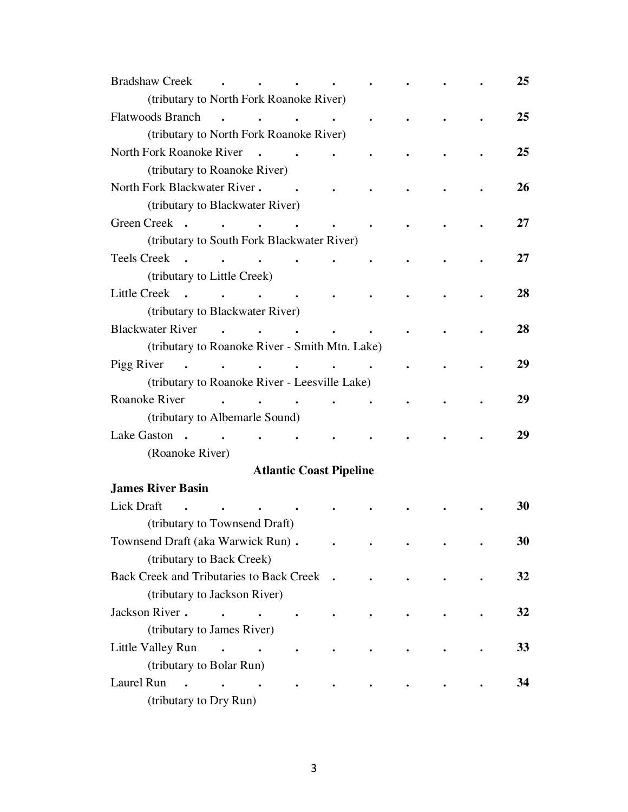| <b>Bradshaw Creek</b>                          | <b>Contract Contract Street</b>                    |           | $\bullet$ .                    |               |           |  | 25 |
|------------------------------------------------|----------------------------------------------------|-----------|--------------------------------|---------------|-----------|--|----|
| (tributary to North Fork Roanoke River)        |                                                    |           |                                |               |           |  |    |
| <b>Flatwoods Branch</b>                        | $\mathbf{r}$ , and $\mathbf{r}$ , and $\mathbf{r}$ |           |                                |               |           |  | 25 |
| (tributary to North Fork Roanoke River)        |                                                    |           |                                |               |           |  |    |
| North Fork Roanoke River                       |                                                    |           |                                |               |           |  | 25 |
| (tributary to Roanoke River)                   |                                                    |           |                                |               |           |  |    |
| North Fork Blackwater River.                   |                                                    |           | $\sim$                         |               |           |  | 26 |
| (tributary to Blackwater River)                |                                                    |           |                                |               |           |  |    |
| Green Creek                                    |                                                    |           |                                |               |           |  | 27 |
| (tributary to South Fork Blackwater River)     |                                                    |           |                                |               |           |  |    |
| Teels Creek .                                  |                                                    |           |                                |               |           |  | 27 |
| (tributary to Little Creek)                    |                                                    |           |                                |               |           |  |    |
| Little Creek                                   |                                                    |           |                                |               |           |  | 28 |
| (tributary to Blackwater River)                |                                                    |           |                                |               |           |  |    |
| <b>Blackwater River</b>                        | $\mathbf{r}$ , and $\mathbf{r}$                    |           |                                | $\sim$ $\sim$ |           |  | 28 |
| (tributary to Roanoke River - Smith Mtn. Lake) |                                                    |           |                                |               |           |  |    |
| Pigg River                                     |                                                    |           |                                |               |           |  | 29 |
| (tributary to Roanoke River - Leesville Lake)  |                                                    |           |                                |               |           |  |    |
| Roanoke River                                  | $\mathbf{r}$ , and $\mathbf{r}$ , and $\mathbf{r}$ |           |                                | $\bullet$     | $\bullet$ |  | 29 |
| (tributary to Albemarle Sound)                 |                                                    |           |                                |               |           |  |    |
|                                                |                                                    | $\bullet$ |                                |               |           |  | 29 |
| (Roanoke River)                                |                                                    |           |                                |               |           |  |    |
|                                                |                                                    |           | <b>Atlantic Coast Pipeline</b> |               |           |  |    |
| <b>James River Basin</b>                       |                                                    |           |                                |               |           |  |    |
| Lick Draft                                     |                                                    |           |                                |               |           |  | 30 |
| (tributary to Townsend Draft)                  |                                                    |           |                                |               |           |  |    |
| Townsend Draft (aka Warwick Run).              |                                                    |           |                                |               |           |  | 30 |
| (tributary to Back Creek)                      |                                                    |           |                                |               |           |  |    |
| Back Creek and Tributaries to Back Creek .     |                                                    |           |                                |               |           |  | 32 |
| (tributary to Jackson River)                   |                                                    |           |                                |               |           |  |    |
| Jackson River.<br>$\sim$                       | $\sim$ $\sim$                                      |           |                                |               |           |  | 32 |
| (tributary to James River)                     |                                                    |           |                                |               |           |  |    |
| Little Valley Run                              | $\mathbf{r}$ , $\mathbf{r}$                        |           |                                |               |           |  | 33 |
| (tributary to Bolar Run)                       |                                                    |           |                                |               |           |  |    |
| Laurel Run<br>$\sim$                           |                                                    |           |                                |               |           |  | 34 |
| (tributary to Dry Run)                         |                                                    |           |                                |               |           |  |    |
|                                                |                                                    |           |                                |               |           |  |    |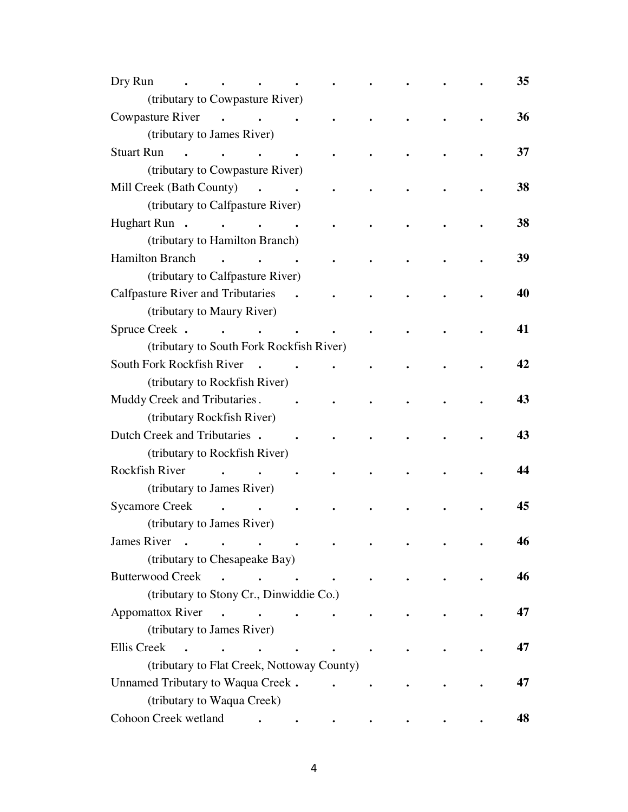| Dry Run<br><b>Contract Contract</b>                                                                                                                                                                                                                                                                                                                                                                                                                               |                      |                                 |  |  | 35 |
|-------------------------------------------------------------------------------------------------------------------------------------------------------------------------------------------------------------------------------------------------------------------------------------------------------------------------------------------------------------------------------------------------------------------------------------------------------------------|----------------------|---------------------------------|--|--|----|
| (tributary to Cowpasture River)                                                                                                                                                                                                                                                                                                                                                                                                                                   |                      |                                 |  |  |    |
| Cowpasture River                                                                                                                                                                                                                                                                                                                                                                                                                                                  |                      |                                 |  |  | 36 |
| (tributary to James River)                                                                                                                                                                                                                                                                                                                                                                                                                                        |                      |                                 |  |  |    |
| <b>Stuart Run</b><br>$\mathbf{r}$ , and $\mathbf{r}$ , and $\mathbf{r}$                                                                                                                                                                                                                                                                                                                                                                                           |                      |                                 |  |  | 37 |
| (tributary to Cowpasture River)                                                                                                                                                                                                                                                                                                                                                                                                                                   |                      |                                 |  |  |    |
| Mill Creek (Bath County)<br>$\mathbf{r}$ . The set of $\mathbf{r}$                                                                                                                                                                                                                                                                                                                                                                                                |                      |                                 |  |  | 38 |
| (tributary to Calfpasture River)                                                                                                                                                                                                                                                                                                                                                                                                                                  |                      |                                 |  |  |    |
| Hughart Run. I.                                                                                                                                                                                                                                                                                                                                                                                                                                                   |                      |                                 |  |  | 38 |
| (tributary to Hamilton Branch)                                                                                                                                                                                                                                                                                                                                                                                                                                    |                      |                                 |  |  |    |
| <b>Hamilton Branch</b>                                                                                                                                                                                                                                                                                                                                                                                                                                            | $\bullet$            |                                 |  |  | 39 |
| (tributary to Calfpasture River)                                                                                                                                                                                                                                                                                                                                                                                                                                  |                      |                                 |  |  |    |
| <b>Calfpasture River and Tributaries</b>                                                                                                                                                                                                                                                                                                                                                                                                                          | $\ddot{\phantom{a}}$ |                                 |  |  | 40 |
| (tributary to Maury River)                                                                                                                                                                                                                                                                                                                                                                                                                                        |                      |                                 |  |  |    |
| Spruce Creek.<br>and the state of the state of the                                                                                                                                                                                                                                                                                                                                                                                                                | $\sim$               |                                 |  |  | 41 |
| (tributary to South Fork Rockfish River)                                                                                                                                                                                                                                                                                                                                                                                                                          |                      |                                 |  |  |    |
| South Fork Rockfish River<br>$\sim$                                                                                                                                                                                                                                                                                                                                                                                                                               |                      |                                 |  |  | 42 |
| (tributary to Rockfish River)                                                                                                                                                                                                                                                                                                                                                                                                                                     |                      |                                 |  |  |    |
| Muddy Creek and Tributaries.                                                                                                                                                                                                                                                                                                                                                                                                                                      | $\ddot{\phantom{1}}$ |                                 |  |  | 43 |
| (tributary Rockfish River)                                                                                                                                                                                                                                                                                                                                                                                                                                        |                      |                                 |  |  |    |
| Dutch Creek and Tributaries .                                                                                                                                                                                                                                                                                                                                                                                                                                     |                      |                                 |  |  | 43 |
| (tributary to Rockfish River)                                                                                                                                                                                                                                                                                                                                                                                                                                     |                      |                                 |  |  |    |
| <b>Rockfish River</b>                                                                                                                                                                                                                                                                                                                                                                                                                                             |                      |                                 |  |  | 44 |
| (tributary to James River)                                                                                                                                                                                                                                                                                                                                                                                                                                        |                      |                                 |  |  |    |
| Sycamore Creek .                                                                                                                                                                                                                                                                                                                                                                                                                                                  |                      |                                 |  |  | 45 |
| (tributary to James River)                                                                                                                                                                                                                                                                                                                                                                                                                                        |                      |                                 |  |  |    |
| James River<br>$\mathcal{L}(\mathbf{r})$ , and $\mathcal{L}(\mathbf{r})$ , and $\mathcal{L}(\mathbf{r})$                                                                                                                                                                                                                                                                                                                                                          |                      |                                 |  |  | 46 |
| (tributary to Chesapeake Bay)                                                                                                                                                                                                                                                                                                                                                                                                                                     |                      |                                 |  |  |    |
| <b>Butterwood Creek</b><br>$\sim$<br>$\mathbf{r} = \mathbf{r} + \mathbf{r} + \mathbf{r} + \mathbf{r} + \mathbf{r} + \mathbf{r} + \mathbf{r} + \mathbf{r} + \mathbf{r} + \mathbf{r} + \mathbf{r} + \mathbf{r} + \mathbf{r} + \mathbf{r} + \mathbf{r} + \mathbf{r} + \mathbf{r} + \mathbf{r} + \mathbf{r} + \mathbf{r} + \mathbf{r} + \mathbf{r} + \mathbf{r} + \mathbf{r} + \mathbf{r} + \mathbf{r} + \mathbf{r} + \mathbf{r} + \mathbf{r} + \mathbf{r} + \mathbf$ |                      |                                 |  |  | 46 |
| (tributary to Stony Cr., Dinwiddie Co.)                                                                                                                                                                                                                                                                                                                                                                                                                           |                      |                                 |  |  |    |
| <b>Appomattox River</b><br>$\mathbf{r}$ , $\mathbf{r}$ , $\mathbf{r}$ , $\mathbf{r}$                                                                                                                                                                                                                                                                                                                                                                              |                      |                                 |  |  | 47 |
| (tributary to James River)                                                                                                                                                                                                                                                                                                                                                                                                                                        |                      |                                 |  |  |    |
| <b>Ellis</b> Creek<br>$\mathbf{r}$ , $\mathbf{r}$ , $\mathbf{r}$                                                                                                                                                                                                                                                                                                                                                                                                  |                      | $\mathbf{r}$ , and $\mathbf{r}$ |  |  | 47 |
| (tributary to Flat Creek, Nottoway County)                                                                                                                                                                                                                                                                                                                                                                                                                        |                      |                                 |  |  |    |
| Unnamed Tributary to Waqua Creek.                                                                                                                                                                                                                                                                                                                                                                                                                                 |                      |                                 |  |  | 47 |
| (tributary to Waqua Creek)                                                                                                                                                                                                                                                                                                                                                                                                                                        |                      |                                 |  |  |    |
| Cohoon Creek wetland                                                                                                                                                                                                                                                                                                                                                                                                                                              |                      |                                 |  |  | 48 |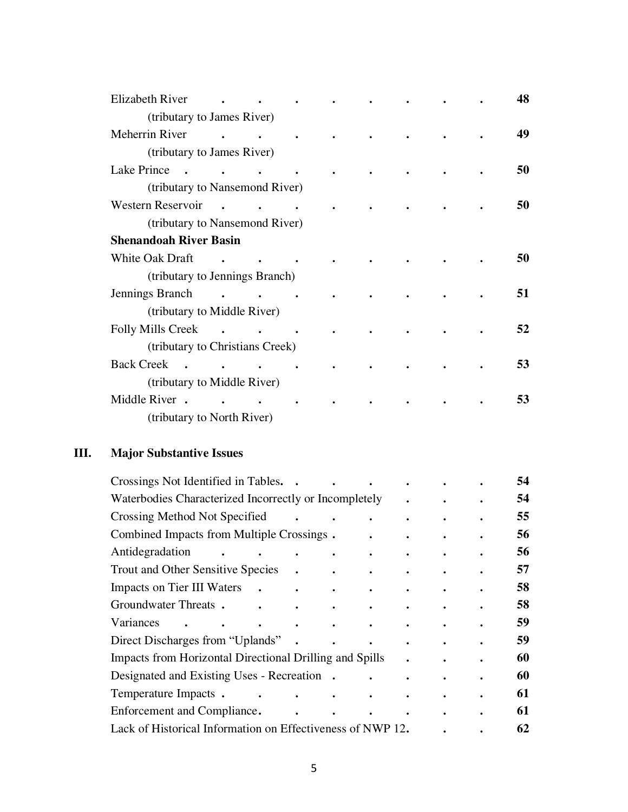| Elizabeth River                 |                      |  |  |  | 48 |
|---------------------------------|----------------------|--|--|--|----|
| (tributary to James River)      |                      |  |  |  |    |
| Meherrin River                  |                      |  |  |  | 49 |
| (tributary to James River)      |                      |  |  |  |    |
| Lake Prince<br>$\sim$           |                      |  |  |  | 50 |
| (tributary to Nansemond River)  |                      |  |  |  |    |
| Western Reservoir               |                      |  |  |  | 50 |
| (tributary to Nansemond River)  |                      |  |  |  |    |
| <b>Shenandoah River Basin</b>   |                      |  |  |  |    |
| White Oak Draft                 |                      |  |  |  | 50 |
| (tributary to Jennings Branch)  |                      |  |  |  |    |
| Jennings Branch                 | $\sim$ $\sim$ $\sim$ |  |  |  | 51 |
| (tributary to Middle River)     |                      |  |  |  |    |
| <b>Folly Mills Creek</b>        | $\sim$               |  |  |  | 52 |
| (tributary to Christians Creek) |                      |  |  |  |    |
| <b>Back Creek</b><br>$\sim$     | $\ddot{\phantom{a}}$ |  |  |  | 53 |
| (tributary to Middle River)     |                      |  |  |  |    |
| Middle River.                   |                      |  |  |  | 53 |
| (tributary to North River)      |                      |  |  |  |    |
|                                 |                      |  |  |  |    |

## **III. Major Substantive Issues**

| Crossings Not Identified in Tables. .                           |           |  |  | 54 |
|-----------------------------------------------------------------|-----------|--|--|----|
| Waterbodies Characterized Incorrectly or Incompletely           |           |  |  | 54 |
| Crossing Method Not Specified                                   |           |  |  | 55 |
| Combined Impacts from Multiple Crossings.                       |           |  |  | 56 |
| Antidegradation                                                 |           |  |  | 56 |
| <b>Trout and Other Sensitive Species</b>                        |           |  |  | 57 |
| Impacts on Tier III Waters<br>$\ddot{\phantom{1}}$<br>$\bullet$ | $\bullet$ |  |  | 58 |
| Groundwater Threats.                                            |           |  |  | 58 |
| Variances                                                       |           |  |  | 59 |
| Direct Discharges from "Uplands"                                |           |  |  | 59 |
| <b>Impacts from Horizontal Directional Drilling and Spills</b>  |           |  |  | 60 |
| Designated and Existing Uses - Recreation.                      |           |  |  | 60 |
| Temperature Impacts.<br>$\bullet$                               |           |  |  | 61 |
| Enforcement and Compliance.                                     |           |  |  | 61 |
| Lack of Historical Information on Effectiveness of NWP 12.      |           |  |  | 62 |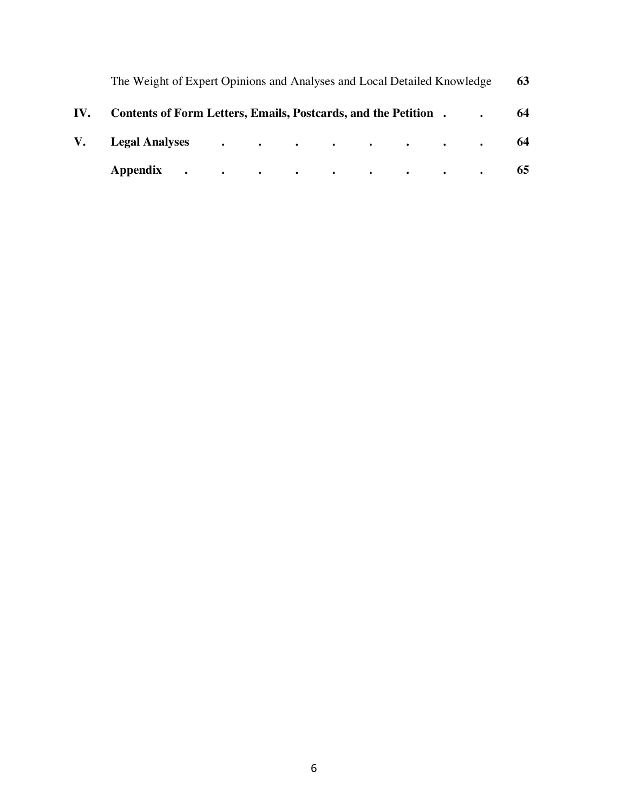| The Weight of Expert Opinions and Analyses and Local Detailed Knowledge |  |  |  |  | 63 |
|-------------------------------------------------------------------------|--|--|--|--|----|
| IV. Contents of Form Letters, Emails, Postcards, and the Petition.      |  |  |  |  | 64 |
| V. Legal Analyses 64                                                    |  |  |  |  |    |
| Appendix 65                                                             |  |  |  |  |    |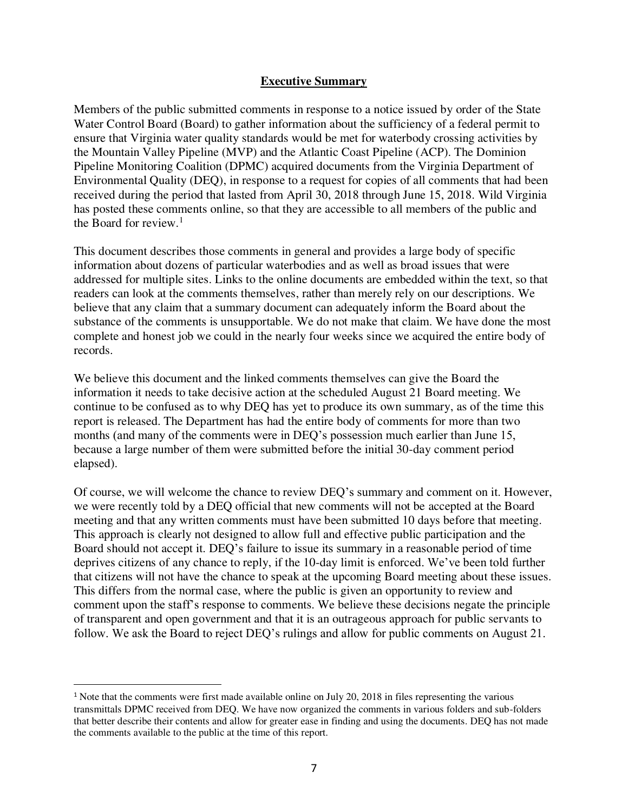#### **Executive Summary**

Members of the public submitted comments in response to a notice issued by order of the State Water Control Board (Board) to gather information about the sufficiency of a federal permit to ensure that Virginia water quality standards would be met for waterbody crossing activities by the Mountain Valley Pipeline (MVP) and the Atlantic Coast Pipeline (ACP). The Dominion Pipeline Monitoring Coalition (DPMC) acquired documents from the Virginia Department of Environmental Quality (DEQ), in response to a request for copies of all comments that had been received during the period that lasted from April 30, 2018 through June 15, 2018. Wild Virginia has posted these comments online, so that they are accessible to all members of the public and the Board for review.<sup>1</sup>

This document describes those comments in general and provides a large body of specific information about dozens of particular waterbodies and as well as broad issues that were addressed for multiple sites. Links to the online documents are embedded within the text, so that readers can look at the comments themselves, rather than merely rely on our descriptions. We believe that any claim that a summary document can adequately inform the Board about the substance of the comments is unsupportable. We do not make that claim. We have done the most complete and honest job we could in the nearly four weeks since we acquired the entire body of records.

We believe this document and the linked comments themselves can give the Board the information it needs to take decisive action at the scheduled August 21 Board meeting. We continue to be confused as to why DEQ has yet to produce its own summary, as of the time this report is released. The Department has had the entire body of comments for more than two months (and many of the comments were in DEQ's possession much earlier than June 15, because a large number of them were submitted before the initial 30-day comment period elapsed).

Of course, we will welcome the chance to review DEQ's summary and comment on it. However, we were recently told by a DEQ official that new comments will not be accepted at the Board meeting and that any written comments must have been submitted 10 days before that meeting. This approach is clearly not designed to allow full and effective public participation and the Board should not accept it. DEQ's failure to issue its summary in a reasonable period of time deprives citizens of any chance to reply, if the 10-day limit is enforced. We've been told further that citizens will not have the chance to speak at the upcoming Board meeting about these issues. This differs from the normal case, where the public is given an opportunity to review and comment upon the staff's response to comments. We believe these decisions negate the principle of transparent and open government and that it is an outrageous approach for public servants to follow. We ask the Board to reject DEQ's rulings and allow for public comments on August 21.

 $\overline{a}$ 

<sup>1</sup> Note that the comments were first made available online on July 20, 2018 in files representing the various transmittals DPMC received from DEQ. We have now organized the comments in various folders and sub-folders that better describe their contents and allow for greater ease in finding and using the documents. DEQ has not made the comments available to the public at the time of this report.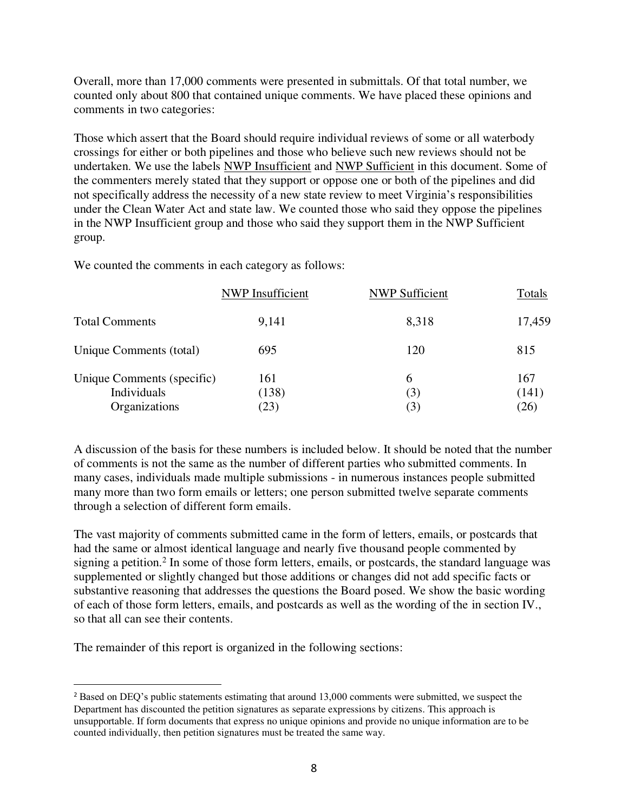Overall, more than 17,000 comments were presented in submittals. Of that total number, we counted only about 800 that contained unique comments. We have placed these opinions and comments in two categories:

Those which assert that the Board should require individual reviews of some or all waterbody crossings for either or both pipelines and those who believe such new reviews should not be undertaken. We use the labels NWP Insufficient and NWP Sufficient in this document. Some of the commenters merely stated that they support or oppose one or both of the pipelines and did not specifically address the necessity of a new state review to meet Virginia's responsibilities under the Clean Water Act and state law. We counted those who said they oppose the pipelines in the NWP Insufficient group and those who said they support them in the NWP Sufficient group.

We counted the comments in each category as follows:

|                            | NWP Insufficient | <b>NWP Sufficient</b> | Totals |
|----------------------------|------------------|-----------------------|--------|
| <b>Total Comments</b>      | 9,141            | 8,318                 | 17,459 |
| Unique Comments (total)    | 695              | 120                   | 815    |
| Unique Comments (specific) | 161              | 6                     | 167    |
| Individuals                | (138)            | (3)                   | (141)  |
| Organizations              | (23)             | (3)                   | (26)   |

A discussion of the basis for these numbers is included below. It should be noted that the number of comments is not the same as the number of different parties who submitted comments. In many cases, individuals made multiple submissions - in numerous instances people submitted many more than two form emails or letters; one person submitted twelve separate comments through a selection of different form emails.

The vast majority of comments submitted came in the form of letters, emails, or postcards that had the same or almost identical language and nearly five thousand people commented by signing a petition.<sup>2</sup> In some of those form letters, emails, or postcards, the standard language was supplemented or slightly changed but those additions or changes did not add specific facts or substantive reasoning that addresses the questions the Board posed. We show the basic wording of each of those form letters, emails, and postcards as well as the wording of the in section IV., so that all can see their contents.

The remainder of this report is organized in the following sections:

 $\overline{a}$ 

<sup>2</sup> Based on DEQ's public statements estimating that around 13,000 comments were submitted, we suspect the Department has discounted the petition signatures as separate expressions by citizens. This approach is unsupportable. If form documents that express no unique opinions and provide no unique information are to be counted individually, then petition signatures must be treated the same way.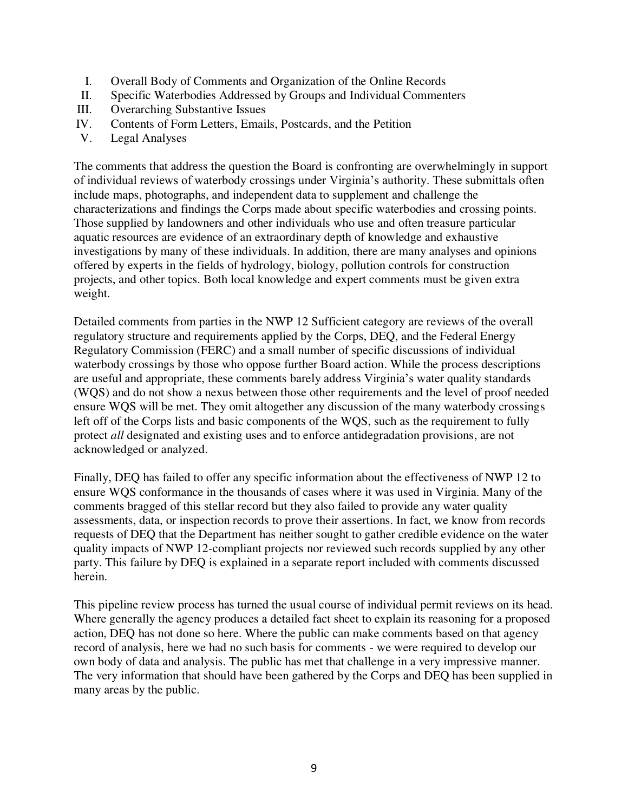- I. Overall Body of Comments and Organization of the Online Records
- II. Specific Waterbodies Addressed by Groups and Individual Commenters
- III. Overarching Substantive Issues
- IV. Contents of Form Letters, Emails, Postcards, and the Petition
- V. Legal Analyses

The comments that address the question the Board is confronting are overwhelmingly in support of individual reviews of waterbody crossings under Virginia's authority. These submittals often include maps, photographs, and independent data to supplement and challenge the characterizations and findings the Corps made about specific waterbodies and crossing points. Those supplied by landowners and other individuals who use and often treasure particular aquatic resources are evidence of an extraordinary depth of knowledge and exhaustive investigations by many of these individuals. In addition, there are many analyses and opinions offered by experts in the fields of hydrology, biology, pollution controls for construction projects, and other topics. Both local knowledge and expert comments must be given extra weight.

Detailed comments from parties in the NWP 12 Sufficient category are reviews of the overall regulatory structure and requirements applied by the Corps, DEQ, and the Federal Energy Regulatory Commission (FERC) and a small number of specific discussions of individual waterbody crossings by those who oppose further Board action. While the process descriptions are useful and appropriate, these comments barely address Virginia's water quality standards (WQS) and do not show a nexus between those other requirements and the level of proof needed ensure WQS will be met. They omit altogether any discussion of the many waterbody crossings left off of the Corps lists and basic components of the WQS, such as the requirement to fully protect *all* designated and existing uses and to enforce antidegradation provisions, are not acknowledged or analyzed.

Finally, DEQ has failed to offer any specific information about the effectiveness of NWP 12 to ensure WQS conformance in the thousands of cases where it was used in Virginia. Many of the comments bragged of this stellar record but they also failed to provide any water quality assessments, data, or inspection records to prove their assertions. In fact, we know from records requests of DEQ that the Department has neither sought to gather credible evidence on the water quality impacts of NWP 12-compliant projects nor reviewed such records supplied by any other party. This failure by DEQ is explained in a separate report included with comments discussed herein.

This pipeline review process has turned the usual course of individual permit reviews on its head. Where generally the agency produces a detailed fact sheet to explain its reasoning for a proposed action, DEQ has not done so here. Where the public can make comments based on that agency record of analysis, here we had no such basis for comments - we were required to develop our own body of data and analysis. The public has met that challenge in a very impressive manner. The very information that should have been gathered by the Corps and DEQ has been supplied in many areas by the public.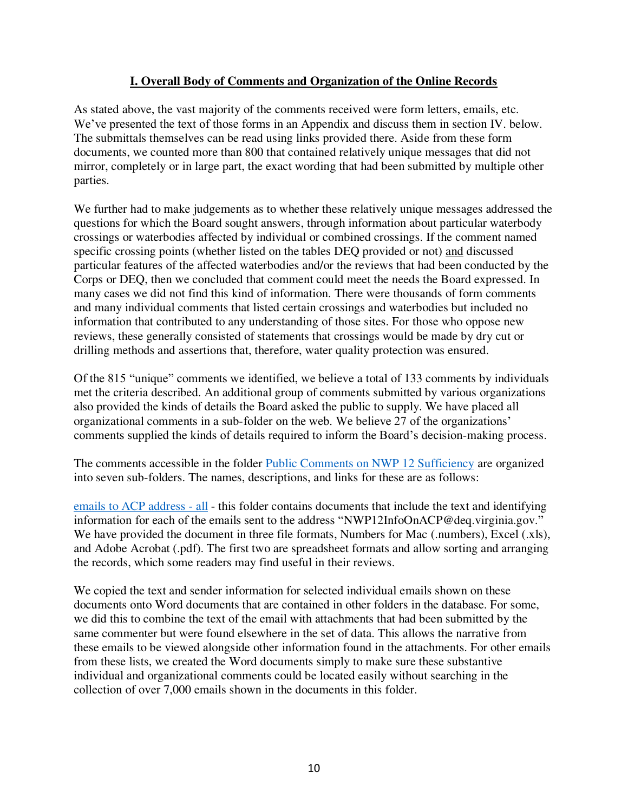### **I. Overall Body of Comments and Organization of the Online Records**

As stated above, the vast majority of the comments received were form letters, emails, etc. We've presented the text of those forms in an Appendix and discuss them in section IV. below. The submittals themselves can be read using links provided there. Aside from these form documents, we counted more than 800 that contained relatively unique messages that did not mirror, completely or in large part, the exact wording that had been submitted by multiple other parties.

We further had to make judgements as to whether these relatively unique messages addressed the questions for which the Board sought answers, through information about particular waterbody crossings or waterbodies affected by individual or combined crossings. If the comment named specific crossing points (whether listed on the tables DEQ provided or not) and discussed particular features of the affected waterbodies and/or the reviews that had been conducted by the Corps or DEQ, then we concluded that comment could meet the needs the Board expressed. In many cases we did not find this kind of information. There were thousands of form comments and many individual comments that listed certain crossings and waterbodies but included no information that contributed to any understanding of those sites. For those who oppose new reviews, these generally consisted of statements that crossings would be made by dry cut or drilling methods and assertions that, therefore, water quality protection was ensured.

Of the 815 "unique" comments we identified, we believe a total of 133 comments by individuals met the criteria described. An additional group of comments submitted by various organizations also provided the kinds of details the Board asked the public to supply. We have placed all organizational comments in a sub-folder on the web. We believe 27 of the organizations' comments supplied the kinds of details required to inform the Board's decision-making process.

The comments accessible in the folder [Public Comments on NWP 12 Sufficiency](https://drive.google.com/drive/folders/1Z9oownA1E95k6NHCS_cGN-zS8nz6QerU) are organized into seven sub-folders. The names, descriptions, and links for these are as follows:

[emails to ACP address - all](https://drive.google.com/drive/folders/1QPZs6wkD1z1WtUdwi_auc79OirhsTBfl) - this folder contains documents that include the text and identifying information for each of the emails sent to the address "NWP12InfoOnACP@deq.virginia.gov." We have provided the document in three file formats, Numbers for Mac (.numbers), Excel (.xls), and Adobe Acrobat (.pdf). The first two are spreadsheet formats and allow sorting and arranging the records, which some readers may find useful in their reviews.

We copied the text and sender information for selected individual emails shown on these documents onto Word documents that are contained in other folders in the database. For some, we did this to combine the text of the email with attachments that had been submitted by the same commenter but were found elsewhere in the set of data. This allows the narrative from these emails to be viewed alongside other information found in the attachments. For other emails from these lists, we created the Word documents simply to make sure these substantive individual and organizational comments could be located easily without searching in the collection of over 7,000 emails shown in the documents in this folder.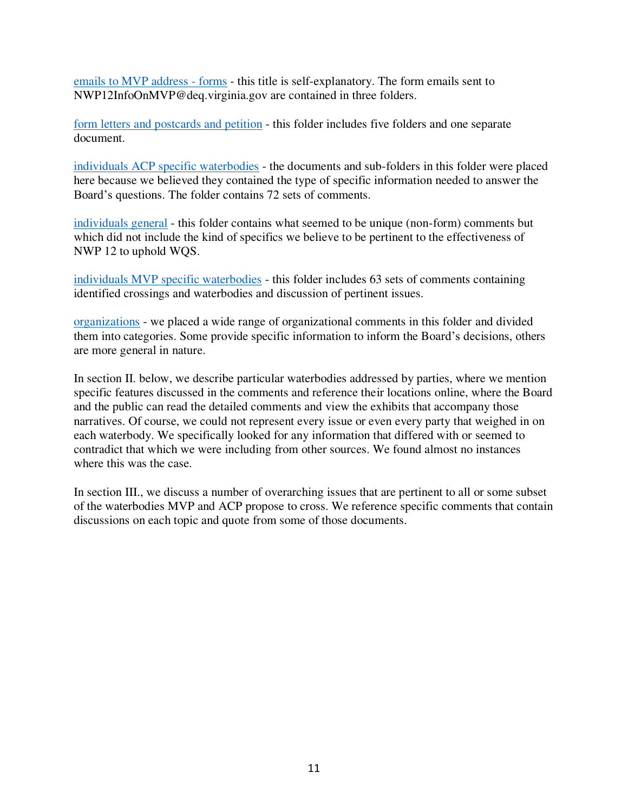[emails to MVP address - forms](https://drive.google.com/drive/folders/1AVN0iqv_zrc0ZLkyNTU0JXOj20bZ_VxS) - this title is self-explanatory. The form emails sent to NWP12InfoOnMVP@deq.virginia.gov are contained in three folders.

[form letters and postcards and petition](https://drive.google.com/drive/folders/1VGpSdSd5ZTuliumuyyswMMcRoAuVStyq) - this folder includes five folders and one separate document.

[individuals ACP specific waterbodies](https://drive.google.com/drive/folders/1kxxmTD79WtwY0BXLyzcpWQWmatDcXZxu) - the documents and sub-folders in this folder were placed here because we believed they contained the type of specific information needed to answer the Board's questions. The folder contains 72 sets of comments.

[individuals general](https://drive.google.com/drive/folders/1iSQyWxqgqqKXYIi42y_W1ZV15ANawUTK) - this folder contains what seemed to be unique (non-form) comments but which did not include the kind of specifics we believe to be pertinent to the effectiveness of NWP 12 to uphold WQS.

[individuals MVP specific waterbodies](https://drive.google.com/drive/folders/1_2BGDrwFuB3daiA_Nmp85rhEevWML1Im) - this folder includes 63 sets of comments containing identified crossings and waterbodies and discussion of pertinent issues.

[organizations](https://drive.google.com/drive/folders/1XPKx-DWKS_f24qA0iOeuIZfi_1FWng-w) - we placed a wide range of organizational comments in this folder and divided them into categories. Some provide specific information to inform the Board's decisions, others are more general in nature.

In section II. below, we describe particular waterbodies addressed by parties, where we mention specific features discussed in the comments and reference their locations online, where the Board and the public can read the detailed comments and view the exhibits that accompany those narratives. Of course, we could not represent every issue or even every party that weighed in on each waterbody. We specifically looked for any information that differed with or seemed to contradict that which we were including from other sources. We found almost no instances where this was the case.

In section III., we discuss a number of overarching issues that are pertinent to all or some subset of the waterbodies MVP and ACP propose to cross. We reference specific comments that contain discussions on each topic and quote from some of those documents.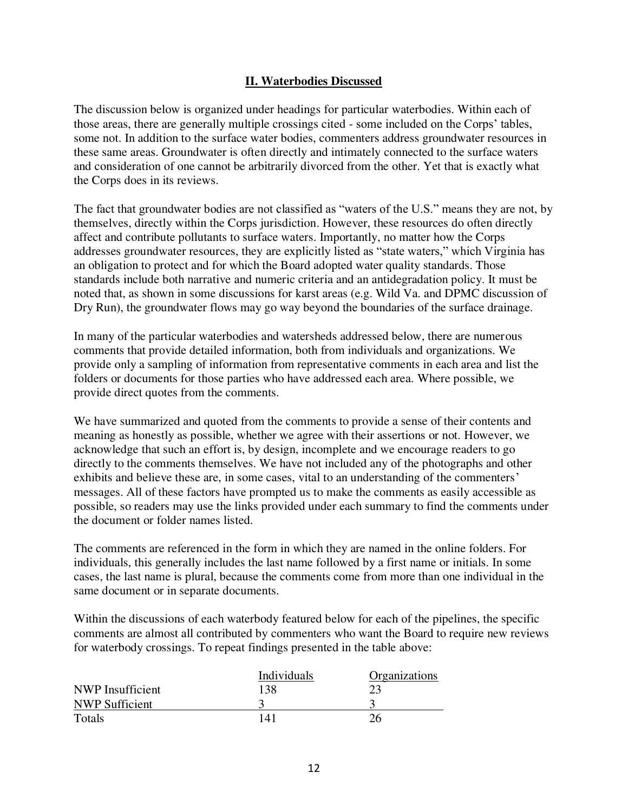#### **II. Waterbodies Discussed**

The discussion below is organized under headings for particular waterbodies. Within each of those areas, there are generally multiple crossings cited - some included on the Corps' tables, some not. In addition to the surface water bodies, commenters address groundwater resources in these same areas. Groundwater is often directly and intimately connected to the surface waters and consideration of one cannot be arbitrarily divorced from the other. Yet that is exactly what the Corps does in its reviews.

The fact that groundwater bodies are not classified as "waters of the U.S." means they are not, by themselves, directly within the Corps jurisdiction. However, these resources do often directly affect and contribute pollutants to surface waters. Importantly, no matter how the Corps addresses groundwater resources, they are explicitly listed as "state waters," which Virginia has an obligation to protect and for which the Board adopted water quality standards. Those standards include both narrative and numeric criteria and an antidegradation policy. It must be noted that, as shown in some discussions for karst areas (e.g. Wild Va. and DPMC discussion of Dry Run), the groundwater flows may go way beyond the boundaries of the surface drainage.

In many of the particular waterbodies and watersheds addressed below, there are numerous comments that provide detailed information, both from individuals and organizations. We provide only a sampling of information from representative comments in each area and list the folders or documents for those parties who have addressed each area. Where possible, we provide direct quotes from the comments.

We have summarized and quoted from the comments to provide a sense of their contents and meaning as honestly as possible, whether we agree with their assertions or not. However, we acknowledge that such an effort is, by design, incomplete and we encourage readers to go directly to the comments themselves. We have not included any of the photographs and other exhibits and believe these are, in some cases, vital to an understanding of the commenters' messages. All of these factors have prompted us to make the comments as easily accessible as possible, so readers may use the links provided under each summary to find the comments under the document or folder names listed.

The comments are referenced in the form in which they are named in the online folders. For individuals, this generally includes the last name followed by a first name or initials. In some cases, the last name is plural, because the comments come from more than one individual in the same document or in separate documents.

Within the discussions of each waterbody featured below for each of the pipelines, the specific comments are almost all contributed by commenters who want the Board to require new reviews for waterbody crossings. To repeat findings presented in the table above:

|                       | Individuals | Organizations |
|-----------------------|-------------|---------------|
| NWP Insufficient      | 138         |               |
| <b>NWP Sufficient</b> |             |               |
| Totals                | 141         | 26            |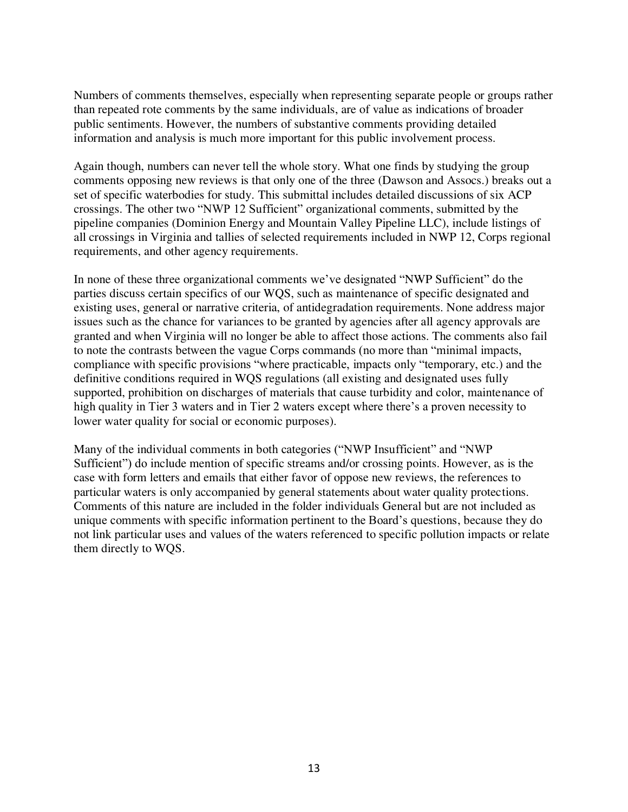Numbers of comments themselves, especially when representing separate people or groups rather than repeated rote comments by the same individuals, are of value as indications of broader public sentiments. However, the numbers of substantive comments providing detailed information and analysis is much more important for this public involvement process.

Again though, numbers can never tell the whole story. What one finds by studying the group comments opposing new reviews is that only one of the three (Dawson and Assocs.) breaks out a set of specific waterbodies for study. This submittal includes detailed discussions of six ACP crossings. The other two "NWP 12 Sufficient" organizational comments, submitted by the pipeline companies (Dominion Energy and Mountain Valley Pipeline LLC), include listings of all crossings in Virginia and tallies of selected requirements included in NWP 12, Corps regional requirements, and other agency requirements.

In none of these three organizational comments we've designated "NWP Sufficient" do the parties discuss certain specifics of our WQS, such as maintenance of specific designated and existing uses, general or narrative criteria, of antidegradation requirements. None address major issues such as the chance for variances to be granted by agencies after all agency approvals are granted and when Virginia will no longer be able to affect those actions. The comments also fail to note the contrasts between the vague Corps commands (no more than "minimal impacts, compliance with specific provisions "where practicable, impacts only "temporary, etc.) and the definitive conditions required in WQS regulations (all existing and designated uses fully supported, prohibition on discharges of materials that cause turbidity and color, maintenance of high quality in Tier 3 waters and in Tier 2 waters except where there's a proven necessity to lower water quality for social or economic purposes).

Many of the individual comments in both categories ("NWP Insufficient" and "NWP Sufficient") do include mention of specific streams and/or crossing points. However, as is the case with form letters and emails that either favor of oppose new reviews, the references to particular waters is only accompanied by general statements about water quality protections. Comments of this nature are included in the folder individuals General but are not included as unique comments with specific information pertinent to the Board's questions, because they do not link particular uses and values of the waters referenced to specific pollution impacts or relate them directly to WQS.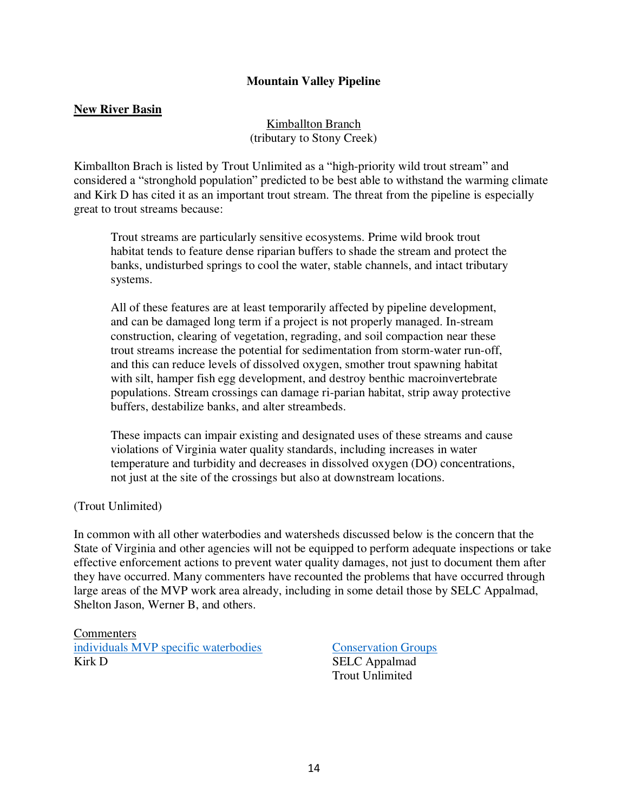#### **Mountain Valley Pipeline**

#### **New River Basin**

Kimballton Branch (tributary to Stony Creek)

Kimballton Brach is listed by Trout Unlimited as a "high-priority wild trout stream" and considered a "stronghold population" predicted to be best able to withstand the warming climate and Kirk D has cited it as an important trout stream. The threat from the pipeline is especially great to trout streams because:

Trout streams are particularly sensitive ecosystems. Prime wild brook trout habitat tends to feature dense riparian buffers to shade the stream and protect the banks, undisturbed springs to cool the water, stable channels, and intact tributary systems.

All of these features are at least temporarily affected by pipeline development, and can be damaged long term if a project is not properly managed. In-stream construction, clearing of vegetation, regrading, and soil compaction near these trout streams increase the potential for sedimentation from storm-water run-off, and this can reduce levels of dissolved oxygen, smother trout spawning habitat with silt, hamper fish egg development, and destroy benthic macroinvertebrate populations. Stream crossings can damage ri-parian habitat, strip away protective buffers, destabilize banks, and alter streambeds.

These impacts can impair existing and designated uses of these streams and cause violations of Virginia water quality standards, including increases in water temperature and turbidity and decreases in dissolved oxygen (DO) concentrations, not just at the site of the crossings but also at downstream locations.

(Trout Unlimited)

In common with all other waterbodies and watersheds discussed below is the concern that the State of Virginia and other agencies will not be equipped to perform adequate inspections or take effective enforcement actions to prevent water quality damages, not just to document them after they have occurred. Many commenters have recounted the problems that have occurred through large areas of the MVP work area already, including in some detail those by SELC Appalmad, Shelton Jason, Werner B, and others.

**Commenters** [individuals MVP specific waterbodies](https://drive.google.com/drive/folders/1_2BGDrwFuB3daiA_Nmp85rhEevWML1Im) [Conservation Groups](https://drive.google.com/drive/folders/1YuymAxgcUn6hp_FKuvuVt8RP-iDkMFp9) Kirk D SELC Appalmad

Trout Unlimited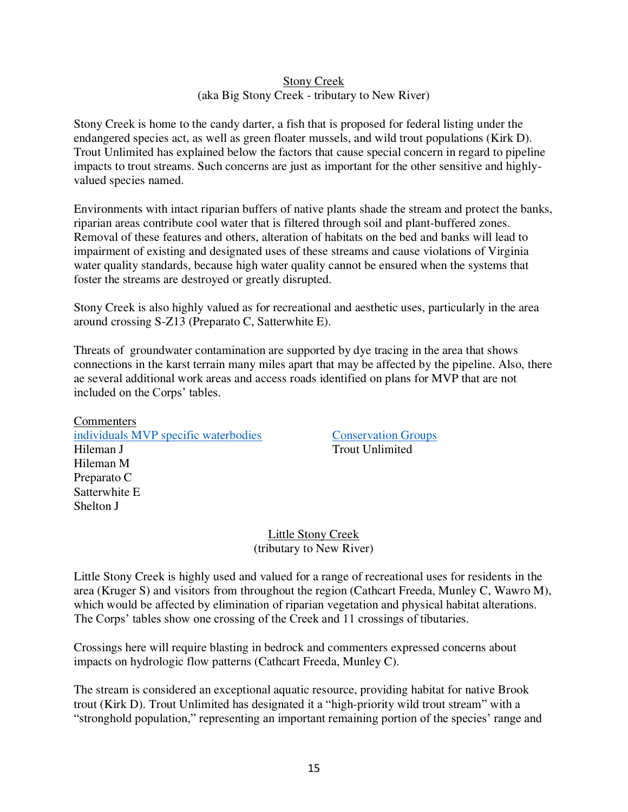#### Stony Creek (aka Big Stony Creek - tributary to New River)

Stony Creek is home to the candy darter, a fish that is proposed for federal listing under the endangered species act, as well as green floater mussels, and wild trout populations (Kirk D). Trout Unlimited has explained below the factors that cause special concern in regard to pipeline impacts to trout streams. Such concerns are just as important for the other sensitive and highlyvalued species named.

Environments with intact riparian buffers of native plants shade the stream and protect the banks, riparian areas contribute cool water that is filtered through soil and plant-buffered zones. Removal of these features and others, alteration of habitats on the bed and banks will lead to impairment of existing and designated uses of these streams and cause violations of Virginia water quality standards, because high water quality cannot be ensured when the systems that foster the streams are destroyed or greatly disrupted.

Stony Creek is also highly valued as for recreational and aesthetic uses, particularly in the area around crossing S-Z13 (Preparato C, Satterwhite E).

Threats of groundwater contamination are supported by dye tracing in the area that shows connections in the karst terrain many miles apart that may be affected by the pipeline. Also, there ae several additional work areas and access roads identified on plans for MVP that are not included on the Corps' tables.

**Commenters** [individuals MVP specific waterbodies](https://drive.google.com/drive/folders/1_2BGDrwFuB3daiA_Nmp85rhEevWML1Im) [Conservation Groups](https://drive.google.com/drive/folders/1YuymAxgcUn6hp_FKuvuVt8RP-iDkMFp9) Hileman J Trout Unlimited Hileman M Preparato C Satterwhite E Shelton J

Little Stony Creek (tributary to New River)

Little Stony Creek is highly used and valued for a range of recreational uses for residents in the area (Kruger S) and visitors from throughout the region (Cathcart Freeda, Munley C, Wawro M), which would be affected by elimination of riparian vegetation and physical habitat alterations. The Corps' tables show one crossing of the Creek and 11 crossings of tibutaries.

Crossings here will require blasting in bedrock and commenters expressed concerns about impacts on hydrologic flow patterns (Cathcart Freeda, Munley C).

The stream is considered an exceptional aquatic resource, providing habitat for native Brook trout (Kirk D). Trout Unlimited has designated it a "high-priority wild trout stream" with a "stronghold population," representing an important remaining portion of the species' range and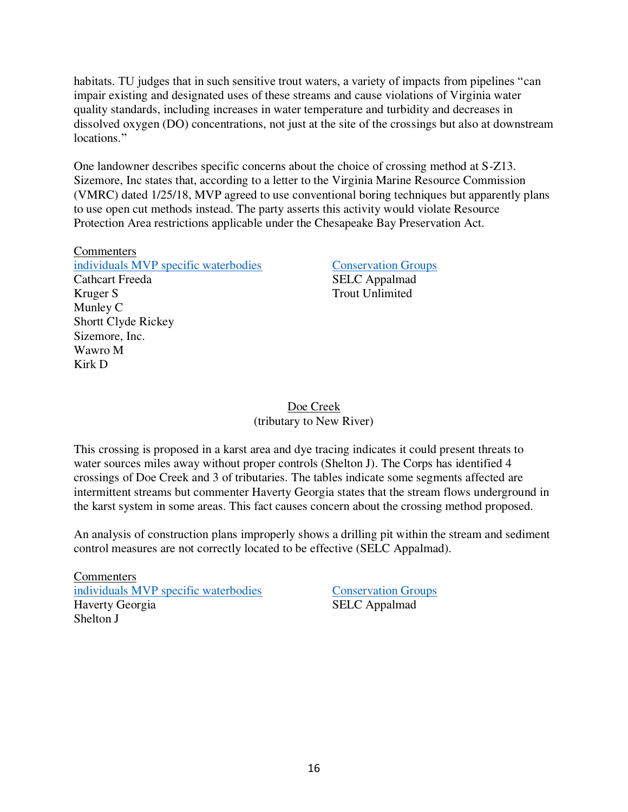habitats. TU judges that in such sensitive trout waters, a variety of impacts from pipelines "can impair existing and designated uses of these streams and cause violations of Virginia water quality standards, including increases in water temperature and turbidity and decreases in dissolved oxygen (DO) concentrations, not just at the site of the crossings but also at downstream locations."

One landowner describes specific concerns about the choice of crossing method at S-Z13. Sizemore, Inc states that, according to a letter to the Virginia Marine Resource Commission (VMRC) dated 1/25/18, MVP agreed to use conventional boring techniques but apparently plans to use open cut methods instead. The party asserts this activity would violate Resource Protection Area restrictions applicable under the Chesapeake Bay Preservation Act.

**Commenters** [individuals MVP specific waterbodies](https://drive.google.com/drive/folders/1_2BGDrwFuB3daiA_Nmp85rhEevWML1Im) [Conservation Groups](https://drive.google.com/drive/folders/1YuymAxgcUn6hp_FKuvuVt8RP-iDkMFp9) Cathcart Freeda SELC Appalmad Kruger S Trout Unlimited Munley C Shortt Clyde Rickey Sizemore, Inc. Wawro M Kirk D

#### Doe Creek (tributary to New River)

This crossing is proposed in a karst area and dye tracing indicates it could present threats to water sources miles away without proper controls (Shelton J). The Corps has identified 4 crossings of Doe Creek and 3 of tributaries. The tables indicate some segments affected are intermittent streams but commenter Haverty Georgia states that the stream flows underground in the karst system in some areas. This fact causes concern about the crossing method proposed.

An analysis of construction plans improperly shows a drilling pit within the stream and sediment control measures are not correctly located to be effective (SELC Appalmad).

**Commenters** [individuals MVP specific waterbodies](https://drive.google.com/drive/folders/1_2BGDrwFuB3daiA_Nmp85rhEevWML1Im) Conservation Groups Haverty Georgia SELC Appalmad Shelton J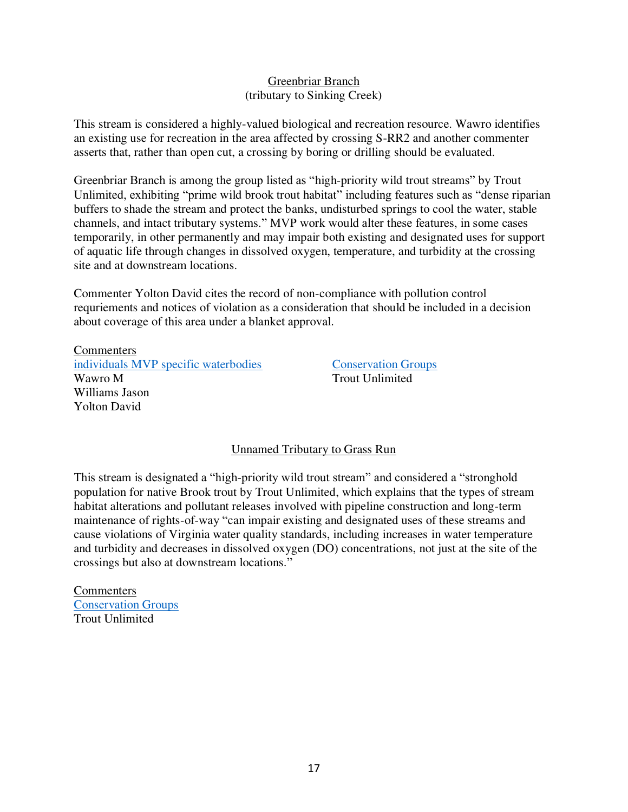#### Greenbriar Branch (tributary to Sinking Creek)

This stream is considered a highly-valued biological and recreation resource. Wawro identifies an existing use for recreation in the area affected by crossing S-RR2 and another commenter asserts that, rather than open cut, a crossing by boring or drilling should be evaluated.

Greenbriar Branch is among the group listed as "high-priority wild trout streams" by Trout Unlimited, exhibiting "prime wild brook trout habitat" including features such as "dense riparian buffers to shade the stream and protect the banks, undisturbed springs to cool the water, stable channels, and intact tributary systems." MVP work would alter these features, in some cases temporarily, in other permanently and may impair both existing and designated uses for support of aquatic life through changes in dissolved oxygen, temperature, and turbidity at the crossing site and at downstream locations.

Commenter Yolton David cites the record of non-compliance with pollution control requriements and notices of violation as a consideration that should be included in a decision about coverage of this area under a blanket approval.

**Commenters** [individuals MVP specific waterbodies](https://drive.google.com/drive/folders/1_2BGDrwFuB3daiA_Nmp85rhEevWML1Im) [Conservation Groups](https://drive.google.com/drive/folders/1YuymAxgcUn6hp_FKuvuVt8RP-iDkMFp9) Wawro M Trout Unlimited Williams Jason Yolton David

#### Unnamed Tributary to Grass Run

This stream is designated a "high-priority wild trout stream" and considered a "stronghold population for native Brook trout by Trout Unlimited, which explains that the types of stream habitat alterations and pollutant releases involved with pipeline construction and long-term maintenance of rights-of-way "can impair existing and designated uses of these streams and cause violations of Virginia water quality standards, including increases in water temperature and turbidity and decreases in dissolved oxygen (DO) concentrations, not just at the site of the crossings but also at downstream locations."

Commenters [Conservation Groups](https://drive.google.com/drive/folders/1YuymAxgcUn6hp_FKuvuVt8RP-iDkMFp9) Trout Unlimited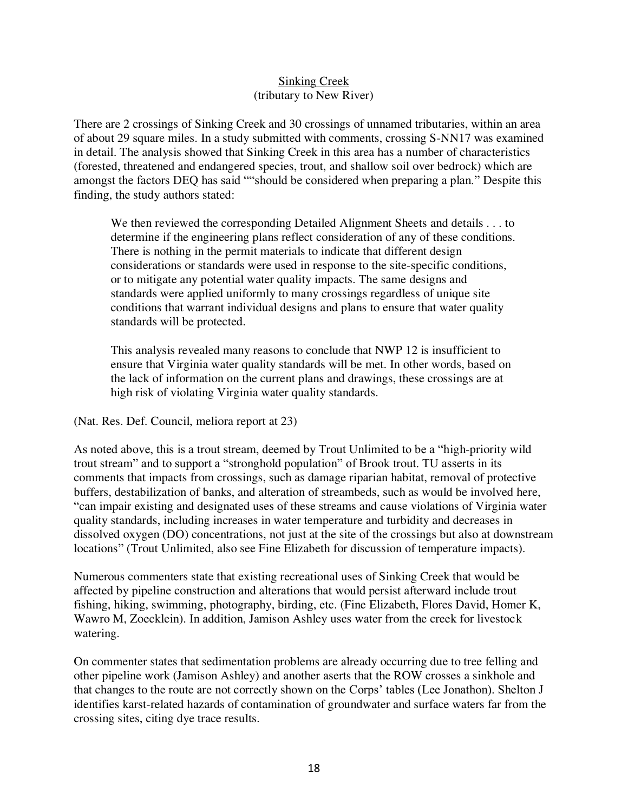#### Sinking Creek (tributary to New River)

There are 2 crossings of Sinking Creek and 30 crossings of unnamed tributaries, within an area of about 29 square miles. In a study submitted with comments, crossing S-NN17 was examined in detail. The analysis showed that Sinking Creek in this area has a number of characteristics (forested, threatened and endangered species, trout, and shallow soil over bedrock) which are amongst the factors DEQ has said ""should be considered when preparing a plan." Despite this finding, the study authors stated:

We then reviewed the corresponding Detailed Alignment Sheets and details . . . to determine if the engineering plans reflect consideration of any of these conditions. There is nothing in the permit materials to indicate that different design considerations or standards were used in response to the site-specific conditions, or to mitigate any potential water quality impacts. The same designs and standards were applied uniformly to many crossings regardless of unique site conditions that warrant individual designs and plans to ensure that water quality standards will be protected.

This analysis revealed many reasons to conclude that NWP 12 is insufficient to ensure that Virginia water quality standards will be met. In other words, based on the lack of information on the current plans and drawings, these crossings are at high risk of violating Virginia water quality standards.

(Nat. Res. Def. Council, meliora report at 23)

As noted above, this is a trout stream, deemed by Trout Unlimited to be a "high-priority wild trout stream" and to support a "stronghold population" of Brook trout. TU asserts in its comments that impacts from crossings, such as damage riparian habitat, removal of protective buffers, destabilization of banks, and alteration of streambeds, such as would be involved here, "can impair existing and designated uses of these streams and cause violations of Virginia water quality standards, including increases in water temperature and turbidity and decreases in dissolved oxygen (DO) concentrations, not just at the site of the crossings but also at downstream locations" (Trout Unlimited, also see Fine Elizabeth for discussion of temperature impacts).

Numerous commenters state that existing recreational uses of Sinking Creek that would be affected by pipeline construction and alterations that would persist afterward include trout fishing, hiking, swimming, photography, birding, etc. (Fine Elizabeth, Flores David, Homer K, Wawro M, Zoecklein). In addition, Jamison Ashley uses water from the creek for livestock watering.

On commenter states that sedimentation problems are already occurring due to tree felling and other pipeline work (Jamison Ashley) and another aserts that the ROW crosses a sinkhole and that changes to the route are not correctly shown on the Corps' tables (Lee Jonathon). Shelton J identifies karst-related hazards of contamination of groundwater and surface waters far from the crossing sites, citing dye trace results.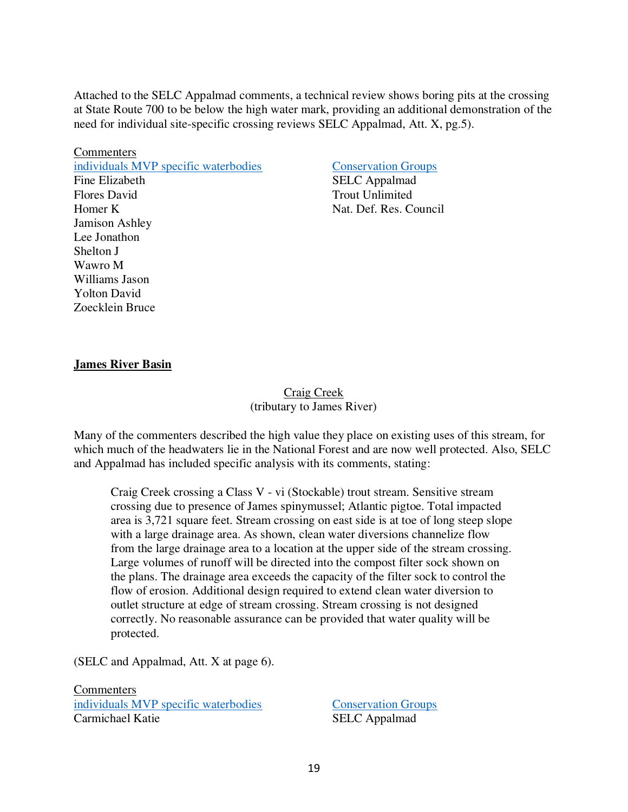Attached to the SELC Appalmad comments, a technical review shows boring pits at the crossing at State Route 700 to be below the high water mark, providing an additional demonstration of the need for individual site-specific crossing reviews SELC Appalmad, Att. X, pg.5).

**Commenters** [individuals MVP specific waterbodies](https://drive.google.com/drive/folders/1_2BGDrwFuB3daiA_Nmp85rhEevWML1Im) [Conservation Groups](https://drive.google.com/drive/folders/1YuymAxgcUn6hp_FKuvuVt8RP-iDkMFp9) Fine Elizabeth SELC Appalmad Flores David Trout Unlimited Homer K Nat. Def. Res. Council Jamison Ashley Lee Jonathon Shelton J Wawro M Williams Jason Yolton David Zoecklein Bruce

#### **James River Basin**

#### Craig Creek (tributary to James River)

Many of the commenters described the high value they place on existing uses of this stream, for which much of the headwaters lie in the National Forest and are now well protected. Also, SELC and Appalmad has included specific analysis with its comments, stating:

Craig Creek crossing a Class V - vi (Stockable) trout stream. Sensitive stream crossing due to presence of James spinymussel; Atlantic pigtoe. Total impacted area is 3,721 square feet. Stream crossing on east side is at toe of long steep slope with a large drainage area. As shown, clean water diversions channelize flow from the large drainage area to a location at the upper side of the stream crossing. Large volumes of runoff will be directed into the compost filter sock shown on the plans. The drainage area exceeds the capacity of the filter sock to control the flow of erosion. Additional design required to extend clean water diversion to outlet structure at edge of stream crossing. Stream crossing is not designed correctly. No reasonable assurance can be provided that water quality will be protected.

(SELC and Appalmad, Att. X at page 6).

**Commenters** [individuals MVP specific waterbodies](https://drive.google.com/drive/folders/1_2BGDrwFuB3daiA_Nmp85rhEevWML1Im) [Conservation Groups](https://drive.google.com/drive/folders/1YuymAxgcUn6hp_FKuvuVt8RP-iDkMFp9) Carmichael Katie SELC Appalmad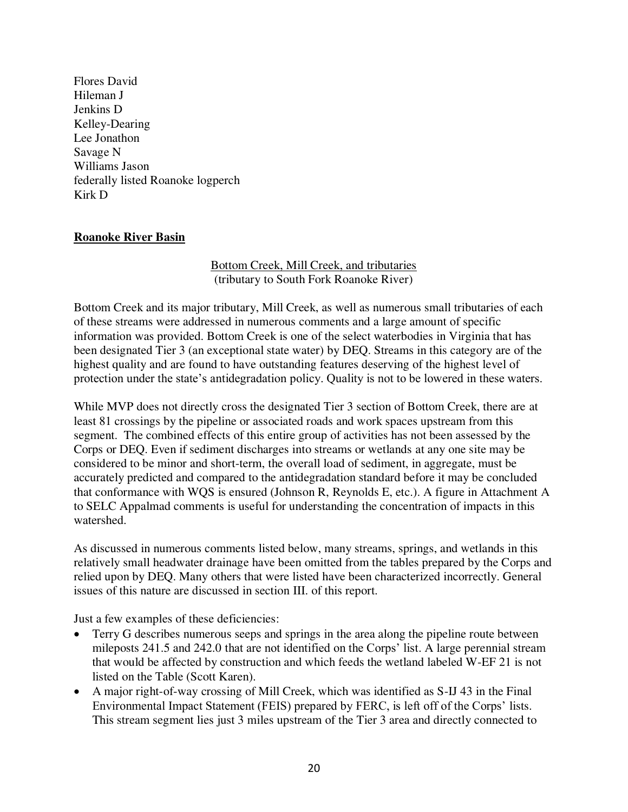Flores David Hileman J Jenkins D Kelley-Dearing Lee Jonathon Savage N Williams Jason federally listed Roanoke logperch Kirk D

#### **Roanoke River Basin**

#### Bottom Creek, Mill Creek, and tributaries (tributary to South Fork Roanoke River)

Bottom Creek and its major tributary, Mill Creek, as well as numerous small tributaries of each of these streams were addressed in numerous comments and a large amount of specific information was provided. Bottom Creek is one of the select waterbodies in Virginia that has been designated Tier 3 (an exceptional state water) by DEQ. Streams in this category are of the highest quality and are found to have outstanding features deserving of the highest level of protection under the state's antidegradation policy. Quality is not to be lowered in these waters.

While MVP does not directly cross the designated Tier 3 section of Bottom Creek, there are at least 81 crossings by the pipeline or associated roads and work spaces upstream from this segment. The combined effects of this entire group of activities has not been assessed by the Corps or DEQ. Even if sediment discharges into streams or wetlands at any one site may be considered to be minor and short-term, the overall load of sediment, in aggregate, must be accurately predicted and compared to the antidegradation standard before it may be concluded that conformance with WQS is ensured (Johnson R, Reynolds E, etc.). A figure in Attachment A to SELC Appalmad comments is useful for understanding the concentration of impacts in this watershed.

As discussed in numerous comments listed below, many streams, springs, and wetlands in this relatively small headwater drainage have been omitted from the tables prepared by the Corps and relied upon by DEQ. Many others that were listed have been characterized incorrectly. General issues of this nature are discussed in section III. of this report.

Just a few examples of these deficiencies:

- Terry G describes numerous seeps and springs in the area along the pipeline route between mileposts 241.5 and 242.0 that are not identified on the Corps' list. A large perennial stream that would be affected by construction and which feeds the wetland labeled W-EF 21 is not listed on the Table (Scott Karen).
- A major right-of-way crossing of Mill Creek, which was identified as S-IJ 43 in the Final Environmental Impact Statement (FEIS) prepared by FERC, is left off of the Corps' lists. This stream segment lies just 3 miles upstream of the Tier 3 area and directly connected to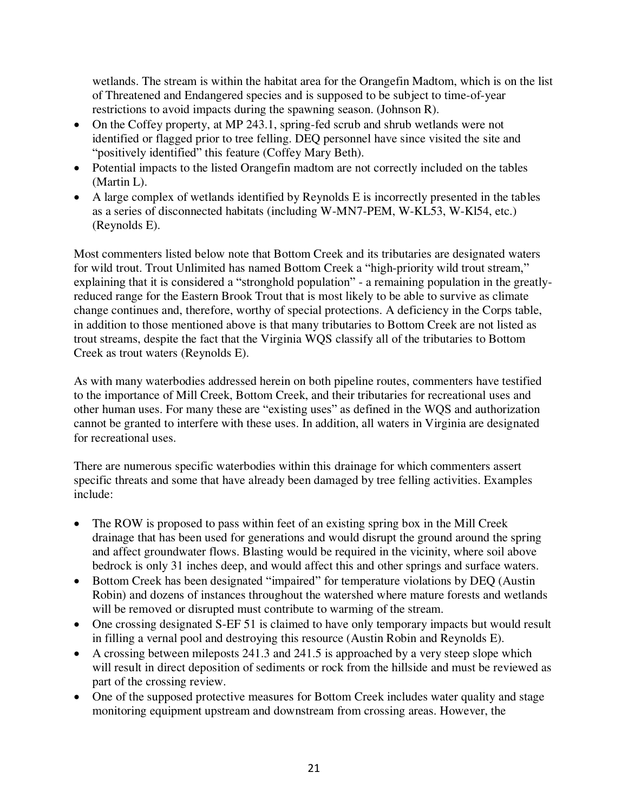wetlands. The stream is within the habitat area for the Orangefin Madtom, which is on the list of Threatened and Endangered species and is supposed to be subject to time-of-year restrictions to avoid impacts during the spawning season. (Johnson R).

- On the Coffey property, at MP 243.1, spring-fed scrub and shrub wetlands were not identified or flagged prior to tree felling. DEQ personnel have since visited the site and "positively identified" this feature (Coffey Mary Beth).
- Potential impacts to the listed Orangefin madtom are not correctly included on the tables (Martin L).
- A large complex of wetlands identified by Reynolds E is incorrectly presented in the tables as a series of disconnected habitats (including W-MN7-PEM, W-KL53, W-Kl54, etc.) (Reynolds E).

Most commenters listed below note that Bottom Creek and its tributaries are designated waters for wild trout. Trout Unlimited has named Bottom Creek a "high-priority wild trout stream," explaining that it is considered a "stronghold population" - a remaining population in the greatlyreduced range for the Eastern Brook Trout that is most likely to be able to survive as climate change continues and, therefore, worthy of special protections. A deficiency in the Corps table, in addition to those mentioned above is that many tributaries to Bottom Creek are not listed as trout streams, despite the fact that the Virginia WQS classify all of the tributaries to Bottom Creek as trout waters (Reynolds E).

As with many waterbodies addressed herein on both pipeline routes, commenters have testified to the importance of Mill Creek, Bottom Creek, and their tributaries for recreational uses and other human uses. For many these are "existing uses" as defined in the WQS and authorization cannot be granted to interfere with these uses. In addition, all waters in Virginia are designated for recreational uses.

There are numerous specific waterbodies within this drainage for which commenters assert specific threats and some that have already been damaged by tree felling activities. Examples include:

- The ROW is proposed to pass within feet of an existing spring box in the Mill Creek drainage that has been used for generations and would disrupt the ground around the spring and affect groundwater flows. Blasting would be required in the vicinity, where soil above bedrock is only 31 inches deep, and would affect this and other springs and surface waters.
- Bottom Creek has been designated "impaired" for temperature violations by DEQ (Austin Robin) and dozens of instances throughout the watershed where mature forests and wetlands will be removed or disrupted must contribute to warming of the stream.
- One crossing designated S-EF 51 is claimed to have only temporary impacts but would result in filling a vernal pool and destroying this resource (Austin Robin and Reynolds E).
- A crossing between mileposts 241.3 and 241.5 is approached by a very steep slope which will result in direct deposition of sediments or rock from the hillside and must be reviewed as part of the crossing review.
- One of the supposed protective measures for Bottom Creek includes water quality and stage monitoring equipment upstream and downstream from crossing areas. However, the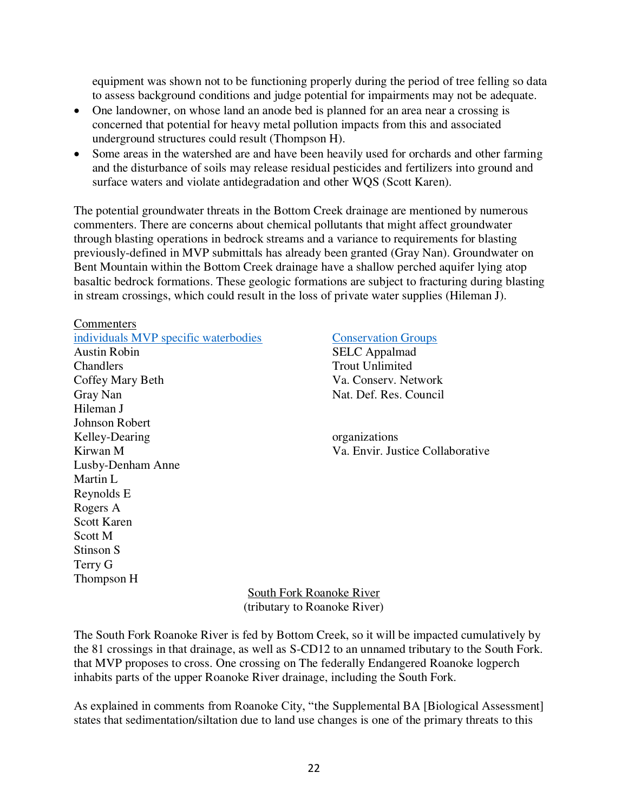equipment was shown not to be functioning properly during the period of tree felling so data to assess background conditions and judge potential for impairments may not be adequate.

- One landowner, on whose land an anode bed is planned for an area near a crossing is concerned that potential for heavy metal pollution impacts from this and associated underground structures could result (Thompson H).
- Some areas in the watershed are and have been heavily used for orchards and other farming and the disturbance of soils may release residual pesticides and fertilizers into ground and surface waters and violate antidegradation and other WQS (Scott Karen).

The potential groundwater threats in the Bottom Creek drainage are mentioned by numerous commenters. There are concerns about chemical pollutants that might affect groundwater through blasting operations in bedrock streams and a variance to requirements for blasting previously-defined in MVP submittals has already been granted (Gray Nan). Groundwater on Bent Mountain within the Bottom Creek drainage have a shallow perched aquifer lying atop basaltic bedrock formations. These geologic formations are subject to fracturing during blasting in stream crossings, which could result in the loss of private water supplies (Hileman J).

#### Commenters

Johnson Robert

Martin L Reynolds E Rogers A Scott Karen Scott M Stinson S Terry G Thompson H

Lusby-Denham Anne

[individuals MVP specific waterbodies](https://drive.google.com/drive/folders/1_2BGDrwFuB3daiA_Nmp85rhEevWML1Im) [Conservation Groups](https://drive.google.com/drive/folders/1YuymAxgcUn6hp_FKuvuVt8RP-iDkMFp9) Austin Robin SELC Appalmad Chandlers Trout Unlimited Coffey Mary Beth Va. Conserv. Network Gray Nan Nat. Def. Res. Council Hileman J

Kelley-Dearing organizations Kirwan M  $\alpha$  is the collaborative value of the Va. Envir. Justice Collaborative

> South Fork Roanoke River (tributary to Roanoke River)

The South Fork Roanoke River is fed by Bottom Creek, so it will be impacted cumulatively by the 81 crossings in that drainage, as well as S-CD12 to an unnamed tributary to the South Fork. that MVP proposes to cross. One crossing on The federally Endangered Roanoke logperch inhabits parts of the upper Roanoke River drainage, including the South Fork.

As explained in comments from Roanoke City, "the Supplemental BA [Biological Assessment] states that sedimentation/siltation due to land use changes is one of the primary threats to this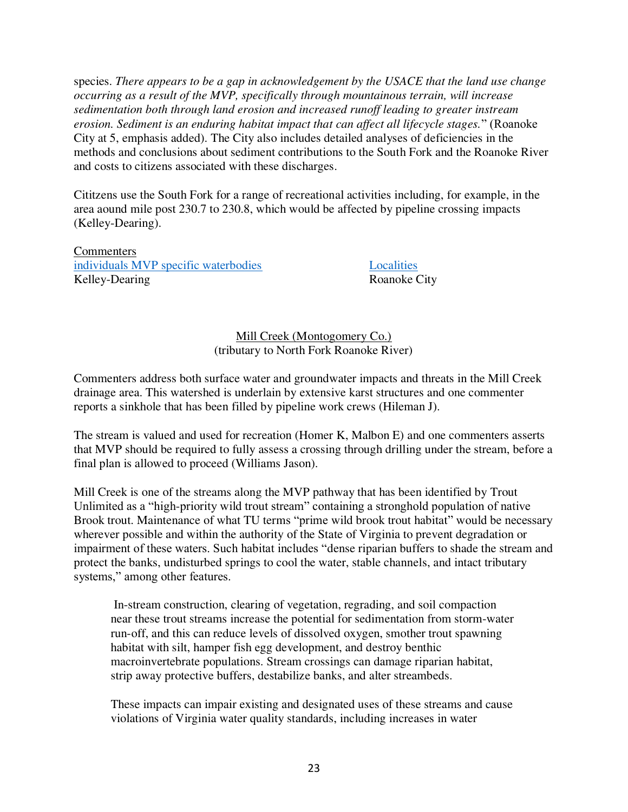species. *There appears to be a gap in acknowledgement by the USACE that the land use change occurring as a result of the MVP, specifically through mountainous terrain, will increase sedimentation both through land erosion and increased runoff leading to greater instream erosion. Sediment is an enduring habitat impact that can affect all lifecycle stages.*" (Roanoke City at 5, emphasis added). The City also includes detailed analyses of deficiencies in the methods and conclusions about sediment contributions to the South Fork and the Roanoke River and costs to citizens associated with these discharges.

Cititzens use the South Fork for a range of recreational activities including, for example, in the area aound mile post 230.7 to 230.8, which would be affected by pipeline crossing impacts (Kelley-Dearing).

**Commenters** [individuals MVP specific waterbodies](https://drive.google.com/drive/folders/1_2BGDrwFuB3daiA_Nmp85rhEevWML1Im) [Localities](https://drive.google.com/drive/folders/1pLazzbixw6k-gC017RfSl8Xtfl4JbtNH) Kelley-Dearing Roanoke City

#### Mill Creek (Montogomery Co.) (tributary to North Fork Roanoke River)

Commenters address both surface water and groundwater impacts and threats in the Mill Creek drainage area. This watershed is underlain by extensive karst structures and one commenter reports a sinkhole that has been filled by pipeline work crews (Hileman J).

The stream is valued and used for recreation (Homer K, Malbon E) and one commenters asserts that MVP should be required to fully assess a crossing through drilling under the stream, before a final plan is allowed to proceed (Williams Jason).

Mill Creek is one of the streams along the MVP pathway that has been identified by Trout Unlimited as a "high-priority wild trout stream" containing a stronghold population of native Brook trout. Maintenance of what TU terms "prime wild brook trout habitat" would be necessary wherever possible and within the authority of the State of Virginia to prevent degradation or impairment of these waters. Such habitat includes "dense riparian buffers to shade the stream and protect the banks, undisturbed springs to cool the water, stable channels, and intact tributary systems," among other features.

In-stream construction, clearing of vegetation, regrading, and soil compaction near these trout streams increase the potential for sedimentation from storm-water run-off, and this can reduce levels of dissolved oxygen, smother trout spawning habitat with silt, hamper fish egg development, and destroy benthic macroinvertebrate populations. Stream crossings can damage riparian habitat, strip away protective buffers, destabilize banks, and alter streambeds.

These impacts can impair existing and designated uses of these streams and cause violations of Virginia water quality standards, including increases in water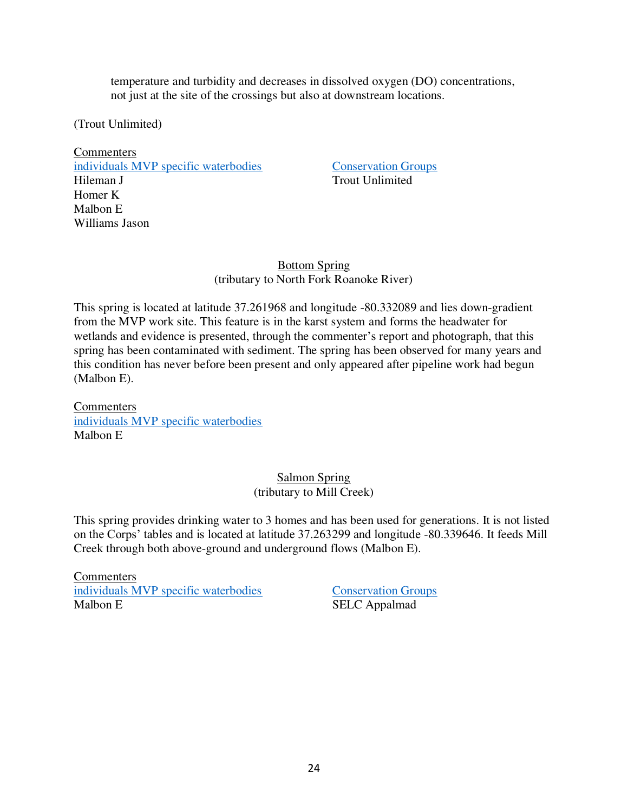temperature and turbidity and decreases in dissolved oxygen (DO) concentrations, not just at the site of the crossings but also at downstream locations.

(Trout Unlimited)

**Commenters** [individuals MVP specific waterbodies](https://drive.google.com/drive/folders/1_2BGDrwFuB3daiA_Nmp85rhEevWML1Im) [Conservation Groups](https://drive.google.com/drive/folders/1YuymAxgcUn6hp_FKuvuVt8RP-iDkMFp9) Hileman J Trout Unlimited Homer K Malbon E Williams Jason

Bottom Spring (tributary to North Fork Roanoke River)

This spring is located at latitude 37.261968 and longitude -80.332089 and lies down-gradient from the MVP work site. This feature is in the karst system and forms the headwater for wetlands and evidence is presented, through the commenter's report and photograph, that this spring has been contaminated with sediment. The spring has been observed for many years and this condition has never before been present and only appeared after pipeline work had begun (Malbon E).

**Commenters** [individuals MVP specific waterbodies](https://drive.google.com/drive/folders/1_2BGDrwFuB3daiA_Nmp85rhEevWML1Im) Malbon E

#### Salmon Spring (tributary to Mill Creek)

This spring provides drinking water to 3 homes and has been used for generations. It is not listed on the Corps' tables and is located at latitude 37.263299 and longitude -80.339646. It feeds Mill Creek through both above-ground and underground flows (Malbon E).

**Commenters** [individuals MVP specific waterbodies](https://drive.google.com/drive/folders/1_2BGDrwFuB3daiA_Nmp85rhEevWML1Im) [Conservation Groups](https://drive.google.com/drive/folders/1YuymAxgcUn6hp_FKuvuVt8RP-iDkMFp9) Malbon E SELC Appalmad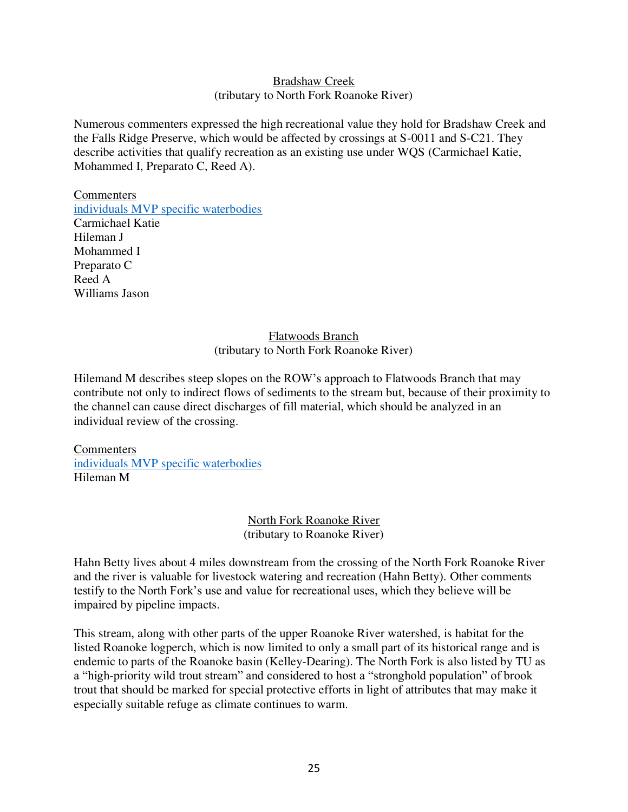#### Bradshaw Creek (tributary to North Fork Roanoke River)

Numerous commenters expressed the high recreational value they hold for Bradshaw Creek and the Falls Ridge Preserve, which would be affected by crossings at S-0011 and S-C21. They describe activities that qualify recreation as an existing use under WQS (Carmichael Katie, Mohammed I, Preparato C, Reed A).

**Commenters** [individuals MVP specific waterbodies](https://drive.google.com/drive/folders/1_2BGDrwFuB3daiA_Nmp85rhEevWML1Im) Carmichael Katie Hileman J Mohammed I Preparato C Reed A Williams Jason

#### Flatwoods Branch (tributary to North Fork Roanoke River)

Hilemand M describes steep slopes on the ROW's approach to Flatwoods Branch that may contribute not only to indirect flows of sediments to the stream but, because of their proximity to the channel can cause direct discharges of fill material, which should be analyzed in an individual review of the crossing.

Commenters [individuals MVP specific waterbodies](https://drive.google.com/drive/folders/1_2BGDrwFuB3daiA_Nmp85rhEevWML1Im) Hileman M

> North Fork Roanoke River (tributary to Roanoke River)

Hahn Betty lives about 4 miles downstream from the crossing of the North Fork Roanoke River and the river is valuable for livestock watering and recreation (Hahn Betty). Other comments testify to the North Fork's use and value for recreational uses, which they believe will be impaired by pipeline impacts.

This stream, along with other parts of the upper Roanoke River watershed, is habitat for the listed Roanoke logperch, which is now limited to only a small part of its historical range and is endemic to parts of the Roanoke basin (Kelley-Dearing). The North Fork is also listed by TU as a "high-priority wild trout stream" and considered to host a "stronghold population" of brook trout that should be marked for special protective efforts in light of attributes that may make it especially suitable refuge as climate continues to warm.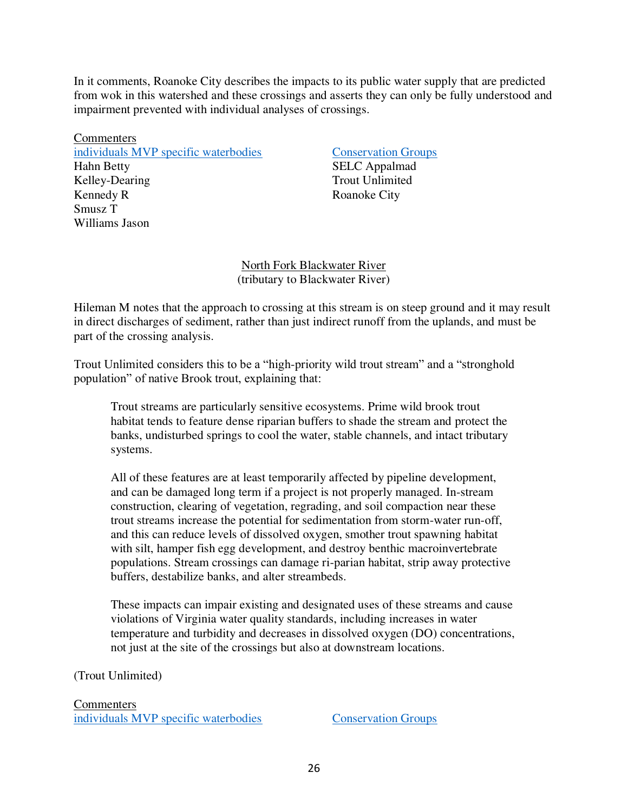In it comments, Roanoke City describes the impacts to its public water supply that are predicted from wok in this watershed and these crossings and asserts they can only be fully understood and impairment prevented with individual analyses of crossings.

Commenters [individuals MVP specific waterbodies](https://drive.google.com/drive/folders/1_2BGDrwFuB3daiA_Nmp85rhEevWML1Im) [Conservation Groups](https://drive.google.com/drive/folders/1YuymAxgcUn6hp_FKuvuVt8RP-iDkMFp9) Hahn Betty SELC Appalmad Kelley-Dearing Trout Unlimited Kennedy R Roanoke City Smusz T Williams Jason

North Fork Blackwater River (tributary to Blackwater River)

Hileman M notes that the approach to crossing at this stream is on steep ground and it may result in direct discharges of sediment, rather than just indirect runoff from the uplands, and must be part of the crossing analysis.

Trout Unlimited considers this to be a "high-priority wild trout stream" and a "stronghold population" of native Brook trout, explaining that:

Trout streams are particularly sensitive ecosystems. Prime wild brook trout habitat tends to feature dense riparian buffers to shade the stream and protect the banks, undisturbed springs to cool the water, stable channels, and intact tributary systems.

All of these features are at least temporarily affected by pipeline development, and can be damaged long term if a project is not properly managed. In-stream construction, clearing of vegetation, regrading, and soil compaction near these trout streams increase the potential for sedimentation from storm-water run-off, and this can reduce levels of dissolved oxygen, smother trout spawning habitat with silt, hamper fish egg development, and destroy benthic macroinvertebrate populations. Stream crossings can damage ri-parian habitat, strip away protective buffers, destabilize banks, and alter streambeds.

These impacts can impair existing and designated uses of these streams and cause violations of Virginia water quality standards, including increases in water temperature and turbidity and decreases in dissolved oxygen (DO) concentrations, not just at the site of the crossings but also at downstream locations.

(Trout Unlimited)

Commenters [individuals MVP specific waterbodies](https://drive.google.com/drive/folders/1_2BGDrwFuB3daiA_Nmp85rhEevWML1Im) [Conservation Groups](https://drive.google.com/drive/folders/1YuymAxgcUn6hp_FKuvuVt8RP-iDkMFp9)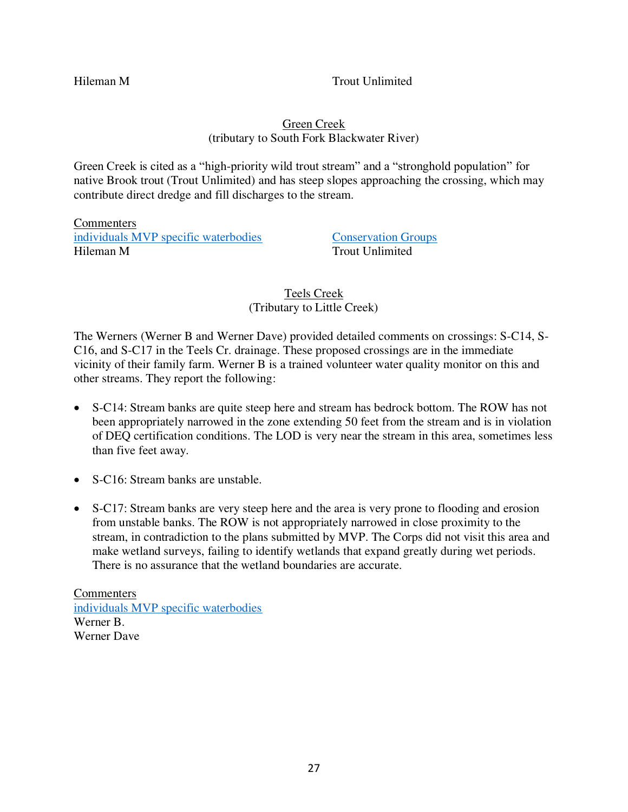Hileman M Trout Unlimited

### Green Creek (tributary to South Fork Blackwater River)

Green Creek is cited as a "high-priority wild trout stream" and a "stronghold population" for native Brook trout (Trout Unlimited) and has steep slopes approaching the crossing, which may contribute direct dredge and fill discharges to the stream.

**Commenters** [individuals MVP specific waterbodies](https://drive.google.com/drive/folders/1_2BGDrwFuB3daiA_Nmp85rhEevWML1Im) [Conservation Groups](https://drive.google.com/drive/folders/1YuymAxgcUn6hp_FKuvuVt8RP-iDkMFp9) Hileman M Trout Unlimited

### Teels Creek (Tributary to Little Creek)

The Werners (Werner B and Werner Dave) provided detailed comments on crossings: S-C14, S-C16, and S-C17 in the Teels Cr. drainage. These proposed crossings are in the immediate vicinity of their family farm. Werner B is a trained volunteer water quality monitor on this and other streams. They report the following:

- S-C14: Stream banks are quite steep here and stream has bedrock bottom. The ROW has not been appropriately narrowed in the zone extending 50 feet from the stream and is in violation of DEQ certification conditions. The LOD is very near the stream in this area, sometimes less than five feet away.
- S-C16: Stream banks are unstable.
- S-C17: Stream banks are very steep here and the area is very prone to flooding and erosion from unstable banks. The ROW is not appropriately narrowed in close proximity to the stream, in contradiction to the plans submitted by MVP. The Corps did not visit this area and make wetland surveys, failing to identify wetlands that expand greatly during wet periods. There is no assurance that the wetland boundaries are accurate.

**Commenters** [individuals MVP specific waterbodies](https://drive.google.com/drive/folders/1_2BGDrwFuB3daiA_Nmp85rhEevWML1Im) Werner B. Werner Dave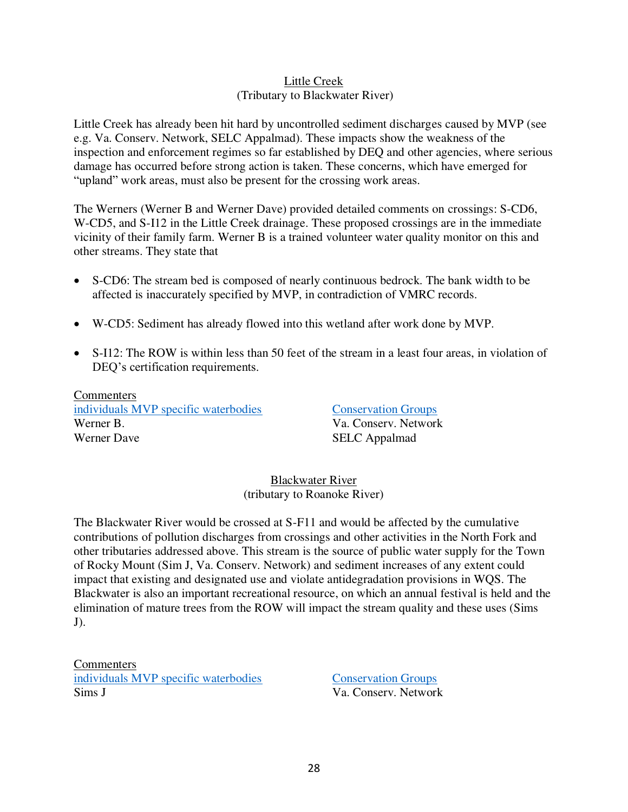#### Little Creek (Tributary to Blackwater River)

Little Creek has already been hit hard by uncontrolled sediment discharges caused by MVP (see e.g. Va. Conserv. Network, SELC Appalmad). These impacts show the weakness of the inspection and enforcement regimes so far established by DEQ and other agencies, where serious damage has occurred before strong action is taken. These concerns, which have emerged for "upland" work areas, must also be present for the crossing work areas.

The Werners (Werner B and Werner Dave) provided detailed comments on crossings: S-CD6, W-CD5, and S-I12 in the Little Creek drainage. These proposed crossings are in the immediate vicinity of their family farm. Werner B is a trained volunteer water quality monitor on this and other streams. They state that

- S-CD6: The stream bed is composed of nearly continuous bedrock. The bank width to be affected is inaccurately specified by MVP, in contradiction of VMRC records.
- W-CD5: Sediment has already flowed into this wetland after work done by MVP.
- S-I12: The ROW is within less than 50 feet of the stream in a least four areas, in violation of DEQ's certification requirements.

**Commenters** [individuals MVP specific waterbodies](https://drive.google.com/drive/folders/1_2BGDrwFuB3daiA_Nmp85rhEevWML1Im) [Conservation Groups](https://drive.google.com/drive/folders/1YuymAxgcUn6hp_FKuvuVt8RP-iDkMFp9) Werner B. Va. Conserv. Network Werner Dave SELC Appalmad

Blackwater River (tributary to Roanoke River)

The Blackwater River would be crossed at S-F11 and would be affected by the cumulative contributions of pollution discharges from crossings and other activities in the North Fork and other tributaries addressed above. This stream is the source of public water supply for the Town of Rocky Mount (Sim J, Va. Conserv. Network) and sediment increases of any extent could impact that existing and designated use and violate antidegradation provisions in WQS. The Blackwater is also an important recreational resource, on which an annual festival is held and the elimination of mature trees from the ROW will impact the stream quality and these uses (Sims  $J$ ).

**Commenters** [individuals MVP specific waterbodies](https://drive.google.com/drive/folders/1_2BGDrwFuB3daiA_Nmp85rhEevWML1Im) [Conservation Groups](https://drive.google.com/drive/folders/1YuymAxgcUn6hp_FKuvuVt8RP-iDkMFp9) Sims J Va. Conserv. Network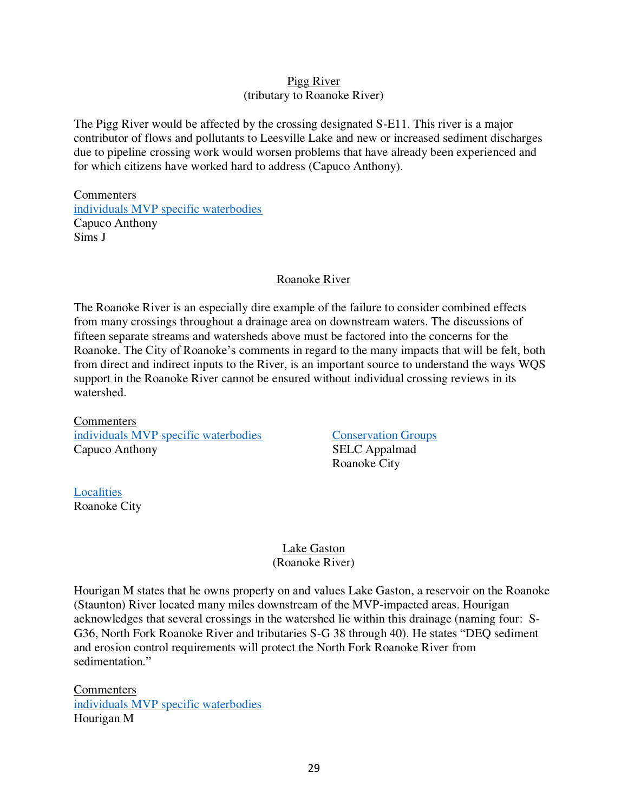#### Pigg River (tributary to Roanoke River)

The Pigg River would be affected by the crossing designated S-E11. This river is a major contributor of flows and pollutants to Leesville Lake and new or increased sediment discharges due to pipeline crossing work would worsen problems that have already been experienced and for which citizens have worked hard to address (Capuco Anthony).

**Commenters** [individuals MVP specific waterbodies](https://drive.google.com/drive/folders/1_2BGDrwFuB3daiA_Nmp85rhEevWML1Im) Capuco Anthony Sims J

#### Roanoke River

The Roanoke River is an especially dire example of the failure to consider combined effects from many crossings throughout a drainage area on downstream waters. The discussions of fifteen separate streams and watersheds above must be factored into the concerns for the Roanoke. The City of Roanoke's comments in regard to the many impacts that will be felt, both from direct and indirect inputs to the River, is an important source to understand the ways WQS support in the Roanoke River cannot be ensured without individual crossing reviews in its watershed.

**Commenters** [individuals MVP specific waterbodies](https://drive.google.com/drive/folders/1_2BGDrwFuB3daiA_Nmp85rhEevWML1Im) [Conservation Groups](https://drive.google.com/drive/folders/1YuymAxgcUn6hp_FKuvuVt8RP-iDkMFp9) Capuco Anthony SELC Appalmad

Roanoke City

[Localities](https://drive.google.com/drive/folders/1pLazzbixw6k-gC017RfSl8Xtfl4JbtNH) Roanoke City

> Lake Gaston (Roanoke River)

Hourigan M states that he owns property on and values Lake Gaston, a reservoir on the Roanoke (Staunton) River located many miles downstream of the MVP-impacted areas. Hourigan acknowledges that several crossings in the watershed lie within this drainage (naming four: S-G36, North Fork Roanoke River and tributaries S-G 38 through 40). He states "DEQ sediment and erosion control requirements will protect the North Fork Roanoke River from sedimentation."

**Commenters** [individuals MVP specific waterbodies](https://drive.google.com/drive/folders/1_2BGDrwFuB3daiA_Nmp85rhEevWML1Im) Hourigan M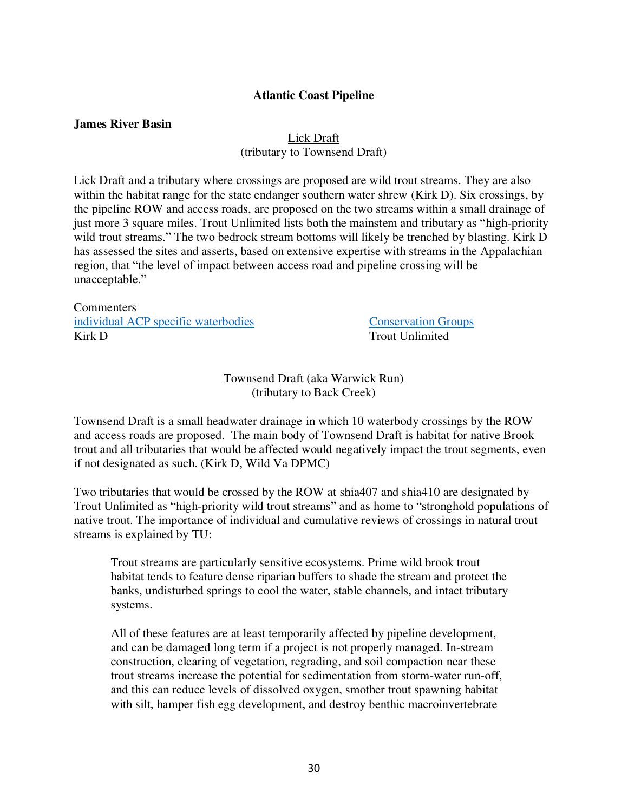#### **Atlantic Coast Pipeline**

#### **James River Basin**

## Lick Draft

(tributary to Townsend Draft)

Lick Draft and a tributary where crossings are proposed are wild trout streams. They are also within the habitat range for the state endanger southern water shrew (Kirk D). Six crossings, by the pipeline ROW and access roads, are proposed on the two streams within a small drainage of just more 3 square miles. Trout Unlimited lists both the mainstem and tributary as "high-priority wild trout streams." The two bedrock stream bottoms will likely be trenched by blasting. Kirk D has assessed the sites and asserts, based on extensive expertise with streams in the Appalachian region, that "the level of impact between access road and pipeline crossing will be unacceptable."

#### **Commenters** [individual ACP specific waterbodies](https://drive.google.com/drive/folders/1kxxmTD79WtwY0BXLyzcpWQWmatDcXZxu) [Conservation Groups](https://drive.google.com/drive/folders/1YuymAxgcUn6hp_FKuvuVt8RP-iDkMFp9) Kirk D Trout Unlimited

Townsend Draft (aka Warwick Run) (tributary to Back Creek)

Townsend Draft is a small headwater drainage in which 10 waterbody crossings by the ROW and access roads are proposed. The main body of Townsend Draft is habitat for native Brook trout and all tributaries that would be affected would negatively impact the trout segments, even if not designated as such. (Kirk D, Wild Va DPMC)

Two tributaries that would be crossed by the ROW at shia407 and shia410 are designated by Trout Unlimited as "high-priority wild trout streams" and as home to "stronghold populations of native trout. The importance of individual and cumulative reviews of crossings in natural trout streams is explained by TU:

Trout streams are particularly sensitive ecosystems. Prime wild brook trout habitat tends to feature dense riparian buffers to shade the stream and protect the banks, undisturbed springs to cool the water, stable channels, and intact tributary systems.

All of these features are at least temporarily affected by pipeline development, and can be damaged long term if a project is not properly managed. In-stream construction, clearing of vegetation, regrading, and soil compaction near these trout streams increase the potential for sedimentation from storm-water run-off, and this can reduce levels of dissolved oxygen, smother trout spawning habitat with silt, hamper fish egg development, and destroy benthic macroinvertebrate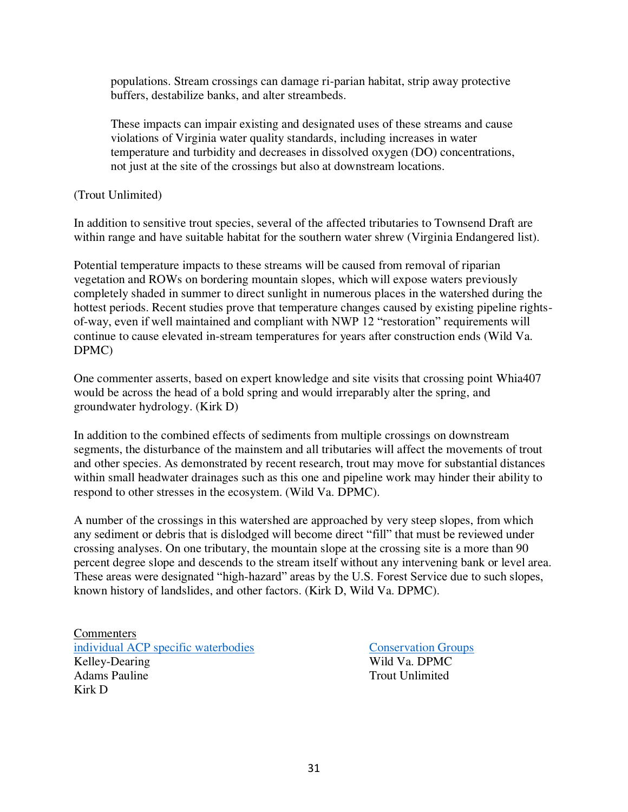populations. Stream crossings can damage ri-parian habitat, strip away protective buffers, destabilize banks, and alter streambeds.

These impacts can impair existing and designated uses of these streams and cause violations of Virginia water quality standards, including increases in water temperature and turbidity and decreases in dissolved oxygen (DO) concentrations, not just at the site of the crossings but also at downstream locations.

(Trout Unlimited)

In addition to sensitive trout species, several of the affected tributaries to Townsend Draft are within range and have suitable habitat for the southern water shrew (Virginia Endangered list).

Potential temperature impacts to these streams will be caused from removal of riparian vegetation and ROWs on bordering mountain slopes, which will expose waters previously completely shaded in summer to direct sunlight in numerous places in the watershed during the hottest periods. Recent studies prove that temperature changes caused by existing pipeline rightsof-way, even if well maintained and compliant with NWP 12 "restoration" requirements will continue to cause elevated in-stream temperatures for years after construction ends (Wild Va. DPMC)

One commenter asserts, based on expert knowledge and site visits that crossing point Whia407 would be across the head of a bold spring and would irreparably alter the spring, and groundwater hydrology. (Kirk D)

In addition to the combined effects of sediments from multiple crossings on downstream segments, the disturbance of the mainstem and all tributaries will affect the movements of trout and other species. As demonstrated by recent research, trout may move for substantial distances within small headwater drainages such as this one and pipeline work may hinder their ability to respond to other stresses in the ecosystem. (Wild Va. DPMC).

A number of the crossings in this watershed are approached by very steep slopes, from which any sediment or debris that is dislodged will become direct "fill" that must be reviewed under crossing analyses. On one tributary, the mountain slope at the crossing site is a more than 90 percent degree slope and descends to the stream itself without any intervening bank or level area. These areas were designated "high-hazard" areas by the U.S. Forest Service due to such slopes, known history of landslides, and other factors. (Kirk D, Wild Va. DPMC).

**Commenters** [individual ACP specific waterbodies](https://drive.google.com/drive/folders/1kxxmTD79WtwY0BXLyzcpWQWmatDcXZxu) [Conservation Groups](https://drive.google.com/drive/folders/1YuymAxgcUn6hp_FKuvuVt8RP-iDkMFp9) Kelley-Dearing Wild Va. DPMC Adams Pauline Trout Unlimited Kirk D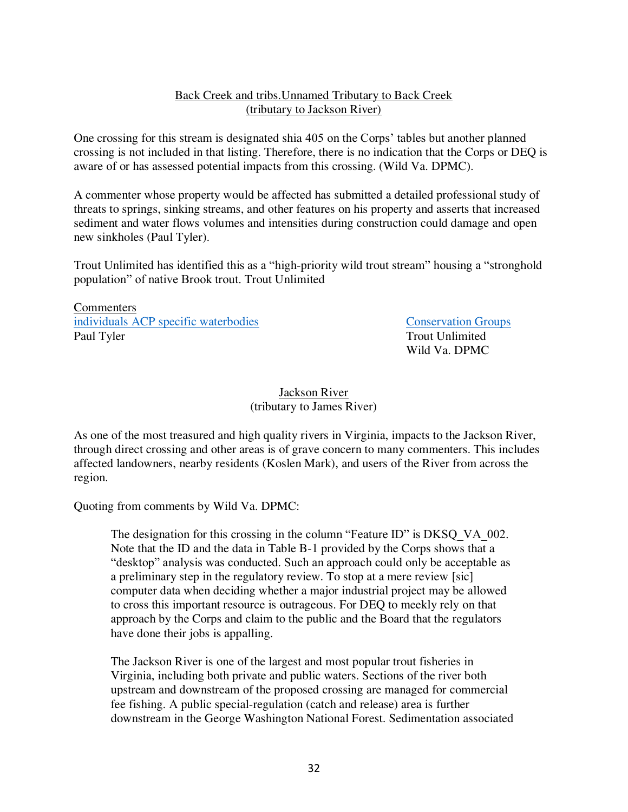#### Back Creek and tribs.Unnamed Tributary to Back Creek (tributary to Jackson River)

One crossing for this stream is designated shia 405 on the Corps' tables but another planned crossing is not included in that listing. Therefore, there is no indication that the Corps or DEQ is aware of or has assessed potential impacts from this crossing. (Wild Va. DPMC).

A commenter whose property would be affected has submitted a detailed professional study of threats to springs, sinking streams, and other features on his property and asserts that increased sediment and water flows volumes and intensities during construction could damage and open new sinkholes (Paul Tyler).

Trout Unlimited has identified this as a "high-priority wild trout stream" housing a "stronghold population" of native Brook trout. Trout Unlimited

Commenters [individuals ACP specific waterbodies](https://drive.google.com/drive/folders/1kxxmTD79WtwY0BXLyzcpWQWmatDcXZxu) [Conservation Groups](https://drive.google.com/drive/folders/1YuymAxgcUn6hp_FKuvuVt8RP-iDkMFp9) Paul Tyler Trout Unlimited

Wild Va. DPMC

### Jackson River (tributary to James River)

As one of the most treasured and high quality rivers in Virginia, impacts to the Jackson River, through direct crossing and other areas is of grave concern to many commenters. This includes affected landowners, nearby residents (Koslen Mark), and users of the River from across the region.

Quoting from comments by Wild Va. DPMC:

The designation for this crossing in the column "Feature ID" is DKSQ VA 002. Note that the ID and the data in Table B-1 provided by the Corps shows that a "desktop" analysis was conducted. Such an approach could only be acceptable as a preliminary step in the regulatory review. To stop at a mere review [sic] computer data when deciding whether a major industrial project may be allowed to cross this important resource is outrageous. For DEQ to meekly rely on that approach by the Corps and claim to the public and the Board that the regulators have done their jobs is appalling.

The Jackson River is one of the largest and most popular trout fisheries in Virginia, including both private and public waters. Sections of the river both upstream and downstream of the proposed crossing are managed for commercial fee fishing. A public special-regulation (catch and release) area is further downstream in the George Washington National Forest. Sedimentation associated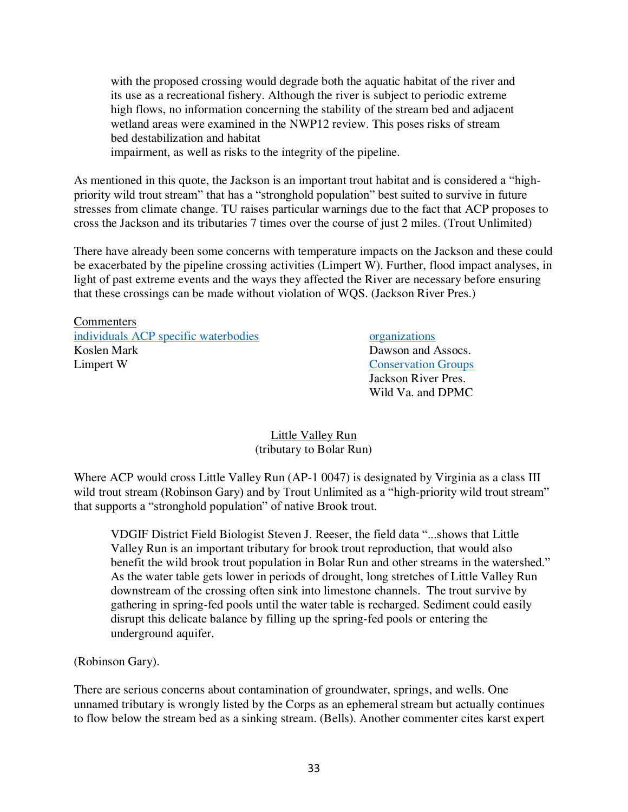with the proposed crossing would degrade both the aquatic habitat of the river and its use as a recreational fishery. Although the river is subject to periodic extreme high flows, no information concerning the stability of the stream bed and adjacent wetland areas were examined in the NWP12 review. This poses risks of stream bed destabilization and habitat

impairment, as well as risks to the integrity of the pipeline.

As mentioned in this quote, the Jackson is an important trout habitat and is considered a "highpriority wild trout stream" that has a "stronghold population" best suited to survive in future stresses from climate change. TU raises particular warnings due to the fact that ACP proposes to cross the Jackson and its tributaries 7 times over the course of just 2 miles. (Trout Unlimited)

There have already been some concerns with temperature impacts on the Jackson and these could be exacerbated by the pipeline crossing activities (Limpert W). Further, flood impact analyses, in light of past extreme events and the ways they affected the River are necessary before ensuring that these crossings can be made without violation of WQS. (Jackson River Pres.)

**Commenters** [individuals ACP specific waterbodies](https://drive.google.com/drive/folders/1kxxmTD79WtwY0BXLyzcpWQWmatDcXZxu) [organizations](https://drive.google.com/drive/folders/1XPKx-DWKS_f24qA0iOeuIZfi_1FWng-w) Koslen Mark **Dawson and Assocs**. Limpert W [Conservation Groups](https://drive.google.com/drive/folders/1YuymAxgcUn6hp_FKuvuVt8RP-iDkMFp9)

 Jackson River Pres. Wild Va. and DPMC

#### Little Valley Run (tributary to Bolar Run)

Where ACP would cross Little Valley Run (AP-1 0047) is designated by Virginia as a class III wild trout stream (Robinson Gary) and by Trout Unlimited as a "high-priority wild trout stream" that supports a "stronghold population" of native Brook trout.

VDGIF District Field Biologist Steven J. Reeser, the field data "...shows that Little Valley Run is an important tributary for brook trout reproduction, that would also benefit the wild brook trout population in Bolar Run and other streams in the watershed." As the water table gets lower in periods of drought, long stretches of Little Valley Run downstream of the crossing often sink into limestone channels. The trout survive by gathering in spring-fed pools until the water table is recharged. Sediment could easily disrupt this delicate balance by filling up the spring-fed pools or entering the underground aquifer.

(Robinson Gary).

There are serious concerns about contamination of groundwater, springs, and wells. One unnamed tributary is wrongly listed by the Corps as an ephemeral stream but actually continues to flow below the stream bed as a sinking stream. (Bells). Another commenter cites karst expert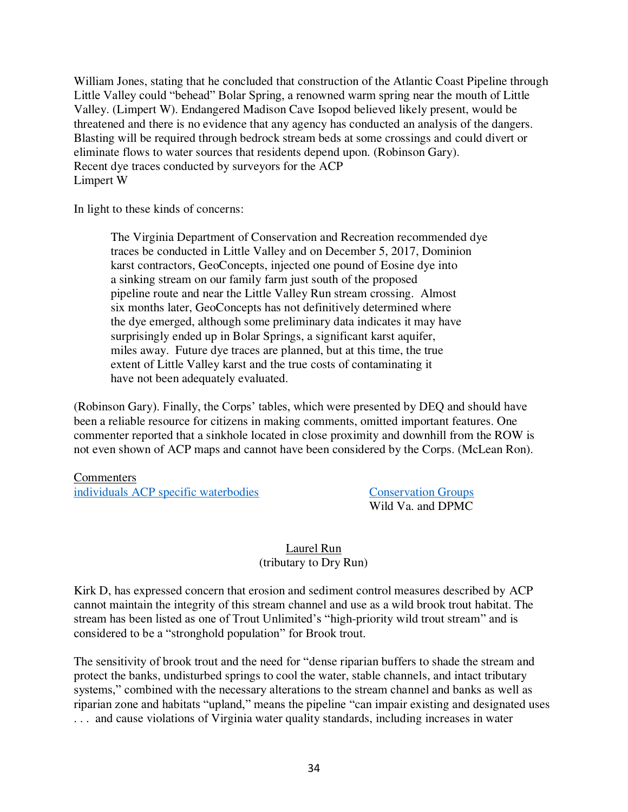William Jones, stating that he concluded that construction of the Atlantic Coast Pipeline through Little Valley could "behead" Bolar Spring, a renowned warm spring near the mouth of Little Valley. (Limpert W). Endangered Madison Cave Isopod believed likely present, would be threatened and there is no evidence that any agency has conducted an analysis of the dangers. Blasting will be required through bedrock stream beds at some crossings and could divert or eliminate flows to water sources that residents depend upon. (Robinson Gary). Recent dye traces conducted by surveyors for the ACP Limpert W

In light to these kinds of concerns:

The Virginia Department of Conservation and Recreation recommended dye traces be conducted in Little Valley and on December 5, 2017, Dominion karst contractors, GeoConcepts, injected one pound of Eosine dye into a sinking stream on our family farm just south of the proposed pipeline route and near the Little Valley Run stream crossing. Almost six months later, GeoConcepts has not definitively determined where the dye emerged, although some preliminary data indicates it may have surprisingly ended up in Bolar Springs, a significant karst aquifer, miles away. Future dye traces are planned, but at this time, the true extent of Little Valley karst and the true costs of contaminating it have not been adequately evaluated.

(Robinson Gary). Finally, the Corps' tables, which were presented by DEQ and should have been a reliable resource for citizens in making comments, omitted important features. One commenter reported that a sinkhole located in close proximity and downhill from the ROW is not even shown of ACP maps and cannot have been considered by the Corps. (McLean Ron).

**Commenters** [individuals ACP specific waterbodies](https://drive.google.com/drive/folders/1kxxmTD79WtwY0BXLyzcpWQWmatDcXZxu) [Conservation Groups](https://drive.google.com/drive/folders/1YuymAxgcUn6hp_FKuvuVt8RP-iDkMFp9)

Wild Va. and DPMC

# Laurel Run

(tributary to Dry Run)

Kirk D, has expressed concern that erosion and sediment control measures described by ACP cannot maintain the integrity of this stream channel and use as a wild brook trout habitat. The stream has been listed as one of Trout Unlimited's "high-priority wild trout stream" and is considered to be a "stronghold population" for Brook trout.

The sensitivity of brook trout and the need for "dense riparian buffers to shade the stream and protect the banks, undisturbed springs to cool the water, stable channels, and intact tributary systems," combined with the necessary alterations to the stream channel and banks as well as riparian zone and habitats "upland," means the pipeline "can impair existing and designated uses . . . and cause violations of Virginia water quality standards, including increases in water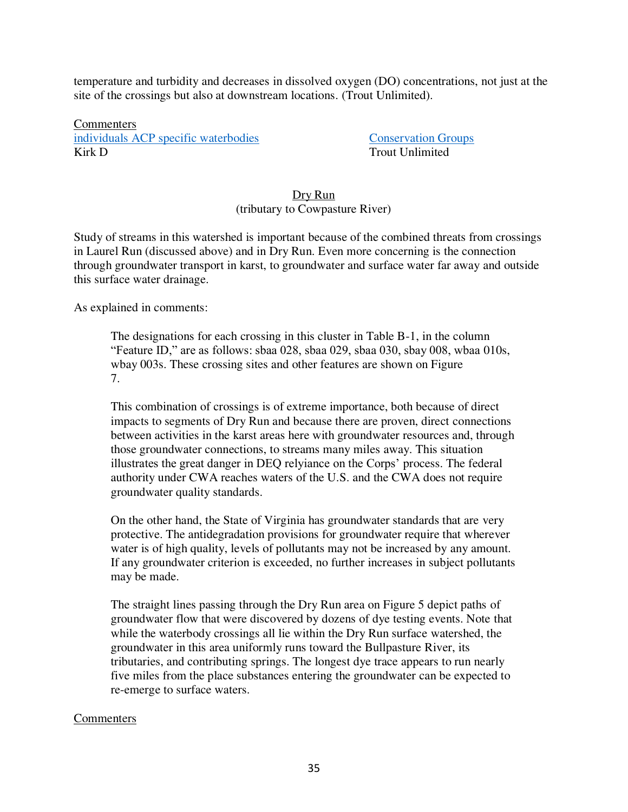temperature and turbidity and decreases in dissolved oxygen (DO) concentrations, not just at the site of the crossings but also at downstream locations. (Trout Unlimited).

Commenters [individuals ACP specific waterbodies](https://drive.google.com/drive/folders/1kxxmTD79WtwY0BXLyzcpWQWmatDcXZxu) [Conservation Groups](https://drive.google.com/drive/folders/1YuymAxgcUn6hp_FKuvuVt8RP-iDkMFp9) Kirk D Trout Unlimited

#### Dry Run (tributary to Cowpasture River)

Study of streams in this watershed is important because of the combined threats from crossings in Laurel Run (discussed above) and in Dry Run. Even more concerning is the connection through groundwater transport in karst, to groundwater and surface water far away and outside this surface water drainage.

As explained in comments:

The designations for each crossing in this cluster in Table B-1, in the column "Feature ID," are as follows: sbaa 028, sbaa 029, sbaa 030, sbay 008, wbaa 010s, wbay 003s. These crossing sites and other features are shown on Figure 7.

This combination of crossings is of extreme importance, both because of direct impacts to segments of Dry Run and because there are proven, direct connections between activities in the karst areas here with groundwater resources and, through those groundwater connections, to streams many miles away. This situation illustrates the great danger in DEQ relyiance on the Corps' process. The federal authority under CWA reaches waters of the U.S. and the CWA does not require groundwater quality standards.

On the other hand, the State of Virginia has groundwater standards that are very protective. The antidegradation provisions for groundwater require that wherever water is of high quality, levels of pollutants may not be increased by any amount. If any groundwater criterion is exceeded, no further increases in subject pollutants may be made.

The straight lines passing through the Dry Run area on Figure 5 depict paths of groundwater flow that were discovered by dozens of dye testing events. Note that while the waterbody crossings all lie within the Dry Run surface watershed, the groundwater in this area uniformly runs toward the Bullpasture River, its tributaries, and contributing springs. The longest dye trace appears to run nearly five miles from the place substances entering the groundwater can be expected to re-emerge to surface waters.

#### **Commenters**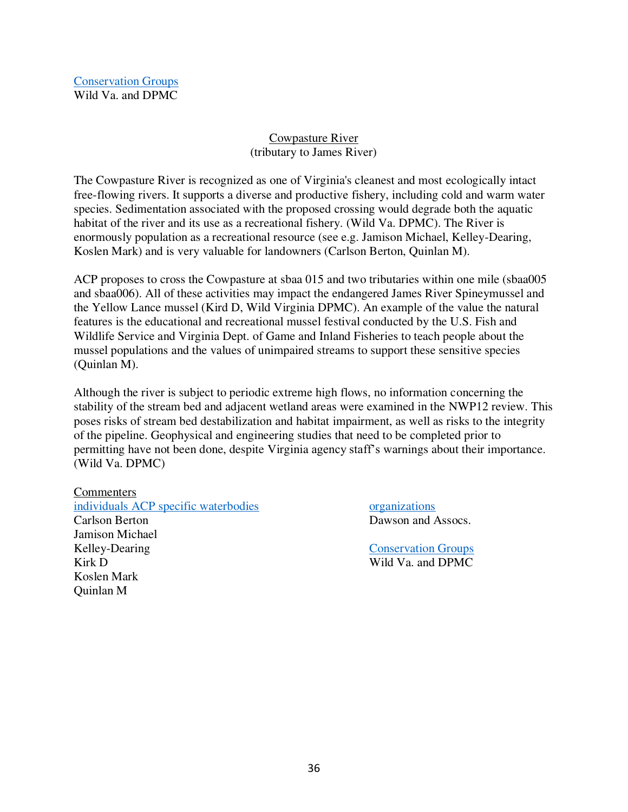[Conservation Groups](https://drive.google.com/drive/folders/1YuymAxgcUn6hp_FKuvuVt8RP-iDkMFp9) Wild Va. and DPMC

### Cowpasture River (tributary to James River)

The Cowpasture River is recognized as one of Virginia's cleanest and most ecologically intact free-flowing rivers. It supports a diverse and productive fishery, including cold and warm water species. Sedimentation associated with the proposed crossing would degrade both the aquatic habitat of the river and its use as a recreational fishery. (Wild Va. DPMC). The River is enormously population as a recreational resource (see e.g. Jamison Michael, Kelley-Dearing, Koslen Mark) and is very valuable for landowners (Carlson Berton, Quinlan M).

ACP proposes to cross the Cowpasture at sbaa 015 and two tributaries within one mile (sbaa005 and sbaa006). All of these activities may impact the endangered James River Spineymussel and the Yellow Lance mussel (Kird D, Wild Virginia DPMC). An example of the value the natural features is the educational and recreational mussel festival conducted by the U.S. Fish and Wildlife Service and Virginia Dept. of Game and Inland Fisheries to teach people about the mussel populations and the values of unimpaired streams to support these sensitive species (Quinlan M).

Although the river is subject to periodic extreme high flows, no information concerning the stability of the stream bed and adjacent wetland areas were examined in the NWP12 review. This poses risks of stream bed destabilization and habitat impairment, as well as risks to the integrity of the pipeline. Geophysical and engineering studies that need to be completed prior to permitting have not been done, despite Virginia agency staff's warnings about their importance. (Wild Va. DPMC)

#### **Commenters**

Koslen Mark Quinlan M

[individuals ACP specific waterbodies](https://drive.google.com/drive/folders/1kxxmTD79WtwY0BXLyzcpWQWmatDcXZxu) [organizations](https://drive.google.com/drive/folders/1XPKx-DWKS_f24qA0iOeuIZfi_1FWng-w) Carlson Berton Dawson and Assocs. Jamison Michael Kelley-Dearing [Conservation Groups](https://drive.google.com/drive/folders/1YuymAxgcUn6hp_FKuvuVt8RP-iDkMFp9)

Kirk D Wild Va. and DPMC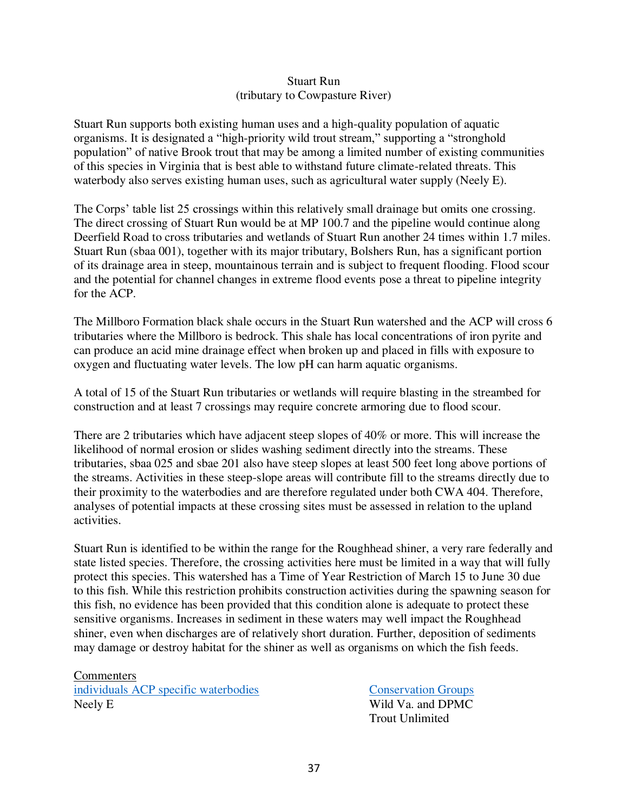### Stuart Run (tributary to Cowpasture River)

Stuart Run supports both existing human uses and a high-quality population of aquatic organisms. It is designated a "high-priority wild trout stream," supporting a "stronghold population" of native Brook trout that may be among a limited number of existing communities of this species in Virginia that is best able to withstand future climate-related threats. This waterbody also serves existing human uses, such as agricultural water supply (Neely E).

The Corps' table list 25 crossings within this relatively small drainage but omits one crossing. The direct crossing of Stuart Run would be at MP 100.7 and the pipeline would continue along Deerfield Road to cross tributaries and wetlands of Stuart Run another 24 times within 1.7 miles. Stuart Run (sbaa 001), together with its major tributary, Bolshers Run, has a significant portion of its drainage area in steep, mountainous terrain and is subject to frequent flooding. Flood scour and the potential for channel changes in extreme flood events pose a threat to pipeline integrity for the ACP.

The Millboro Formation black shale occurs in the Stuart Run watershed and the ACP will cross 6 tributaries where the Millboro is bedrock. This shale has local concentrations of iron pyrite and can produce an acid mine drainage effect when broken up and placed in fills with exposure to oxygen and fluctuating water levels. The low pH can harm aquatic organisms.

A total of 15 of the Stuart Run tributaries or wetlands will require blasting in the streambed for construction and at least 7 crossings may require concrete armoring due to flood scour.

There are 2 tributaries which have adjacent steep slopes of 40% or more. This will increase the likelihood of normal erosion or slides washing sediment directly into the streams. These tributaries, sbaa 025 and sbae 201 also have steep slopes at least 500 feet long above portions of the streams. Activities in these steep-slope areas will contribute fill to the streams directly due to their proximity to the waterbodies and are therefore regulated under both CWA 404. Therefore, analyses of potential impacts at these crossing sites must be assessed in relation to the upland activities.

Stuart Run is identified to be within the range for the Roughhead shiner, a very rare federally and state listed species. Therefore, the crossing activities here must be limited in a way that will fully protect this species. This watershed has a Time of Year Restriction of March 15 to June 30 due to this fish. While this restriction prohibits construction activities during the spawning season for this fish, no evidence has been provided that this condition alone is adequate to protect these sensitive organisms. Increases in sediment in these waters may well impact the Roughhead shiner, even when discharges are of relatively short duration. Further, deposition of sediments may damage or destroy habitat for the shiner as well as organisms on which the fish feeds.

**Commenters** [individuals ACP specific waterbodies](https://drive.google.com/drive/folders/1kxxmTD79WtwY0BXLyzcpWQWmatDcXZxu) [Conservation Groups](https://drive.google.com/drive/folders/1YuymAxgcUn6hp_FKuvuVt8RP-iDkMFp9) Neely E Wild Va. and DPMC

Trout Unlimited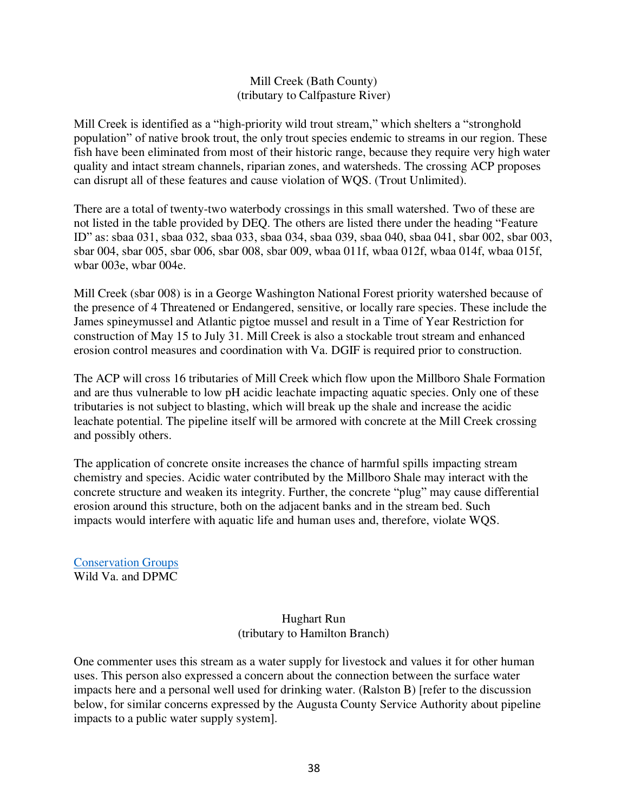# Mill Creek (Bath County) (tributary to Calfpasture River)

Mill Creek is identified as a "high-priority wild trout stream," which shelters a "stronghold population" of native brook trout, the only trout species endemic to streams in our region. These fish have been eliminated from most of their historic range, because they require very high water quality and intact stream channels, riparian zones, and watersheds. The crossing ACP proposes can disrupt all of these features and cause violation of WQS. (Trout Unlimited).

There are a total of twenty-two waterbody crossings in this small watershed. Two of these are not listed in the table provided by DEQ. The others are listed there under the heading "Feature ID" as: sbaa 031, sbaa 032, sbaa 033, sbaa 034, sbaa 039, sbaa 040, sbaa 041, sbar 002, sbar 003, sbar 004, sbar 005, sbar 006, sbar 008, sbar 009, wbaa 011f, wbaa 012f, wbaa 014f, wbaa 015f, wbar 003e, wbar 004e.

Mill Creek (sbar 008) is in a George Washington National Forest priority watershed because of the presence of 4 Threatened or Endangered, sensitive, or locally rare species. These include the James spineymussel and Atlantic pigtoe mussel and result in a Time of Year Restriction for construction of May 15 to July 31. Mill Creek is also a stockable trout stream and enhanced erosion control measures and coordination with Va. DGIF is required prior to construction.

The ACP will cross 16 tributaries of Mill Creek which flow upon the Millboro Shale Formation and are thus vulnerable to low pH acidic leachate impacting aquatic species. Only one of these tributaries is not subject to blasting, which will break up the shale and increase the acidic leachate potential. The pipeline itself will be armored with concrete at the Mill Creek crossing and possibly others.

The application of concrete onsite increases the chance of harmful spills impacting stream chemistry and species. Acidic water contributed by the Millboro Shale may interact with the concrete structure and weaken its integrity. Further, the concrete "plug" may cause differential erosion around this structure, both on the adjacent banks and in the stream bed. Such impacts would interfere with aquatic life and human uses and, therefore, violate WQS.

[Conservation Groups](https://drive.google.com/drive/folders/1YuymAxgcUn6hp_FKuvuVt8RP-iDkMFp9) Wild Va. and DPMC

# Hughart Run (tributary to Hamilton Branch)

One commenter uses this stream as a water supply for livestock and values it for other human uses. This person also expressed a concern about the connection between the surface water impacts here and a personal well used for drinking water. (Ralston B) [refer to the discussion below, for similar concerns expressed by the Augusta County Service Authority about pipeline impacts to a public water supply system].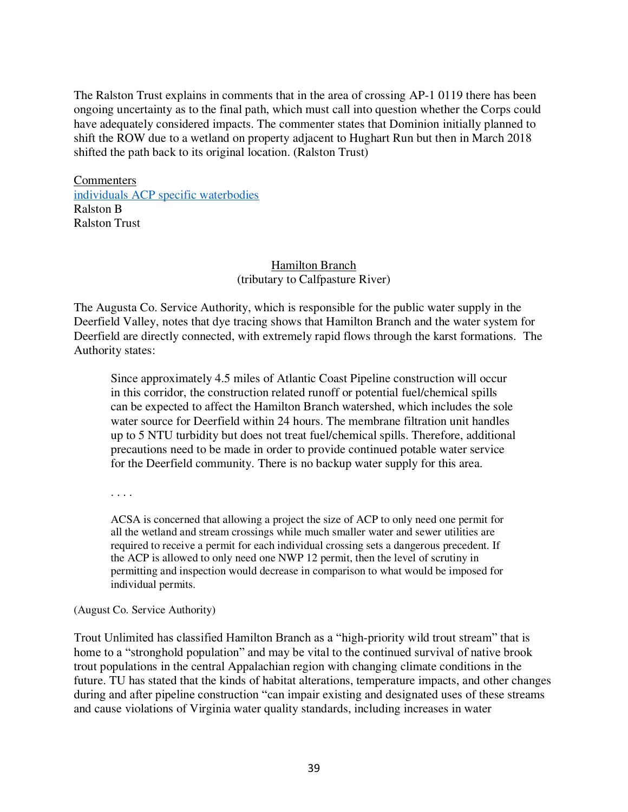The Ralston Trust explains in comments that in the area of crossing AP-1 0119 there has been ongoing uncertainty as to the final path, which must call into question whether the Corps could have adequately considered impacts. The commenter states that Dominion initially planned to shift the ROW due to a wetland on property adjacent to Hughart Run but then in March 2018 shifted the path back to its original location. (Ralston Trust)

Commenters [individuals ACP specific waterbodies](https://drive.google.com/drive/folders/1kxxmTD79WtwY0BXLyzcpWQWmatDcXZxu) Ralston B Ralston Trust

# Hamilton Branch (tributary to Calfpasture River)

The Augusta Co. Service Authority, which is responsible for the public water supply in the Deerfield Valley, notes that dye tracing shows that Hamilton Branch and the water system for Deerfield are directly connected, with extremely rapid flows through the karst formations. The Authority states:

Since approximately 4.5 miles of Atlantic Coast Pipeline construction will occur in this corridor, the construction related runoff or potential fuel/chemical spills can be expected to affect the Hamilton Branch watershed, which includes the sole water source for Deerfield within 24 hours. The membrane filtration unit handles up to 5 NTU turbidity but does not treat fuel/chemical spills. Therefore, additional precautions need to be made in order to provide continued potable water service for the Deerfield community. There is no backup water supply for this area.

. . . .

ACSA is concerned that allowing a project the size of ACP to only need one permit for all the wetland and stream crossings while much smaller water and sewer utilities are required to receive a permit for each individual crossing sets a dangerous precedent. If the ACP is allowed to only need one NWP 12 permit, then the level of scrutiny in permitting and inspection would decrease in comparison to what would be imposed for individual permits.

(August Co. Service Authority)

Trout Unlimited has classified Hamilton Branch as a "high-priority wild trout stream" that is home to a "stronghold population" and may be vital to the continued survival of native brook trout populations in the central Appalachian region with changing climate conditions in the future. TU has stated that the kinds of habitat alterations, temperature impacts, and other changes during and after pipeline construction "can impair existing and designated uses of these streams and cause violations of Virginia water quality standards, including increases in water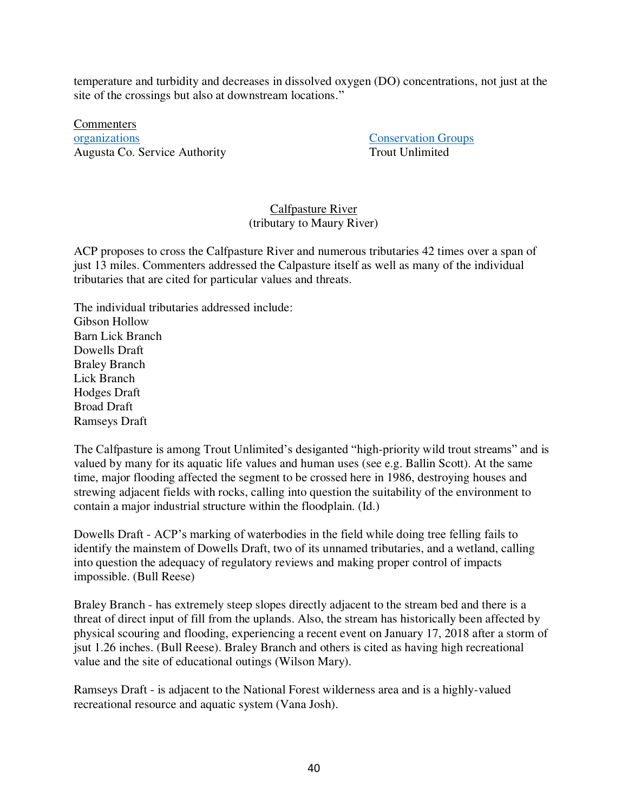temperature and turbidity and decreases in dissolved oxygen (DO) concentrations, not just at the site of the crossings but also at downstream locations."

**Commenters** [organizations](https://drive.google.com/drive/folders/1XPKx-DWKS_f24qA0iOeuIZfi_1FWng-w) [Conservation Groups](https://drive.google.com/drive/folders/1YuymAxgcUn6hp_FKuvuVt8RP-iDkMFp9) Augusta Co. Service Authority Trout Unlimited

# Calfpasture River (tributary to Maury River)

ACP proposes to cross the Calfpasture River and numerous tributaries 42 times over a span of just 13 miles. Commenters addressed the Calpasture itself as well as many of the individual tributaries that are cited for particular values and threats.

The individual tributaries addressed include: Gibson Hollow Barn Lick Branch Dowells Draft Braley Branch Lick Branch Hodges Draft Broad Draft Ramseys Draft

The Calfpasture is among Trout Unlimited's desiganted "high-priority wild trout streams" and is valued by many for its aquatic life values and human uses (see e.g. Ballin Scott). At the same time, major flooding affected the segment to be crossed here in 1986, destroying houses and strewing adjacent fields with rocks, calling into question the suitability of the environment to contain a major industrial structure within the floodplain. (Id.)

Dowells Draft - ACP's marking of waterbodies in the field while doing tree felling fails to identify the mainstem of Dowells Draft, two of its unnamed tributaries, and a wetland, calling into question the adequacy of regulatory reviews and making proper control of impacts impossible. (Bull Reese)

Braley Branch - has extremely steep slopes directly adjacent to the stream bed and there is a threat of direct input of fill from the uplands. Also, the stream has historically been affected by physical scouring and flooding, experiencing a recent event on January 17, 2018 after a storm of jsut 1.26 inches. (Bull Reese). Braley Branch and others is cited as having high recreational value and the site of educational outings (Wilson Mary).

Ramseys Draft - is adjacent to the National Forest wilderness area and is a highly-valued recreational resource and aquatic system (Vana Josh).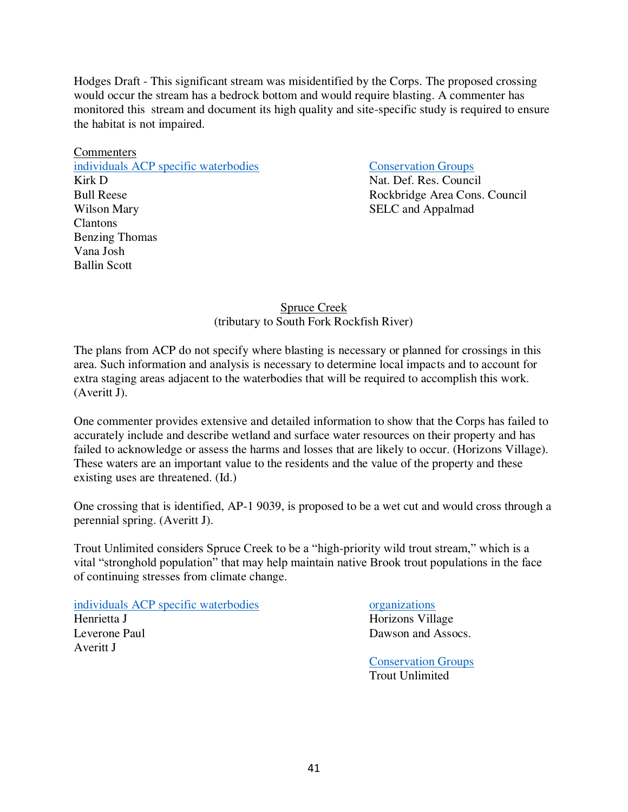Hodges Draft - This significant stream was misidentified by the Corps. The proposed crossing would occur the stream has a bedrock bottom and would require blasting. A commenter has monitored this stream and document its high quality and site-specific study is required to ensure the habitat is not impaired.

**Commenters** [individuals ACP specific waterbodies](https://drive.google.com/drive/folders/1kxxmTD79WtwY0BXLyzcpWQWmatDcXZxu) [Conservation Groups](https://drive.google.com/drive/folders/1YuymAxgcUn6hp_FKuvuVt8RP-iDkMFp9) Kirk D Nat. Def. Res. Council Bull Reese Rockbridge Area Cons. Council Wilson Mary SELC and Appalmad Clantons Benzing Thomas Vana Josh Ballin Scott

# Spruce Creek (tributary to South Fork Rockfish River)

The plans from ACP do not specify where blasting is necessary or planned for crossings in this area. Such information and analysis is necessary to determine local impacts and to account for extra staging areas adjacent to the waterbodies that will be required to accomplish this work. (Averitt J).

One commenter provides extensive and detailed information to show that the Corps has failed to accurately include and describe wetland and surface water resources on their property and has failed to acknowledge or assess the harms and losses that are likely to occur. (Horizons Village). These waters are an important value to the residents and the value of the property and these existing uses are threatened. (Id.)

One crossing that is identified, AP-1 9039, is proposed to be a wet cut and would cross through a perennial spring. (Averitt J).

Trout Unlimited considers Spruce Creek to be a "high-priority wild trout stream," which is a vital "stronghold population" that may help maintain native Brook trout populations in the face of continuing stresses from climate change.

[individuals ACP specific waterbodies](https://drive.google.com/drive/folders/1kxxmTD79WtwY0BXLyzcpWQWmatDcXZxu) [organizations](https://drive.google.com/drive/folders/1XPKx-DWKS_f24qA0iOeuIZfi_1FWng-w) Henrietta J Horizons Village Leverone Paul Dawson and Assocs. Averitt J

 [Conservation Groups](https://drive.google.com/drive/folders/1YuymAxgcUn6hp_FKuvuVt8RP-iDkMFp9) Trout Unlimited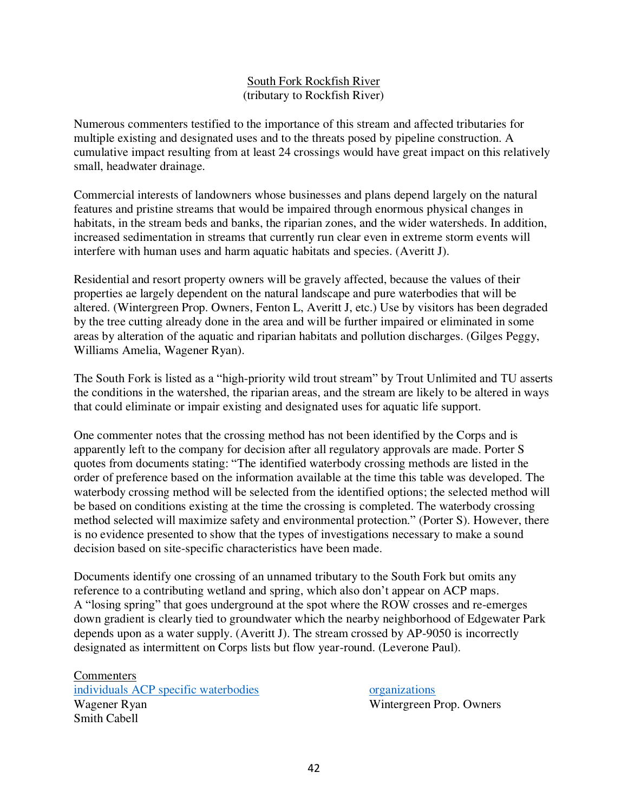# South Fork Rockfish River (tributary to Rockfish River)

Numerous commenters testified to the importance of this stream and affected tributaries for multiple existing and designated uses and to the threats posed by pipeline construction. A cumulative impact resulting from at least 24 crossings would have great impact on this relatively small, headwater drainage.

Commercial interests of landowners whose businesses and plans depend largely on the natural features and pristine streams that would be impaired through enormous physical changes in habitats, in the stream beds and banks, the riparian zones, and the wider watersheds. In addition, increased sedimentation in streams that currently run clear even in extreme storm events will interfere with human uses and harm aquatic habitats and species. (Averitt J).

Residential and resort property owners will be gravely affected, because the values of their properties ae largely dependent on the natural landscape and pure waterbodies that will be altered. (Wintergreen Prop. Owners, Fenton L, Averitt J, etc.) Use by visitors has been degraded by the tree cutting already done in the area and will be further impaired or eliminated in some areas by alteration of the aquatic and riparian habitats and pollution discharges. (Gilges Peggy, Williams Amelia, Wagener Ryan).

The South Fork is listed as a "high-priority wild trout stream" by Trout Unlimited and TU asserts the conditions in the watershed, the riparian areas, and the stream are likely to be altered in ways that could eliminate or impair existing and designated uses for aquatic life support.

One commenter notes that the crossing method has not been identified by the Corps and is apparently left to the company for decision after all regulatory approvals are made. Porter S quotes from documents stating: "The identified waterbody crossing methods are listed in the order of preference based on the information available at the time this table was developed. The waterbody crossing method will be selected from the identified options; the selected method will be based on conditions existing at the time the crossing is completed. The waterbody crossing method selected will maximize safety and environmental protection." (Porter S). However, there is no evidence presented to show that the types of investigations necessary to make a sound decision based on site-specific characteristics have been made.

Documents identify one crossing of an unnamed tributary to the South Fork but omits any reference to a contributing wetland and spring, which also don't appear on ACP maps. A "losing spring" that goes underground at the spot where the ROW crosses and re-emerges down gradient is clearly tied to groundwater which the nearby neighborhood of Edgewater Park depends upon as a water supply. (Averitt J). The stream crossed by AP-9050 is incorrectly designated as intermittent on Corps lists but flow year-round. (Leverone Paul).

**Commenters** [individuals ACP specific waterbodies](https://drive.google.com/drive/folders/1kxxmTD79WtwY0BXLyzcpWQWmatDcXZxu) [organizations](https://drive.google.com/drive/folders/1XPKx-DWKS_f24qA0iOeuIZfi_1FWng-w) Wagener Ryan Wintergreen Prop. Owners Smith Cabell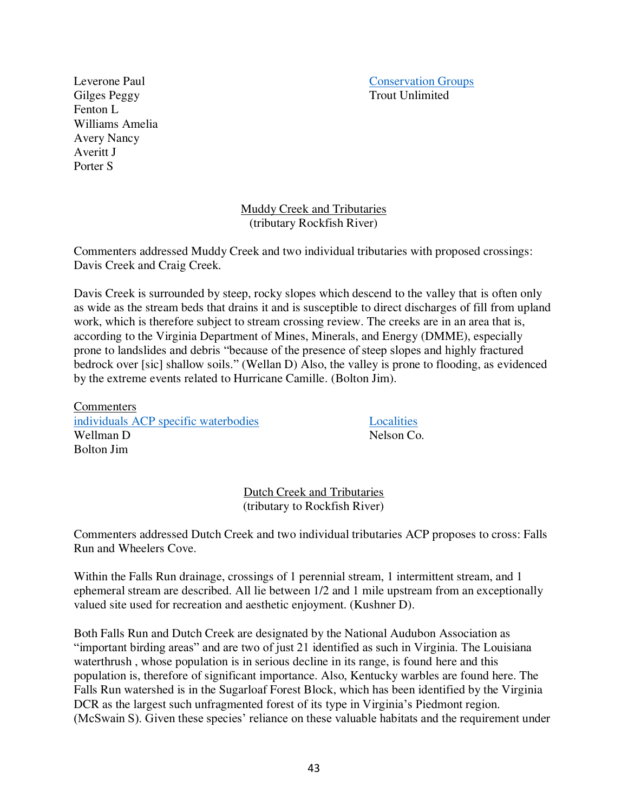Leverone Paul [Conservation Groups](https://drive.google.com/drive/folders/1YuymAxgcUn6hp_FKuvuVt8RP-iDkMFp9)<br>
Gilges Peggy<br>
Trout Unlimited

Gilges Peggy Fenton L Williams Amelia Avery Nancy Averitt J Porter S

> Muddy Creek and Tributaries (tributary Rockfish River)

Commenters addressed Muddy Creek and two individual tributaries with proposed crossings: Davis Creek and Craig Creek.

Davis Creek is surrounded by steep, rocky slopes which descend to the valley that is often only as wide as the stream beds that drains it and is susceptible to direct discharges of fill from upland work, which is therefore subject to stream crossing review. The creeks are in an area that is, according to the Virginia Department of Mines, Minerals, and Energy (DMME), especially prone to landslides and debris "because of the presence of steep slopes and highly fractured bedrock over [sic] shallow soils." (Wellan D) Also, the valley is prone to flooding, as evidenced by the extreme events related to Hurricane Camille. (Bolton Jim).

**Commenters** [individuals ACP specific waterbodies](https://drive.google.com/drive/folders/1kxxmTD79WtwY0BXLyzcpWQWmatDcXZxu) [Localities](https://drive.google.com/drive/folders/1pLazzbixw6k-gC017RfSl8Xtfl4JbtNH) Wellman D Nelson Co. Bolton Jim

Dutch Creek and Tributaries (tributary to Rockfish River)

Commenters addressed Dutch Creek and two individual tributaries ACP proposes to cross: Falls Run and Wheelers Cove.

Within the Falls Run drainage, crossings of 1 perennial stream, 1 intermittent stream, and 1 ephemeral stream are described. All lie between 1/2 and 1 mile upstream from an exceptionally valued site used for recreation and aesthetic enjoyment. (Kushner D).

Both Falls Run and Dutch Creek are designated by the National Audubon Association as "important birding areas" and are two of just 21 identified as such in Virginia. The Louisiana waterthrush , whose population is in serious decline in its range, is found here and this population is, therefore of significant importance. Also, Kentucky warbles are found here. The Falls Run watershed is in the Sugarloaf Forest Block, which has been identified by the Virginia DCR as the largest such unfragmented forest of its type in Virginia's Piedmont region. (McSwain S). Given these species' reliance on these valuable habitats and the requirement under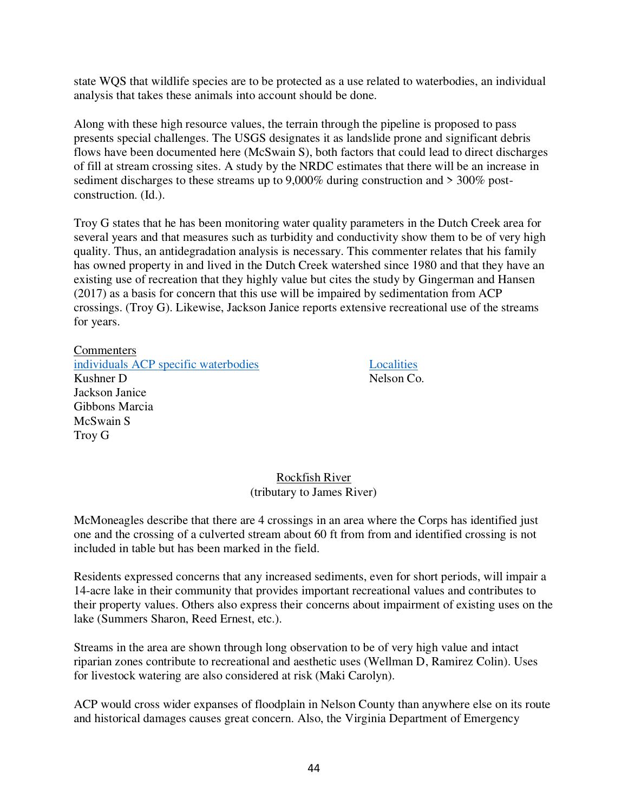state WQS that wildlife species are to be protected as a use related to waterbodies, an individual analysis that takes these animals into account should be done.

Along with these high resource values, the terrain through the pipeline is proposed to pass presents special challenges. The USGS designates it as landslide prone and significant debris flows have been documented here (McSwain S), both factors that could lead to direct discharges of fill at stream crossing sites. A study by the NRDC estimates that there will be an increase in sediment discharges to these streams up to 9,000% during construction and > 300% postconstruction. (Id.).

Troy G states that he has been monitoring water quality parameters in the Dutch Creek area for several years and that measures such as turbidity and conductivity show them to be of very high quality. Thus, an antidegradation analysis is necessary. This commenter relates that his family has owned property in and lived in the Dutch Creek watershed since 1980 and that they have an existing use of recreation that they highly value but cites the study by Gingerman and Hansen (2017) as a basis for concern that this use will be impaired by sedimentation from ACP crossings. (Troy G). Likewise, Jackson Janice reports extensive recreational use of the streams for years.

#### **Commenters**

[individuals ACP specific waterbodies](https://drive.google.com/drive/folders/1kxxmTD79WtwY0BXLyzcpWQWmatDcXZxu) [Localities](https://drive.google.com/drive/folders/1pLazzbixw6k-gC017RfSl8Xtfl4JbtNH) Kushner D Nelson Co. Jackson Janice Gibbons Marcia McSwain S Troy G

# Rockfish River

# (tributary to James River)

McMoneagles describe that there are 4 crossings in an area where the Corps has identified just one and the crossing of a culverted stream about 60 ft from from and identified crossing is not included in table but has been marked in the field.

Residents expressed concerns that any increased sediments, even for short periods, will impair a 14-acre lake in their community that provides important recreational values and contributes to their property values. Others also express their concerns about impairment of existing uses on the lake (Summers Sharon, Reed Ernest, etc.).

Streams in the area are shown through long observation to be of very high value and intact riparian zones contribute to recreational and aesthetic uses (Wellman D, Ramirez Colin). Uses for livestock watering are also considered at risk (Maki Carolyn).

ACP would cross wider expanses of floodplain in Nelson County than anywhere else on its route and historical damages causes great concern. Also, the Virginia Department of Emergency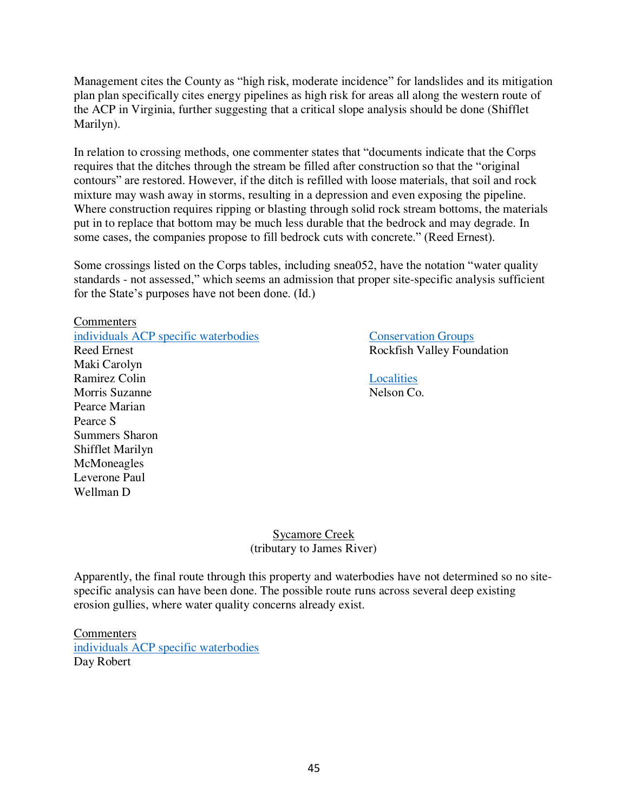Management cites the County as "high risk, moderate incidence" for landslides and its mitigation plan plan specifically cites energy pipelines as high risk for areas all along the western route of the ACP in Virginia, further suggesting that a critical slope analysis should be done (Shifflet Marilyn).

In relation to crossing methods, one commenter states that "documents indicate that the Corps requires that the ditches through the stream be filled after construction so that the "original contours" are restored. However, if the ditch is refilled with loose materials, that soil and rock mixture may wash away in storms, resulting in a depression and even exposing the pipeline. Where construction requires ripping or blasting through solid rock stream bottoms, the materials put in to replace that bottom may be much less durable that the bedrock and may degrade. In some cases, the companies propose to fill bedrock cuts with concrete." (Reed Ernest).

Some crossings listed on the Corps tables, including snea052, have the notation "water quality standards - not assessed," which seems an admission that proper site-specific analysis sufficient for the State's purposes have not been done. (Id.)

**Commenters** [individuals ACP specific waterbodies](https://drive.google.com/drive/folders/1kxxmTD79WtwY0BXLyzcpWQWmatDcXZxu) [Conservation Groups](https://drive.google.com/drive/folders/1YuymAxgcUn6hp_FKuvuVt8RP-iDkMFp9) Reed Ernest Rockfish Valley Foundation Maki Carolyn Ramirez Colin [Localities](https://drive.google.com/drive/folders/1pLazzbixw6k-gC017RfSl8Xtfl4JbtNH) Morris Suzanne Nelson Co. Pearce Marian Pearce S Summers Sharon Shifflet Marilyn McMoneagles Leverone Paul Wellman D

Sycamore Creek (tributary to James River)

Apparently, the final route through this property and waterbodies have not determined so no sitespecific analysis can have been done. The possible route runs across several deep existing erosion gullies, where water quality concerns already exist.

Commenters [individuals ACP specific waterbodies](https://drive.google.com/drive/folders/1kxxmTD79WtwY0BXLyzcpWQWmatDcXZxu) Day Robert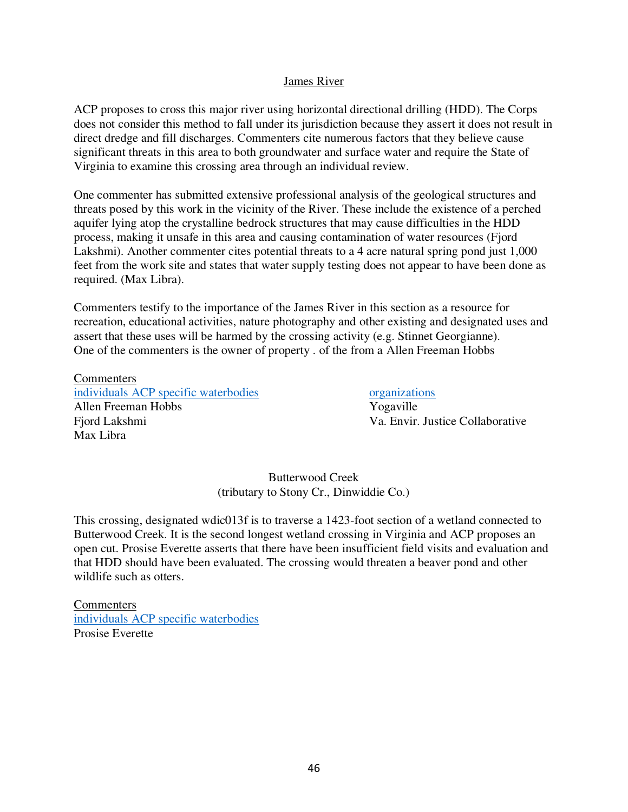### James River

ACP proposes to cross this major river using horizontal directional drilling (HDD). The Corps does not consider this method to fall under its jurisdiction because they assert it does not result in direct dredge and fill discharges. Commenters cite numerous factors that they believe cause significant threats in this area to both groundwater and surface water and require the State of Virginia to examine this crossing area through an individual review.

One commenter has submitted extensive professional analysis of the geological structures and threats posed by this work in the vicinity of the River. These include the existence of a perched aquifer lying atop the crystalline bedrock structures that may cause difficulties in the HDD process, making it unsafe in this area and causing contamination of water resources (Fjord Lakshmi). Another commenter cites potential threats to a 4 acre natural spring pond just 1,000 feet from the work site and states that water supply testing does not appear to have been done as required. (Max Libra).

Commenters testify to the importance of the James River in this section as a resource for recreation, educational activities, nature photography and other existing and designated uses and assert that these uses will be harmed by the crossing activity (e.g. Stinnet Georgianne). One of the commenters is the owner of property . of the from a Allen Freeman Hobbs

**Commenters** [individuals ACP specific waterbodies](https://drive.google.com/drive/folders/1kxxmTD79WtwY0BXLyzcpWQWmatDcXZxu) [organizations](https://drive.google.com/drive/folders/1XPKx-DWKS_f24qA0iOeuIZfi_1FWng-w) Allen Freeman Hobbs Yogaville Fjord Lakshmi Va. Envir. Justice Collaborative Max Libra

Butterwood Creek (tributary to Stony Cr., Dinwiddie Co.)

This crossing, designated wdic013f is to traverse a 1423-foot section of a wetland connected to Butterwood Creek. It is the second longest wetland crossing in Virginia and ACP proposes an open cut. Prosise Everette asserts that there have been insufficient field visits and evaluation and that HDD should have been evaluated. The crossing would threaten a beaver pond and other wildlife such as otters.

**Commenters** [individuals ACP specific waterbodies](https://drive.google.com/drive/folders/1kxxmTD79WtwY0BXLyzcpWQWmatDcXZxu) Prosise Everette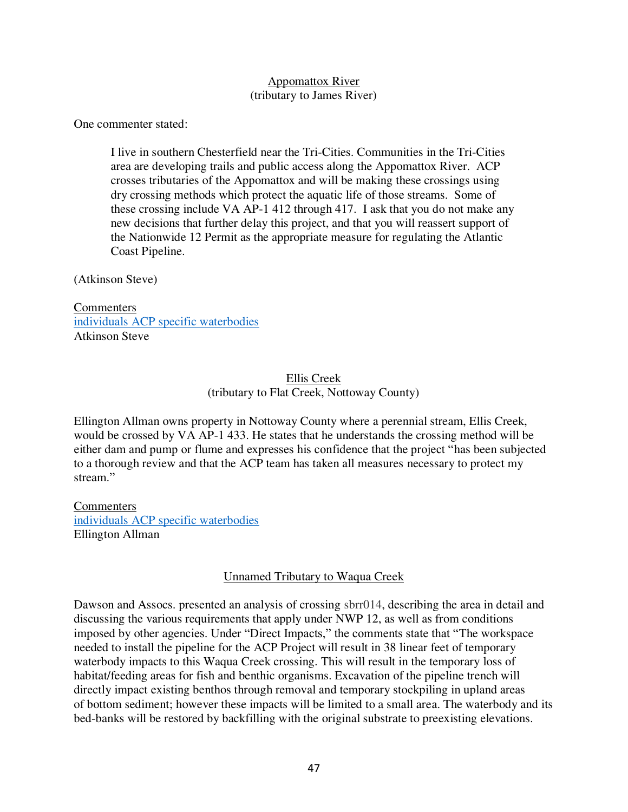### Appomattox River (tributary to James River)

One commenter stated:

I live in southern Chesterfield near the Tri-Cities. Communities in the Tri-Cities area are developing trails and public access along the Appomattox River. ACP crosses tributaries of the Appomattox and will be making these crossings using dry crossing methods which protect the aquatic life of those streams. Some of these crossing include VA AP-1 412 through 417. I ask that you do not make any new decisions that further delay this project, and that you will reassert support of the Nationwide 12 Permit as the appropriate measure for regulating the Atlantic Coast Pipeline.

(Atkinson Steve)

**Commenters** [individuals ACP specific waterbodies](https://drive.google.com/drive/folders/1kxxmTD79WtwY0BXLyzcpWQWmatDcXZxu) Atkinson Steve

# Ellis Creek (tributary to Flat Creek, Nottoway County)

Ellington Allman owns property in Nottoway County where a perennial stream, Ellis Creek, would be crossed by VA AP-1 433. He states that he understands the crossing method will be either dam and pump or flume and expresses his confidence that the project "has been subjected to a thorough review and that the ACP team has taken all measures necessary to protect my stream."

**Commenters** [individuals ACP specific waterbodies](https://drive.google.com/drive/folders/1kxxmTD79WtwY0BXLyzcpWQWmatDcXZxu) Ellington Allman

# Unnamed Tributary to Waqua Creek

Dawson and Assocs. presented an analysis of crossing sbrr014, describing the area in detail and discussing the various requirements that apply under NWP 12, as well as from conditions imposed by other agencies. Under "Direct Impacts," the comments state that "The workspace needed to install the pipeline for the ACP Project will result in 38 linear feet of temporary waterbody impacts to this Waqua Creek crossing. This will result in the temporary loss of habitat/feeding areas for fish and benthic organisms. Excavation of the pipeline trench will directly impact existing benthos through removal and temporary stockpiling in upland areas of bottom sediment; however these impacts will be limited to a small area. The waterbody and its bed-banks will be restored by backfilling with the original substrate to preexisting elevations.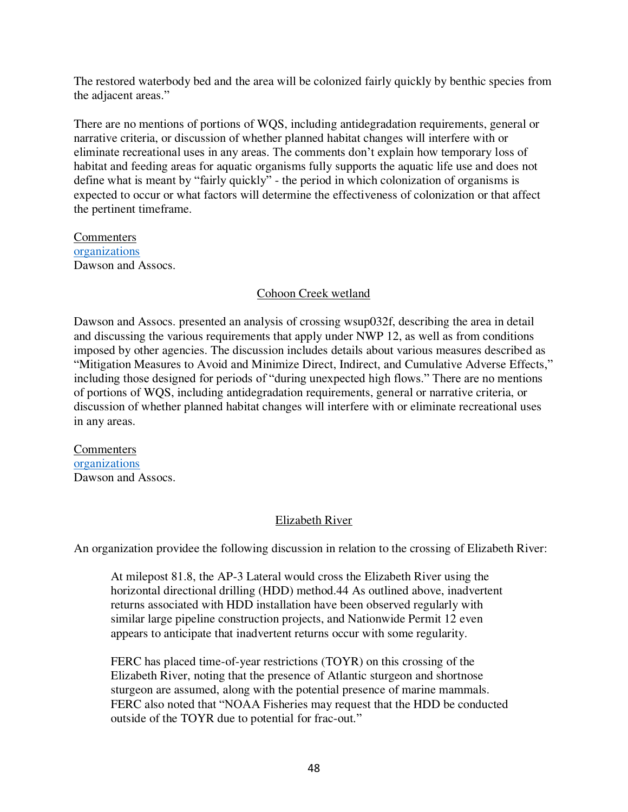The restored waterbody bed and the area will be colonized fairly quickly by benthic species from the adjacent areas."

There are no mentions of portions of WQS, including antidegradation requirements, general or narrative criteria, or discussion of whether planned habitat changes will interfere with or eliminate recreational uses in any areas. The comments don't explain how temporary loss of habitat and feeding areas for aquatic organisms fully supports the aquatic life use and does not define what is meant by "fairly quickly" - the period in which colonization of organisms is expected to occur or what factors will determine the effectiveness of colonization or that affect the pertinent timeframe.

Commenters [organizations](https://drive.google.com/drive/folders/1XPKx-DWKS_f24qA0iOeuIZfi_1FWng-w) Dawson and Assocs.

# Cohoon Creek wetland

Dawson and Assocs. presented an analysis of crossing wsup032f, describing the area in detail and discussing the various requirements that apply under NWP 12, as well as from conditions imposed by other agencies. The discussion includes details about various measures described as "Mitigation Measures to Avoid and Minimize Direct, Indirect, and Cumulative Adverse Effects," including those designed for periods of "during unexpected high flows." There are no mentions of portions of WQS, including antidegradation requirements, general or narrative criteria, or discussion of whether planned habitat changes will interfere with or eliminate recreational uses in any areas.

Commenters [organizations](https://drive.google.com/drive/folders/1XPKx-DWKS_f24qA0iOeuIZfi_1FWng-w) Dawson and Assocs.

# Elizabeth River

An organization providee the following discussion in relation to the crossing of Elizabeth River:

At milepost 81.8, the AP-3 Lateral would cross the Elizabeth River using the horizontal directional drilling (HDD) method.44 As outlined above, inadvertent returns associated with HDD installation have been observed regularly with similar large pipeline construction projects, and Nationwide Permit 12 even appears to anticipate that inadvertent returns occur with some regularity.

FERC has placed time-of-year restrictions (TOYR) on this crossing of the Elizabeth River, noting that the presence of Atlantic sturgeon and shortnose sturgeon are assumed, along with the potential presence of marine mammals. FERC also noted that "NOAA Fisheries may request that the HDD be conducted outside of the TOYR due to potential for frac-out."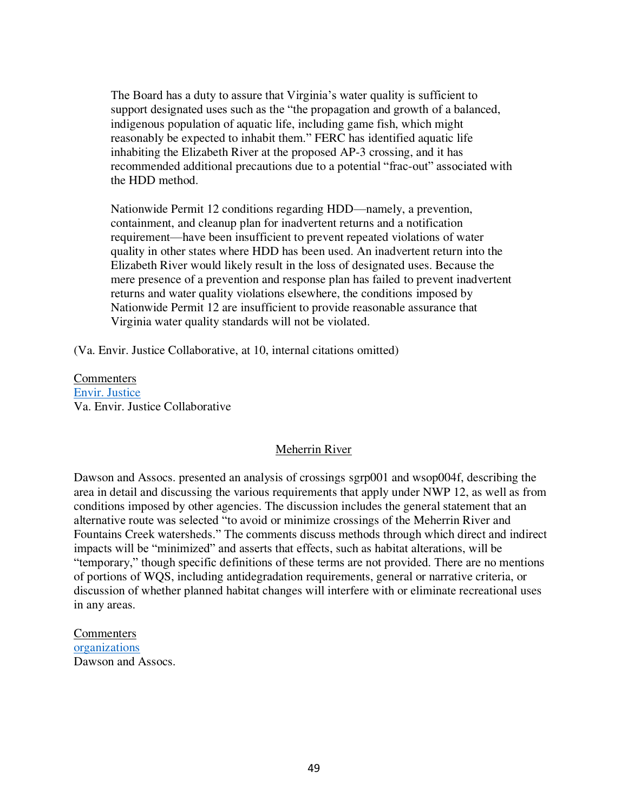The Board has a duty to assure that Virginia's water quality is sufficient to support designated uses such as the "the propagation and growth of a balanced, indigenous population of aquatic life, including game fish, which might reasonably be expected to inhabit them." FERC has identified aquatic life inhabiting the Elizabeth River at the proposed AP-3 crossing, and it has recommended additional precautions due to a potential "frac-out" associated with the HDD method.

Nationwide Permit 12 conditions regarding HDD—namely, a prevention, containment, and cleanup plan for inadvertent returns and a notification requirement—have been insufficient to prevent repeated violations of water quality in other states where HDD has been used. An inadvertent return into the Elizabeth River would likely result in the loss of designated uses. Because the mere presence of a prevention and response plan has failed to prevent inadvertent returns and water quality violations elsewhere, the conditions imposed by Nationwide Permit 12 are insufficient to provide reasonable assurance that Virginia water quality standards will not be violated.

(Va. Envir. Justice Collaborative, at 10, internal citations omitted)

Commenters [Envir. Justice](https://drive.google.com/drive/folders/1eS8KOY85zwYois2_uXPRv4GEGLuyNLru) Va. Envir. Justice Collaborative

#### Meherrin River

Dawson and Assocs. presented an analysis of crossings sgrp001 and wsop004f, describing the area in detail and discussing the various requirements that apply under NWP 12, as well as from conditions imposed by other agencies. The discussion includes the general statement that an alternative route was selected "to avoid or minimize crossings of the Meherrin River and Fountains Creek watersheds." The comments discuss methods through which direct and indirect impacts will be "minimized" and asserts that effects, such as habitat alterations, will be "temporary," though specific definitions of these terms are not provided. There are no mentions of portions of WQS, including antidegradation requirements, general or narrative criteria, or discussion of whether planned habitat changes will interfere with or eliminate recreational uses in any areas.

Commenters [organizations](https://drive.google.com/drive/folders/1XPKx-DWKS_f24qA0iOeuIZfi_1FWng-w) Dawson and Assocs.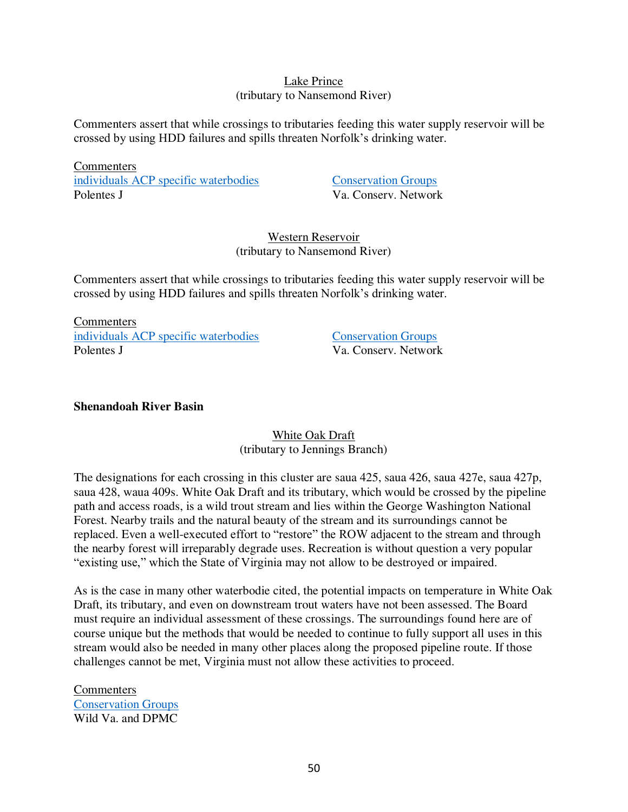### Lake Prince (tributary to Nansemond River)

Commenters assert that while crossings to tributaries feeding this water supply reservoir will be crossed by using HDD failures and spills threaten Norfolk's drinking water.

**Commenters** [individuals ACP specific waterbodies](https://drive.google.com/drive/folders/1kxxmTD79WtwY0BXLyzcpWQWmatDcXZxu) [Conservation Groups](https://drive.google.com/drive/folders/1YuymAxgcUn6hp_FKuvuVt8RP-iDkMFp9) Polentes J Va. Conserv. Network

# Western Reservoir (tributary to Nansemond River)

Commenters assert that while crossings to tributaries feeding this water supply reservoir will be crossed by using HDD failures and spills threaten Norfolk's drinking water.

**Commenters** [individuals ACP specific waterbodies](https://drive.google.com/drive/folders/1kxxmTD79WtwY0BXLyzcpWQWmatDcXZxu) [Conservation Groups](https://drive.google.com/drive/folders/1YuymAxgcUn6hp_FKuvuVt8RP-iDkMFp9) Polentes J Va Conserv. Network

# **Shenandoah River Basin**

White Oak Draft (tributary to Jennings Branch)

The designations for each crossing in this cluster are saua 425, saua 426, saua 427e, saua 427p, saua 428, waua 409s. White Oak Draft and its tributary, which would be crossed by the pipeline path and access roads, is a wild trout stream and lies within the George Washington National Forest. Nearby trails and the natural beauty of the stream and its surroundings cannot be replaced. Even a well-executed effort to "restore" the ROW adjacent to the stream and through the nearby forest will irreparably degrade uses. Recreation is without question a very popular "existing use," which the State of Virginia may not allow to be destroyed or impaired.

As is the case in many other waterbodie cited, the potential impacts on temperature in White Oak Draft, its tributary, and even on downstream trout waters have not been assessed. The Board must require an individual assessment of these crossings. The surroundings found here are of course unique but the methods that would be needed to continue to fully support all uses in this stream would also be needed in many other places along the proposed pipeline route. If those challenges cannot be met, Virginia must not allow these activities to proceed.

**Commenters** [Conservation Groups](https://drive.google.com/drive/folders/1YuymAxgcUn6hp_FKuvuVt8RP-iDkMFp9) Wild Va. and DPMC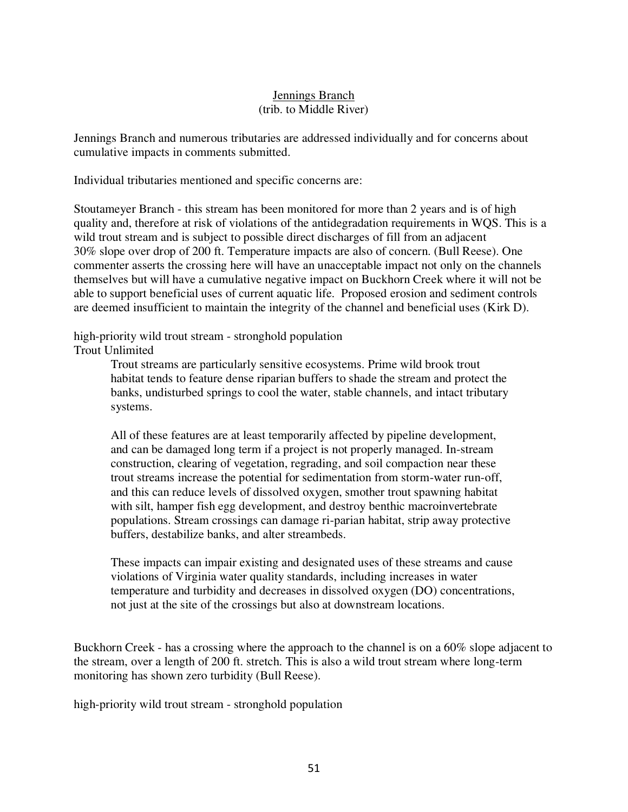# Jennings Branch (trib. to Middle River)

Jennings Branch and numerous tributaries are addressed individually and for concerns about cumulative impacts in comments submitted.

Individual tributaries mentioned and specific concerns are:

Stoutameyer Branch - this stream has been monitored for more than 2 years and is of high quality and, therefore at risk of violations of the antidegradation requirements in WQS. This is a wild trout stream and is subject to possible direct discharges of fill from an adjacent 30% slope over drop of 200 ft. Temperature impacts are also of concern. (Bull Reese). One commenter asserts the crossing here will have an unacceptable impact not only on the channels themselves but will have a cumulative negative impact on Buckhorn Creek where it will not be able to support beneficial uses of current aquatic life. Proposed erosion and sediment controls are deemed insufficient to maintain the integrity of the channel and beneficial uses (Kirk D).

high-priority wild trout stream - stronghold population

Trout Unlimited

Trout streams are particularly sensitive ecosystems. Prime wild brook trout habitat tends to feature dense riparian buffers to shade the stream and protect the banks, undisturbed springs to cool the water, stable channels, and intact tributary systems.

All of these features are at least temporarily affected by pipeline development, and can be damaged long term if a project is not properly managed. In-stream construction, clearing of vegetation, regrading, and soil compaction near these trout streams increase the potential for sedimentation from storm-water run-off, and this can reduce levels of dissolved oxygen, smother trout spawning habitat with silt, hamper fish egg development, and destroy benthic macroinvertebrate populations. Stream crossings can damage ri-parian habitat, strip away protective buffers, destabilize banks, and alter streambeds.

These impacts can impair existing and designated uses of these streams and cause violations of Virginia water quality standards, including increases in water temperature and turbidity and decreases in dissolved oxygen (DO) concentrations, not just at the site of the crossings but also at downstream locations.

Buckhorn Creek - has a crossing where the approach to the channel is on a 60% slope adjacent to the stream, over a length of 200 ft. stretch. This is also a wild trout stream where long-term monitoring has shown zero turbidity (Bull Reese).

high-priority wild trout stream - stronghold population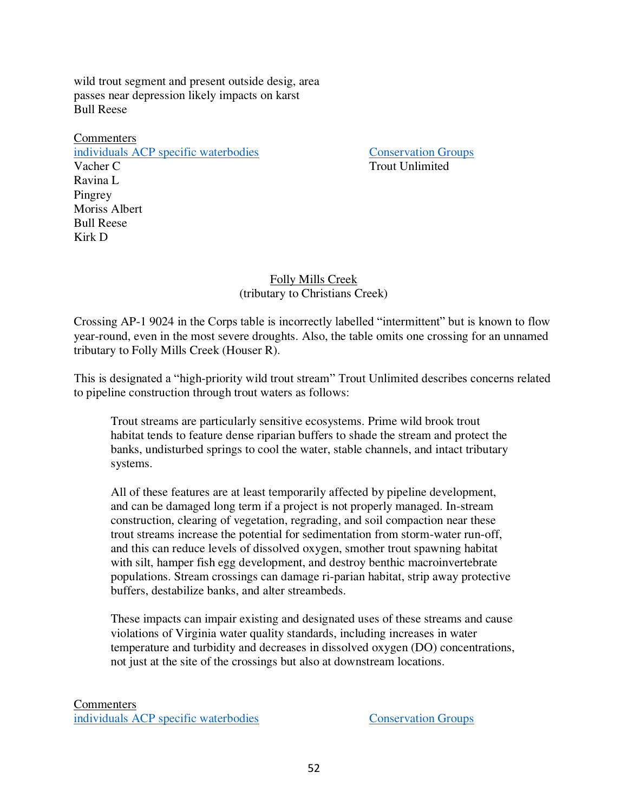wild trout segment and present outside desig, area passes near depression likely impacts on karst Bull Reese

Commenters [individuals ACP specific waterbodies](https://drive.google.com/drive/folders/1kxxmTD79WtwY0BXLyzcpWQWmatDcXZxu) [Conservation Groups](https://drive.google.com/drive/folders/1YuymAxgcUn6hp_FKuvuVt8RP-iDkMFp9) Vacher C Trout Unlimited Ravina L Pingrey Moriss Albert Bull Reese Kirk D

### Folly Mills Creek (tributary to Christians Creek)

Crossing AP-1 9024 in the Corps table is incorrectly labelled "intermittent" but is known to flow year-round, even in the most severe droughts. Also, the table omits one crossing for an unnamed tributary to Folly Mills Creek (Houser R).

This is designated a "high-priority wild trout stream" Trout Unlimited describes concerns related to pipeline construction through trout waters as follows:

Trout streams are particularly sensitive ecosystems. Prime wild brook trout habitat tends to feature dense riparian buffers to shade the stream and protect the banks, undisturbed springs to cool the water, stable channels, and intact tributary systems.

All of these features are at least temporarily affected by pipeline development, and can be damaged long term if a project is not properly managed. In-stream construction, clearing of vegetation, regrading, and soil compaction near these trout streams increase the potential for sedimentation from storm-water run-off, and this can reduce levels of dissolved oxygen, smother trout spawning habitat with silt, hamper fish egg development, and destroy benthic macroinvertebrate populations. Stream crossings can damage ri-parian habitat, strip away protective buffers, destabilize banks, and alter streambeds.

These impacts can impair existing and designated uses of these streams and cause violations of Virginia water quality standards, including increases in water temperature and turbidity and decreases in dissolved oxygen (DO) concentrations, not just at the site of the crossings but also at downstream locations.

**Commenters** [individuals ACP specific waterbodies](https://drive.google.com/drive/folders/1kxxmTD79WtwY0BXLyzcpWQWmatDcXZxu) [Conservation Groups](https://drive.google.com/drive/folders/1YuymAxgcUn6hp_FKuvuVt8RP-iDkMFp9)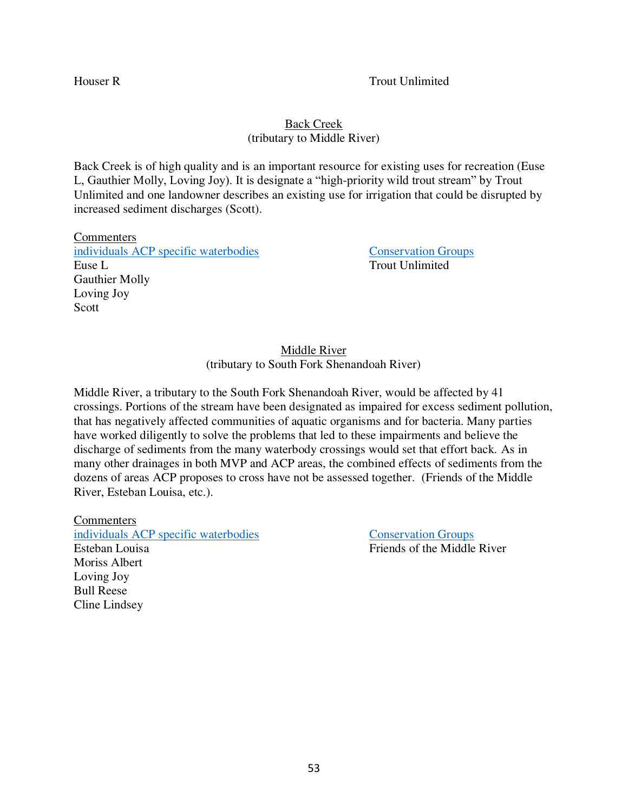### Houser R Trout Unlimited

# Back Creek (tributary to Middle River)

Back Creek is of high quality and is an important resource for existing uses for recreation (Euse L, Gauthier Molly, Loving Joy). It is designate a "high-priority wild trout stream" by Trout Unlimited and one landowner describes an existing use for irrigation that could be disrupted by increased sediment discharges (Scott).

**Commenters** [individuals ACP specific waterbodies](https://drive.google.com/drive/folders/1kxxmTD79WtwY0BXLyzcpWQWmatDcXZxu) [Conservation Groups](https://drive.google.com/drive/folders/1YuymAxgcUn6hp_FKuvuVt8RP-iDkMFp9) Euse L<br>Trout Unlimited Gauthier Molly Loving Joy Scott

Middle River (tributary to South Fork Shenandoah River)

Middle River, a tributary to the South Fork Shenandoah River, would be affected by 41 crossings. Portions of the stream have been designated as impaired for excess sediment pollution, that has negatively affected communities of aquatic organisms and for bacteria. Many parties have worked diligently to solve the problems that led to these impairments and believe the discharge of sediments from the many waterbody crossings would set that effort back. As in many other drainages in both MVP and ACP areas, the combined effects of sediments from the dozens of areas ACP proposes to cross have not be assessed together. (Friends of the Middle River, Esteban Louisa, etc.).

**Commenters** [individuals ACP specific waterbodies](https://drive.google.com/drive/folders/1kxxmTD79WtwY0BXLyzcpWQWmatDcXZxu) [Conservation Groups](https://drive.google.com/drive/folders/1YuymAxgcUn6hp_FKuvuVt8RP-iDkMFp9) Esteban Louisa **Friends** of the Middle River Moriss Albert Loving Joy Bull Reese Cline Lindsey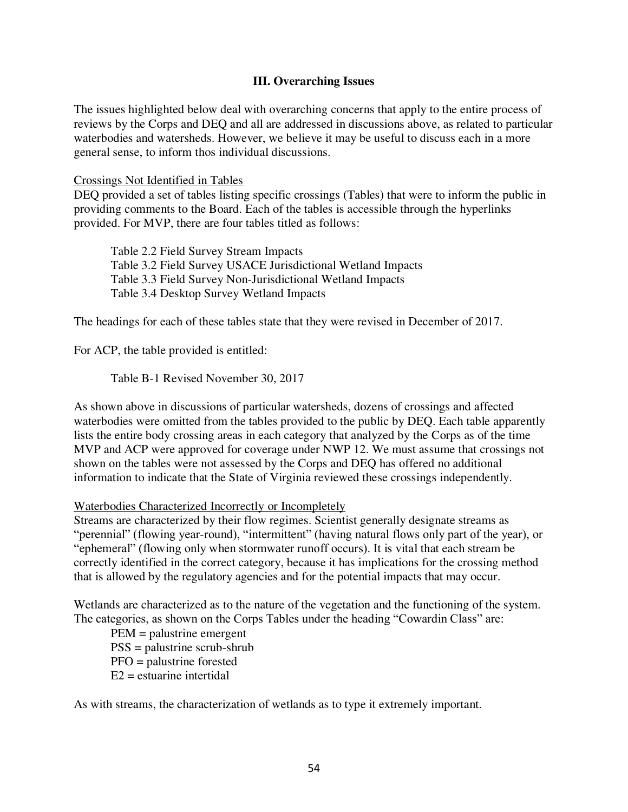### **III. Overarching Issues**

The issues highlighted below deal with overarching concerns that apply to the entire process of reviews by the Corps and DEQ and all are addressed in discussions above, as related to particular waterbodies and watersheds. However, we believe it may be useful to discuss each in a more general sense, to inform thos individual discussions.

Crossings Not Identified in Tables

DEQ provided a set of tables listing specific crossings (Tables) that were to inform the public in providing comments to the Board. Each of the tables is accessible through the hyperlinks provided. For MVP, there are four tables titled as follows:

Table 2.2 Field Survey Stream Impacts Table 3.2 Field Survey USACE Jurisdictional Wetland Impacts Table 3.3 Field Survey Non-Jurisdictional Wetland Impacts Table 3.4 Desktop Survey Wetland Impacts

The headings for each of these tables state that they were revised in December of 2017.

For ACP, the table provided is entitled:

Table B-1 Revised November 30, 2017

As shown above in discussions of particular watersheds, dozens of crossings and affected waterbodies were omitted from the tables provided to the public by DEQ. Each table apparently lists the entire body crossing areas in each category that analyzed by the Corps as of the time MVP and ACP were approved for coverage under NWP 12. We must assume that crossings not shown on the tables were not assessed by the Corps and DEQ has offered no additional information to indicate that the State of Virginia reviewed these crossings independently.

Waterbodies Characterized Incorrectly or Incompletely

Streams are characterized by their flow regimes. Scientist generally designate streams as "perennial" (flowing year-round), "intermittent" (having natural flows only part of the year), or "ephemeral" (flowing only when stormwater runoff occurs). It is vital that each stream be correctly identified in the correct category, because it has implications for the crossing method that is allowed by the regulatory agencies and for the potential impacts that may occur.

Wetlands are characterized as to the nature of the vegetation and the functioning of the system. The categories, as shown on the Corps Tables under the heading "Cowardin Class" are:

PEM = palustrine emergent PSS = palustrine scrub-shrub PFO = palustrine forested  $E2$  = estuarine intertidal

As with streams, the characterization of wetlands as to type it extremely important.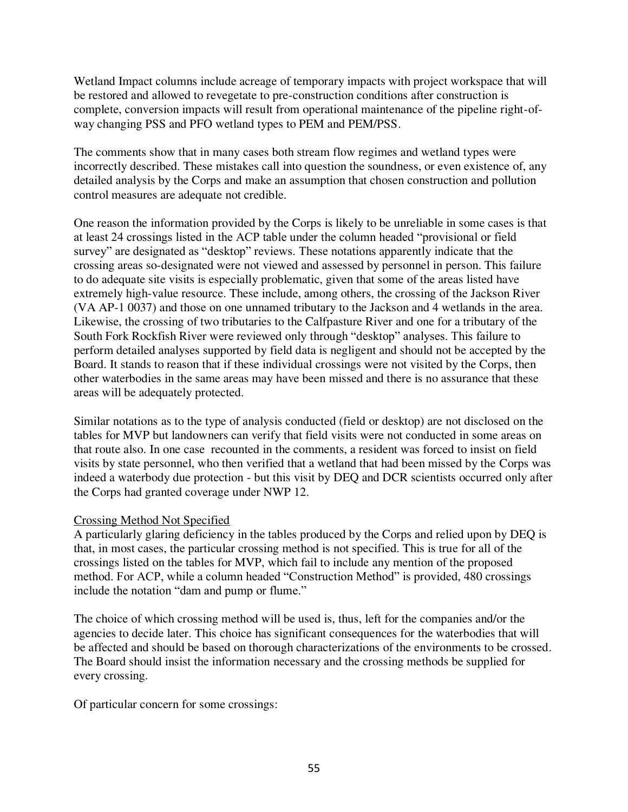Wetland Impact columns include acreage of temporary impacts with project workspace that will be restored and allowed to revegetate to pre-construction conditions after construction is complete, conversion impacts will result from operational maintenance of the pipeline right-ofway changing PSS and PFO wetland types to PEM and PEM/PSS.

The comments show that in many cases both stream flow regimes and wetland types were incorrectly described. These mistakes call into question the soundness, or even existence of, any detailed analysis by the Corps and make an assumption that chosen construction and pollution control measures are adequate not credible.

One reason the information provided by the Corps is likely to be unreliable in some cases is that at least 24 crossings listed in the ACP table under the column headed "provisional or field survey" are designated as "desktop" reviews. These notations apparently indicate that the crossing areas so-designated were not viewed and assessed by personnel in person. This failure to do adequate site visits is especially problematic, given that some of the areas listed have extremely high-value resource. These include, among others, the crossing of the Jackson River (VA AP-1 0037) and those on one unnamed tributary to the Jackson and 4 wetlands in the area. Likewise, the crossing of two tributaries to the Calfpasture River and one for a tributary of the South Fork Rockfish River were reviewed only through "desktop" analyses. This failure to perform detailed analyses supported by field data is negligent and should not be accepted by the Board. It stands to reason that if these individual crossings were not visited by the Corps, then other waterbodies in the same areas may have been missed and there is no assurance that these areas will be adequately protected.

Similar notations as to the type of analysis conducted (field or desktop) are not disclosed on the tables for MVP but landowners can verify that field visits were not conducted in some areas on that route also. In one case recounted in the comments, a resident was forced to insist on field visits by state personnel, who then verified that a wetland that had been missed by the Corps was indeed a waterbody due protection - but this visit by DEQ and DCR scientists occurred only after the Corps had granted coverage under NWP 12.

# Crossing Method Not Specified

A particularly glaring deficiency in the tables produced by the Corps and relied upon by DEQ is that, in most cases, the particular crossing method is not specified. This is true for all of the crossings listed on the tables for MVP, which fail to include any mention of the proposed method. For ACP, while a column headed "Construction Method" is provided, 480 crossings include the notation "dam and pump or flume."

The choice of which crossing method will be used is, thus, left for the companies and/or the agencies to decide later. This choice has significant consequences for the waterbodies that will be affected and should be based on thorough characterizations of the environments to be crossed. The Board should insist the information necessary and the crossing methods be supplied for every crossing.

Of particular concern for some crossings: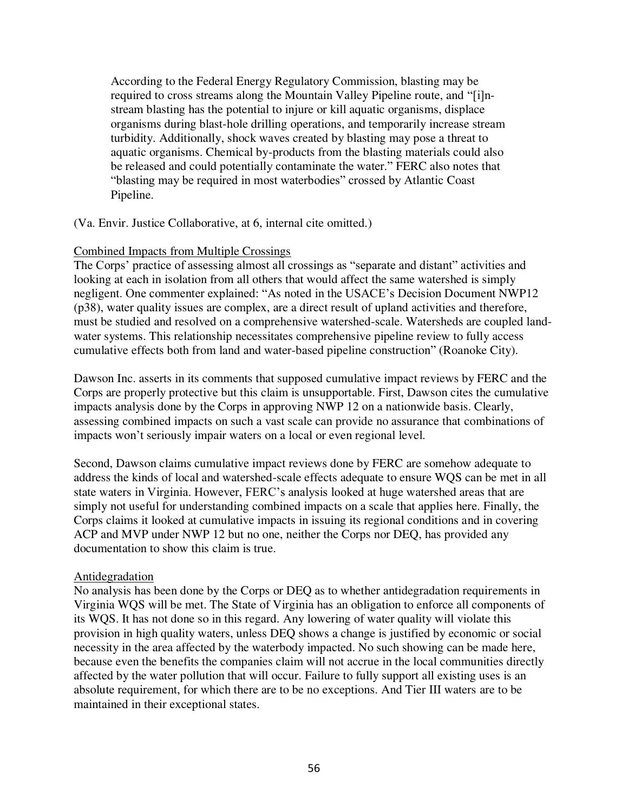According to the Federal Energy Regulatory Commission, blasting may be required to cross streams along the Mountain Valley Pipeline route, and "[i]nstream blasting has the potential to injure or kill aquatic organisms, displace organisms during blast-hole drilling operations, and temporarily increase stream turbidity. Additionally, shock waves created by blasting may pose a threat to aquatic organisms. Chemical by-products from the blasting materials could also be released and could potentially contaminate the water." FERC also notes that "blasting may be required in most waterbodies" crossed by Atlantic Coast Pipeline.

(Va. Envir. Justice Collaborative, at 6, internal cite omitted.)

### Combined Impacts from Multiple Crossings

The Corps' practice of assessing almost all crossings as "separate and distant" activities and looking at each in isolation from all others that would affect the same watershed is simply negligent. One commenter explained: "As noted in the USACE's Decision Document NWP12 (p38), water quality issues are complex, are a direct result of upland activities and therefore, must be studied and resolved on a comprehensive watershed-scale. Watersheds are coupled landwater systems. This relationship necessitates comprehensive pipeline review to fully access cumulative effects both from land and water-based pipeline construction" (Roanoke City).

Dawson Inc. asserts in its comments that supposed cumulative impact reviews by FERC and the Corps are properly protective but this claim is unsupportable. First, Dawson cites the cumulative impacts analysis done by the Corps in approving NWP 12 on a nationwide basis. Clearly, assessing combined impacts on such a vast scale can provide no assurance that combinations of impacts won't seriously impair waters on a local or even regional level.

Second, Dawson claims cumulative impact reviews done by FERC are somehow adequate to address the kinds of local and watershed-scale effects adequate to ensure WQS can be met in all state waters in Virginia. However, FERC's analysis looked at huge watershed areas that are simply not useful for understanding combined impacts on a scale that applies here. Finally, the Corps claims it looked at cumulative impacts in issuing its regional conditions and in covering ACP and MVP under NWP 12 but no one, neither the Corps nor DEQ, has provided any documentation to show this claim is true.

### Antidegradation

No analysis has been done by the Corps or DEQ as to whether antidegradation requirements in Virginia WQS will be met. The State of Virginia has an obligation to enforce all components of its WQS. It has not done so in this regard. Any lowering of water quality will violate this provision in high quality waters, unless DEQ shows a change is justified by economic or social necessity in the area affected by the waterbody impacted. No such showing can be made here, because even the benefits the companies claim will not accrue in the local communities directly affected by the water pollution that will occur. Failure to fully support all existing uses is an absolute requirement, for which there are to be no exceptions. And Tier III waters are to be maintained in their exceptional states.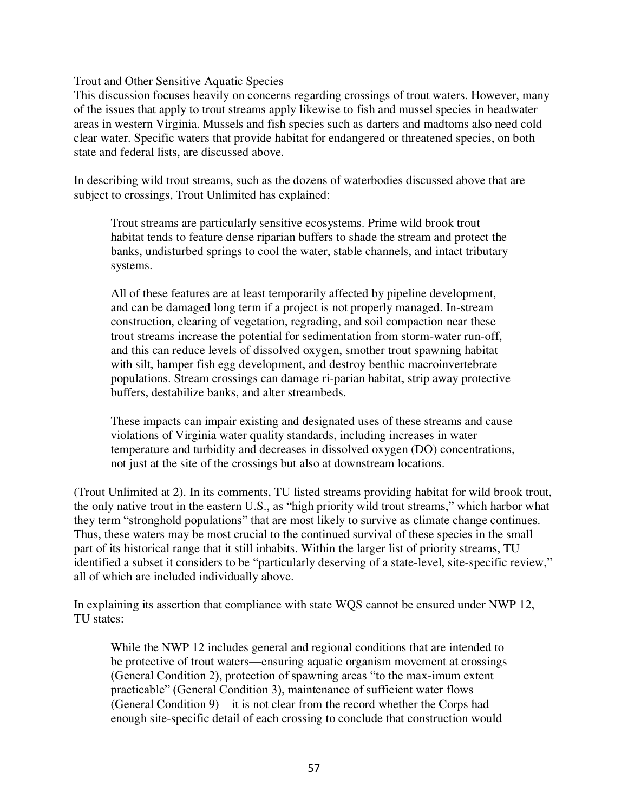# Trout and Other Sensitive Aquatic Species

This discussion focuses heavily on concerns regarding crossings of trout waters. However, many of the issues that apply to trout streams apply likewise to fish and mussel species in headwater areas in western Virginia. Mussels and fish species such as darters and madtoms also need cold clear water. Specific waters that provide habitat for endangered or threatened species, on both state and federal lists, are discussed above.

In describing wild trout streams, such as the dozens of waterbodies discussed above that are subject to crossings, Trout Unlimited has explained:

Trout streams are particularly sensitive ecosystems. Prime wild brook trout habitat tends to feature dense riparian buffers to shade the stream and protect the banks, undisturbed springs to cool the water, stable channels, and intact tributary systems.

All of these features are at least temporarily affected by pipeline development, and can be damaged long term if a project is not properly managed. In-stream construction, clearing of vegetation, regrading, and soil compaction near these trout streams increase the potential for sedimentation from storm-water run-off, and this can reduce levels of dissolved oxygen, smother trout spawning habitat with silt, hamper fish egg development, and destroy benthic macroinvertebrate populations. Stream crossings can damage ri-parian habitat, strip away protective buffers, destabilize banks, and alter streambeds.

These impacts can impair existing and designated uses of these streams and cause violations of Virginia water quality standards, including increases in water temperature and turbidity and decreases in dissolved oxygen (DO) concentrations, not just at the site of the crossings but also at downstream locations.

(Trout Unlimited at 2). In its comments, TU listed streams providing habitat for wild brook trout, the only native trout in the eastern U.S., as "high priority wild trout streams," which harbor what they term "stronghold populations" that are most likely to survive as climate change continues. Thus, these waters may be most crucial to the continued survival of these species in the small part of its historical range that it still inhabits. Within the larger list of priority streams, TU identified a subset it considers to be "particularly deserving of a state-level, site-specific review," all of which are included individually above.

In explaining its assertion that compliance with state WQS cannot be ensured under NWP 12, TU states:

While the NWP 12 includes general and regional conditions that are intended to be protective of trout waters—ensuring aquatic organism movement at crossings (General Condition 2), protection of spawning areas "to the max-imum extent practicable" (General Condition 3), maintenance of sufficient water flows (General Condition 9)—it is not clear from the record whether the Corps had enough site-specific detail of each crossing to conclude that construction would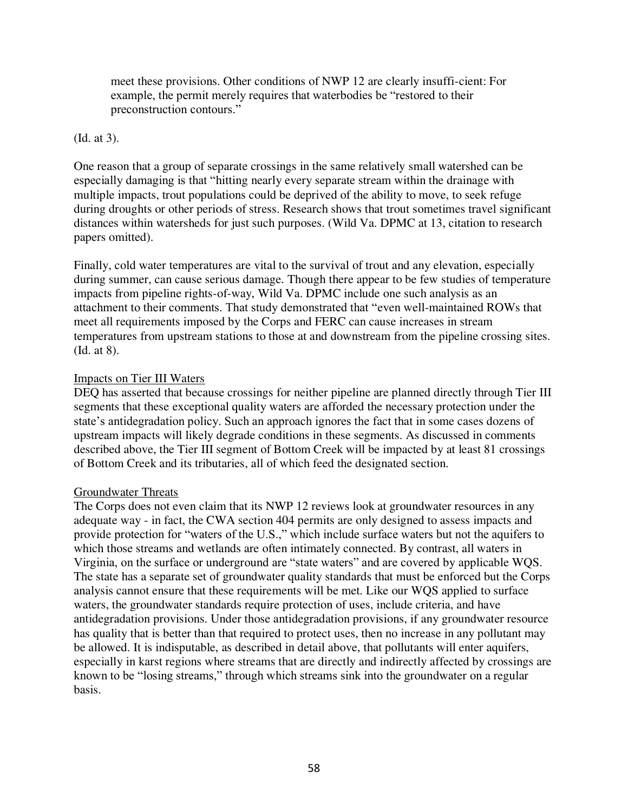meet these provisions. Other conditions of NWP 12 are clearly insuffi-cient: For example, the permit merely requires that waterbodies be "restored to their preconstruction contours."

# (Id. at 3).

One reason that a group of separate crossings in the same relatively small watershed can be especially damaging is that "hitting nearly every separate stream within the drainage with multiple impacts, trout populations could be deprived of the ability to move, to seek refuge during droughts or other periods of stress. Research shows that trout sometimes travel significant distances within watersheds for just such purposes. (Wild Va. DPMC at 13, citation to research papers omitted).

Finally, cold water temperatures are vital to the survival of trout and any elevation, especially during summer, can cause serious damage. Though there appear to be few studies of temperature impacts from pipeline rights-of-way, Wild Va. DPMC include one such analysis as an attachment to their comments. That study demonstrated that "even well-maintained ROWs that meet all requirements imposed by the Corps and FERC can cause increases in stream temperatures from upstream stations to those at and downstream from the pipeline crossing sites. (Id. at 8).

# Impacts on Tier III Waters

DEQ has asserted that because crossings for neither pipeline are planned directly through Tier III segments that these exceptional quality waters are afforded the necessary protection under the state's antidegradation policy. Such an approach ignores the fact that in some cases dozens of upstream impacts will likely degrade conditions in these segments. As discussed in comments described above, the Tier III segment of Bottom Creek will be impacted by at least 81 crossings of Bottom Creek and its tributaries, all of which feed the designated section.

### Groundwater Threats

The Corps does not even claim that its NWP 12 reviews look at groundwater resources in any adequate way - in fact, the CWA section 404 permits are only designed to assess impacts and provide protection for "waters of the U.S.," which include surface waters but not the aquifers to which those streams and wetlands are often intimately connected. By contrast, all waters in Virginia, on the surface or underground are "state waters" and are covered by applicable WQS. The state has a separate set of groundwater quality standards that must be enforced but the Corps analysis cannot ensure that these requirements will be met. Like our WQS applied to surface waters, the groundwater standards require protection of uses, include criteria, and have antidegradation provisions. Under those antidegradation provisions, if any groundwater resource has quality that is better than that required to protect uses, then no increase in any pollutant may be allowed. It is indisputable, as described in detail above, that pollutants will enter aquifers, especially in karst regions where streams that are directly and indirectly affected by crossings are known to be "losing streams," through which streams sink into the groundwater on a regular basis.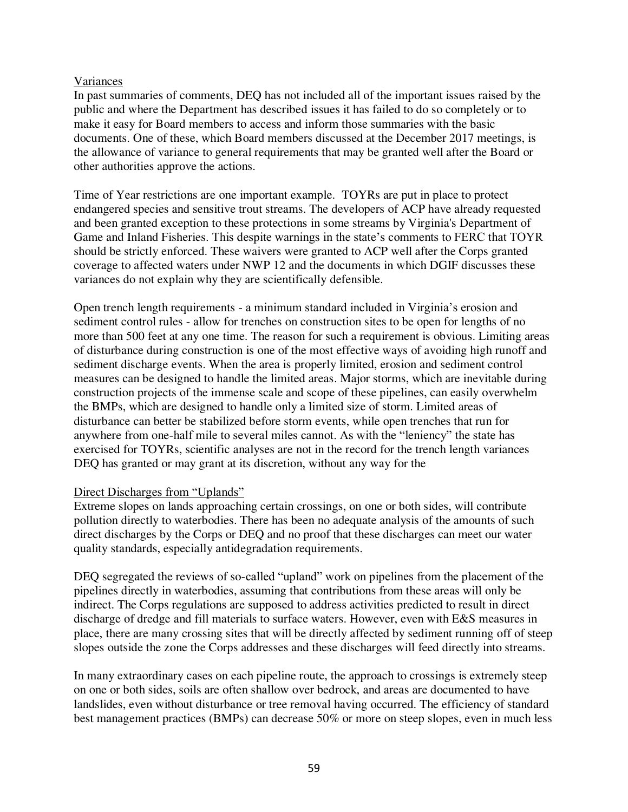# Variances

In past summaries of comments, DEQ has not included all of the important issues raised by the public and where the Department has described issues it has failed to do so completely or to make it easy for Board members to access and inform those summaries with the basic documents. One of these, which Board members discussed at the December 2017 meetings, is the allowance of variance to general requirements that may be granted well after the Board or other authorities approve the actions.

Time of Year restrictions are one important example. TOYRs are put in place to protect endangered species and sensitive trout streams. The developers of ACP have already requested and been granted exception to these protections in some streams by Virginia's Department of Game and Inland Fisheries. This despite warnings in the state's comments to FERC that TOYR should be strictly enforced. These waivers were granted to ACP well after the Corps granted coverage to affected waters under NWP 12 and the documents in which DGIF discusses these variances do not explain why they are scientifically defensible.

Open trench length requirements - a minimum standard included in Virginia's erosion and sediment control rules - allow for trenches on construction sites to be open for lengths of no more than 500 feet at any one time. The reason for such a requirement is obvious. Limiting areas of disturbance during construction is one of the most effective ways of avoiding high runoff and sediment discharge events. When the area is properly limited, erosion and sediment control measures can be designed to handle the limited areas. Major storms, which are inevitable during construction projects of the immense scale and scope of these pipelines, can easily overwhelm the BMPs, which are designed to handle only a limited size of storm. Limited areas of disturbance can better be stabilized before storm events, while open trenches that run for anywhere from one-half mile to several miles cannot. As with the "leniency" the state has exercised for TOYRs, scientific analyses are not in the record for the trench length variances DEQ has granted or may grant at its discretion, without any way for the

### Direct Discharges from "Uplands"

Extreme slopes on lands approaching certain crossings, on one or both sides, will contribute pollution directly to waterbodies. There has been no adequate analysis of the amounts of such direct discharges by the Corps or DEQ and no proof that these discharges can meet our water quality standards, especially antidegradation requirements.

DEQ segregated the reviews of so-called "upland" work on pipelines from the placement of the pipelines directly in waterbodies, assuming that contributions from these areas will only be indirect. The Corps regulations are supposed to address activities predicted to result in direct discharge of dredge and fill materials to surface waters. However, even with E&S measures in place, there are many crossing sites that will be directly affected by sediment running off of steep slopes outside the zone the Corps addresses and these discharges will feed directly into streams.

In many extraordinary cases on each pipeline route, the approach to crossings is extremely steep on one or both sides, soils are often shallow over bedrock, and areas are documented to have landslides, even without disturbance or tree removal having occurred. The efficiency of standard best management practices (BMPs) can decrease 50% or more on steep slopes, even in much less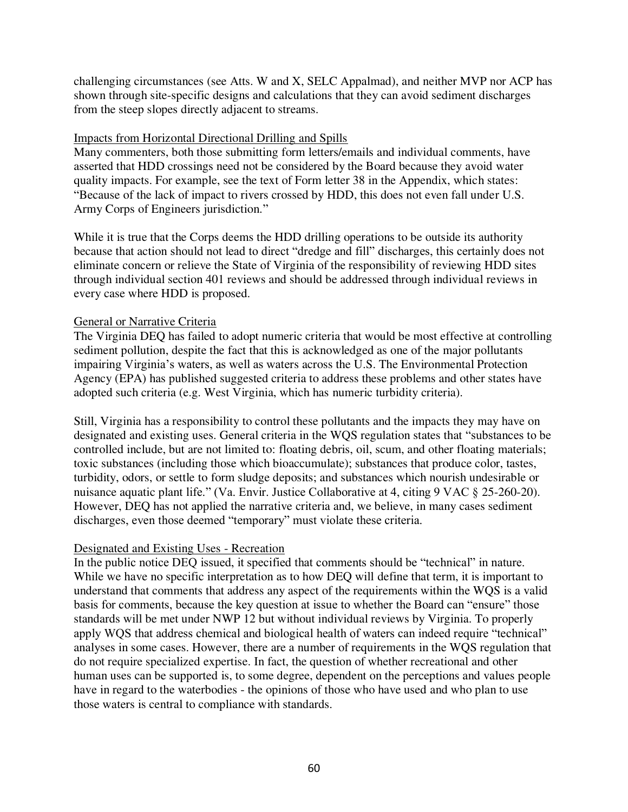challenging circumstances (see Atts. W and X, SELC Appalmad), and neither MVP nor ACP has shown through site-specific designs and calculations that they can avoid sediment discharges from the steep slopes directly adjacent to streams.

# Impacts from Horizontal Directional Drilling and Spills

Many commenters, both those submitting form letters/emails and individual comments, have asserted that HDD crossings need not be considered by the Board because they avoid water quality impacts. For example, see the text of Form letter 38 in the Appendix, which states: "Because of the lack of impact to rivers crossed by HDD, this does not even fall under U.S. Army Corps of Engineers jurisdiction."

While it is true that the Corps deems the HDD drilling operations to be outside its authority because that action should not lead to direct "dredge and fill" discharges, this certainly does not eliminate concern or relieve the State of Virginia of the responsibility of reviewing HDD sites through individual section 401 reviews and should be addressed through individual reviews in every case where HDD is proposed.

# General or Narrative Criteria

The Virginia DEQ has failed to adopt numeric criteria that would be most effective at controlling sediment pollution, despite the fact that this is acknowledged as one of the major pollutants impairing Virginia's waters, as well as waters across the U.S. The Environmental Protection Agency (EPA) has published suggested criteria to address these problems and other states have adopted such criteria (e.g. West Virginia, which has numeric turbidity criteria).

Still, Virginia has a responsibility to control these pollutants and the impacts they may have on designated and existing uses. General criteria in the WQS regulation states that "substances to be controlled include, but are not limited to: floating debris, oil, scum, and other floating materials; toxic substances (including those which bioaccumulate); substances that produce color, tastes, turbidity, odors, or settle to form sludge deposits; and substances which nourish undesirable or nuisance aquatic plant life." (Va. Envir. Justice Collaborative at 4, citing 9 VAC  $\S$  25-260-20). However, DEQ has not applied the narrative criteria and, we believe, in many cases sediment discharges, even those deemed "temporary" must violate these criteria.

# Designated and Existing Uses - Recreation

In the public notice DEQ issued, it specified that comments should be "technical" in nature. While we have no specific interpretation as to how DEQ will define that term, it is important to understand that comments that address any aspect of the requirements within the WQS is a valid basis for comments, because the key question at issue to whether the Board can "ensure" those standards will be met under NWP 12 but without individual reviews by Virginia. To properly apply WQS that address chemical and biological health of waters can indeed require "technical" analyses in some cases. However, there are a number of requirements in the WQS regulation that do not require specialized expertise. In fact, the question of whether recreational and other human uses can be supported is, to some degree, dependent on the perceptions and values people have in regard to the waterbodies - the opinions of those who have used and who plan to use those waters is central to compliance with standards.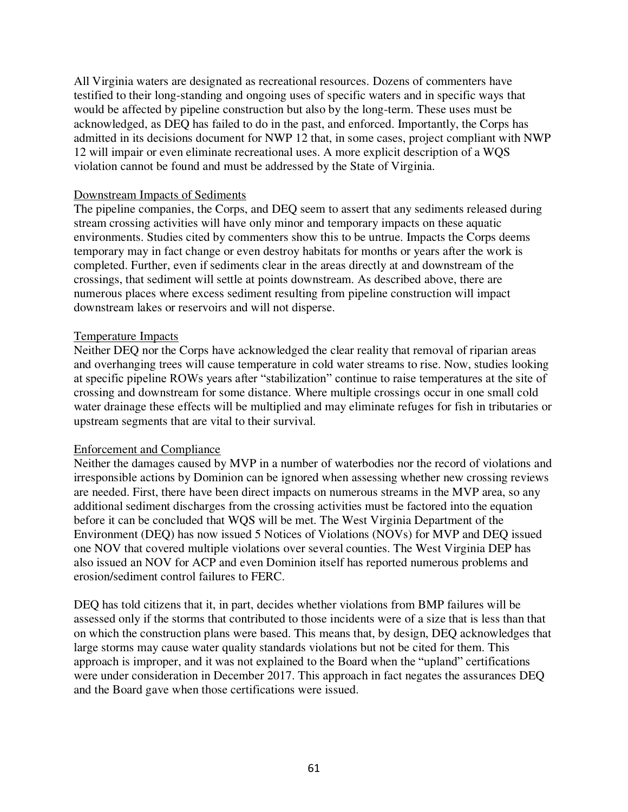All Virginia waters are designated as recreational resources. Dozens of commenters have testified to their long-standing and ongoing uses of specific waters and in specific ways that would be affected by pipeline construction but also by the long-term. These uses must be acknowledged, as DEQ has failed to do in the past, and enforced. Importantly, the Corps has admitted in its decisions document for NWP 12 that, in some cases, project compliant with NWP 12 will impair or even eliminate recreational uses. A more explicit description of a WQS violation cannot be found and must be addressed by the State of Virginia.

### Downstream Impacts of Sediments

The pipeline companies, the Corps, and DEQ seem to assert that any sediments released during stream crossing activities will have only minor and temporary impacts on these aquatic environments. Studies cited by commenters show this to be untrue. Impacts the Corps deems temporary may in fact change or even destroy habitats for months or years after the work is completed. Further, even if sediments clear in the areas directly at and downstream of the crossings, that sediment will settle at points downstream. As described above, there are numerous places where excess sediment resulting from pipeline construction will impact downstream lakes or reservoirs and will not disperse.

### Temperature Impacts

Neither DEQ nor the Corps have acknowledged the clear reality that removal of riparian areas and overhanging trees will cause temperature in cold water streams to rise. Now, studies looking at specific pipeline ROWs years after "stabilization" continue to raise temperatures at the site of crossing and downstream for some distance. Where multiple crossings occur in one small cold water drainage these effects will be multiplied and may eliminate refuges for fish in tributaries or upstream segments that are vital to their survival.

### Enforcement and Compliance

Neither the damages caused by MVP in a number of waterbodies nor the record of violations and irresponsible actions by Dominion can be ignored when assessing whether new crossing reviews are needed. First, there have been direct impacts on numerous streams in the MVP area, so any additional sediment discharges from the crossing activities must be factored into the equation before it can be concluded that WQS will be met. The West Virginia Department of the Environment (DEQ) has now issued 5 Notices of Violations (NOVs) for MVP and DEQ issued one NOV that covered multiple violations over several counties. The West Virginia DEP has also issued an NOV for ACP and even Dominion itself has reported numerous problems and erosion/sediment control failures to FERC.

DEQ has told citizens that it, in part, decides whether violations from BMP failures will be assessed only if the storms that contributed to those incidents were of a size that is less than that on which the construction plans were based. This means that, by design, DEQ acknowledges that large storms may cause water quality standards violations but not be cited for them. This approach is improper, and it was not explained to the Board when the "upland" certifications were under consideration in December 2017. This approach in fact negates the assurances DEQ and the Board gave when those certifications were issued.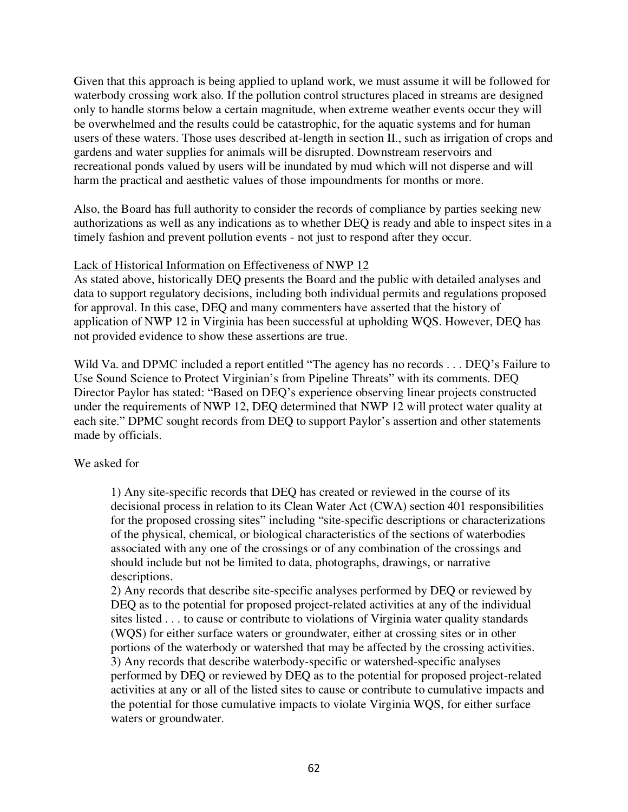Given that this approach is being applied to upland work, we must assume it will be followed for waterbody crossing work also. If the pollution control structures placed in streams are designed only to handle storms below a certain magnitude, when extreme weather events occur they will be overwhelmed and the results could be catastrophic, for the aquatic systems and for human users of these waters. Those uses described at-length in section II., such as irrigation of crops and gardens and water supplies for animals will be disrupted. Downstream reservoirs and recreational ponds valued by users will be inundated by mud which will not disperse and will harm the practical and aesthetic values of those impoundments for months or more.

Also, the Board has full authority to consider the records of compliance by parties seeking new authorizations as well as any indications as to whether DEQ is ready and able to inspect sites in a timely fashion and prevent pollution events - not just to respond after they occur.

# Lack of Historical Information on Effectiveness of NWP 12

As stated above, historically DEQ presents the Board and the public with detailed analyses and data to support regulatory decisions, including both individual permits and regulations proposed for approval. In this case, DEQ and many commenters have asserted that the history of application of NWP 12 in Virginia has been successful at upholding WQS. However, DEQ has not provided evidence to show these assertions are true.

Wild Va. and DPMC included a report entitled "The agency has no records . . . DEQ's Failure to Use Sound Science to Protect Virginian's from Pipeline Threats" with its comments. DEQ Director Paylor has stated: "Based on DEQ's experience observing linear projects constructed under the requirements of NWP 12, DEQ determined that NWP 12 will protect water quality at each site." DPMC sought records from DEQ to support Paylor's assertion and other statements made by officials.

# We asked for

1) Any site-specific records that DEQ has created or reviewed in the course of its decisional process in relation to its Clean Water Act (CWA) section 401 responsibilities for the proposed crossing sites" including "site-specific descriptions or characterizations of the physical, chemical, or biological characteristics of the sections of waterbodies associated with any one of the crossings or of any combination of the crossings and should include but not be limited to data, photographs, drawings, or narrative descriptions.

2) Any records that describe site-specific analyses performed by DEQ or reviewed by DEQ as to the potential for proposed project-related activities at any of the individual sites listed . . . to cause or contribute to violations of Virginia water quality standards (WQS) for either surface waters or groundwater, either at crossing sites or in other portions of the waterbody or watershed that may be affected by the crossing activities. 3) Any records that describe waterbody-specific or watershed-specific analyses performed by DEQ or reviewed by DEQ as to the potential for proposed project-related activities at any or all of the listed sites to cause or contribute to cumulative impacts and the potential for those cumulative impacts to violate Virginia WQS, for either surface waters or groundwater.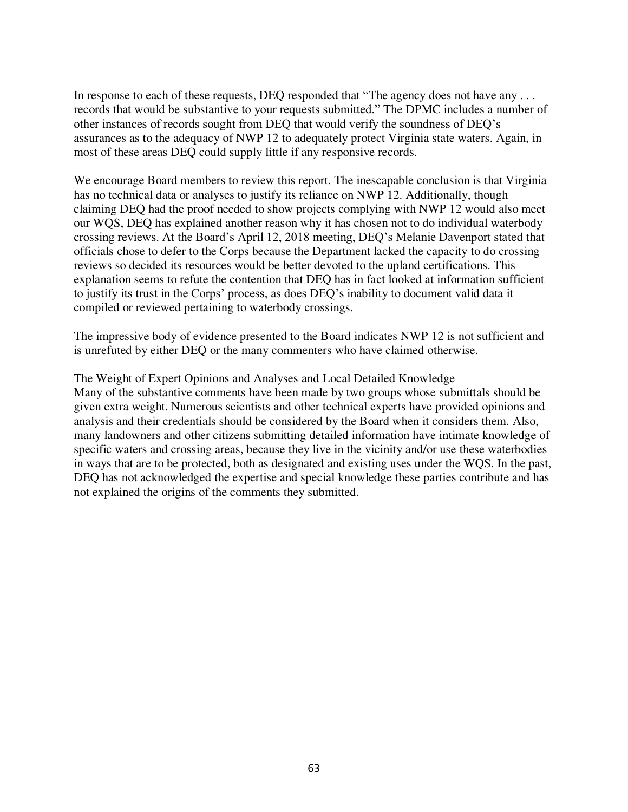In response to each of these requests, DEQ responded that "The agency does not have any ... records that would be substantive to your requests submitted." The DPMC includes a number of other instances of records sought from DEQ that would verify the soundness of DEQ's assurances as to the adequacy of NWP 12 to adequately protect Virginia state waters. Again, in most of these areas DEQ could supply little if any responsive records.

We encourage Board members to review this report. The inescapable conclusion is that Virginia has no technical data or analyses to justify its reliance on NWP 12. Additionally, though claiming DEQ had the proof needed to show projects complying with NWP 12 would also meet our WQS, DEQ has explained another reason why it has chosen not to do individual waterbody crossing reviews. At the Board's April 12, 2018 meeting, DEQ's Melanie Davenport stated that officials chose to defer to the Corps because the Department lacked the capacity to do crossing reviews so decided its resources would be better devoted to the upland certifications. This explanation seems to refute the contention that DEQ has in fact looked at information sufficient to justify its trust in the Corps' process, as does DEQ's inability to document valid data it compiled or reviewed pertaining to waterbody crossings.

The impressive body of evidence presented to the Board indicates NWP 12 is not sufficient and is unrefuted by either DEQ or the many commenters who have claimed otherwise.

### The Weight of Expert Opinions and Analyses and Local Detailed Knowledge

Many of the substantive comments have been made by two groups whose submittals should be given extra weight. Numerous scientists and other technical experts have provided opinions and analysis and their credentials should be considered by the Board when it considers them. Also, many landowners and other citizens submitting detailed information have intimate knowledge of specific waters and crossing areas, because they live in the vicinity and/or use these waterbodies in ways that are to be protected, both as designated and existing uses under the WQS. In the past, DEQ has not acknowledged the expertise and special knowledge these parties contribute and has not explained the origins of the comments they submitted.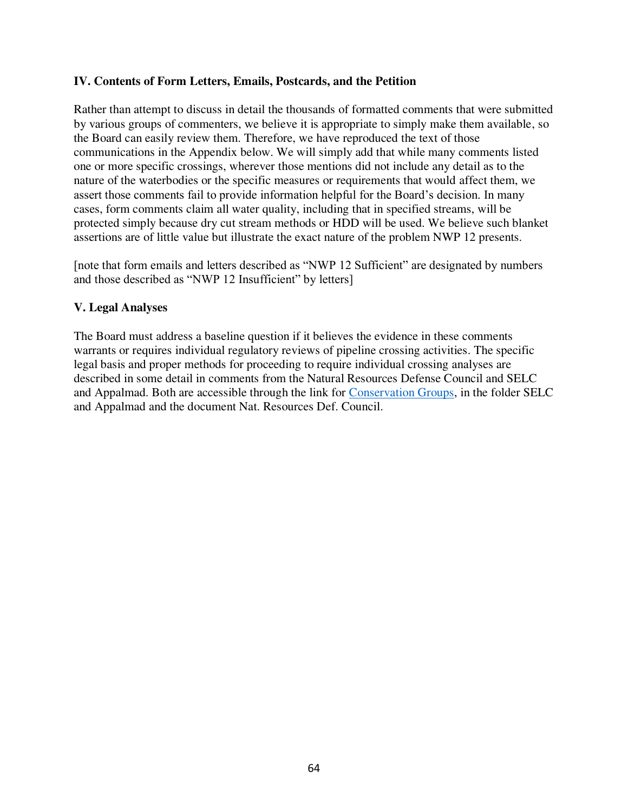# **IV. Contents of Form Letters, Emails, Postcards, and the Petition**

Rather than attempt to discuss in detail the thousands of formatted comments that were submitted by various groups of commenters, we believe it is appropriate to simply make them available, so the Board can easily review them. Therefore, we have reproduced the text of those communications in the Appendix below. We will simply add that while many comments listed one or more specific crossings, wherever those mentions did not include any detail as to the nature of the waterbodies or the specific measures or requirements that would affect them, we assert those comments fail to provide information helpful for the Board's decision. In many cases, form comments claim all water quality, including that in specified streams, will be protected simply because dry cut stream methods or HDD will be used. We believe such blanket assertions are of little value but illustrate the exact nature of the problem NWP 12 presents.

[note that form emails and letters described as "NWP 12 Sufficient" are designated by numbers and those described as "NWP 12 Insufficient" by letters]

# **V. Legal Analyses**

The Board must address a baseline question if it believes the evidence in these comments warrants or requires individual regulatory reviews of pipeline crossing activities. The specific legal basis and proper methods for proceeding to require individual crossing analyses are described in some detail in comments from the Natural Resources Defense Council and SELC and Appalmad. Both are accessible through the link for [Conservation Groups,](https://drive.google.com/drive/folders/1YuymAxgcUn6hp_FKuvuVt8RP-iDkMFp9) in the folder SELC and Appalmad and the document Nat. Resources Def. Council.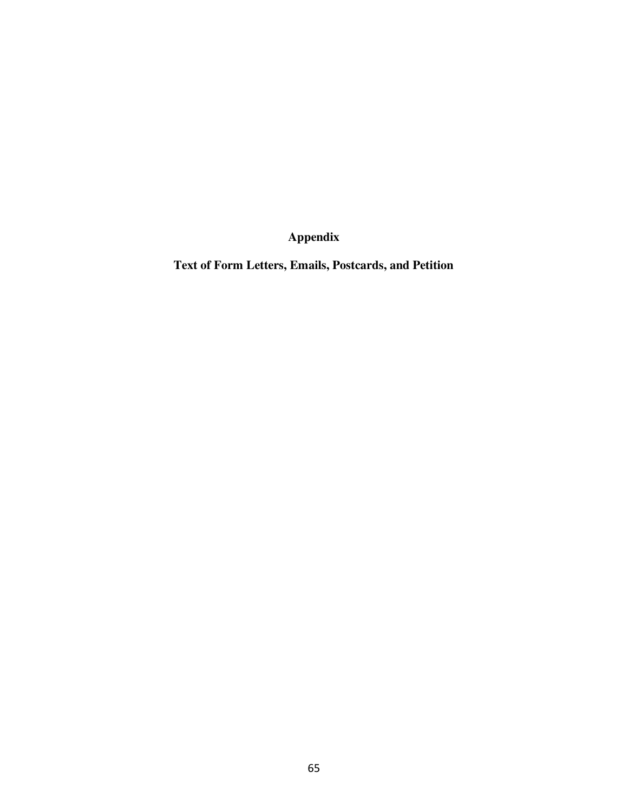**Appendix** 

**Text of Form Letters, Emails, Postcards, and Petition**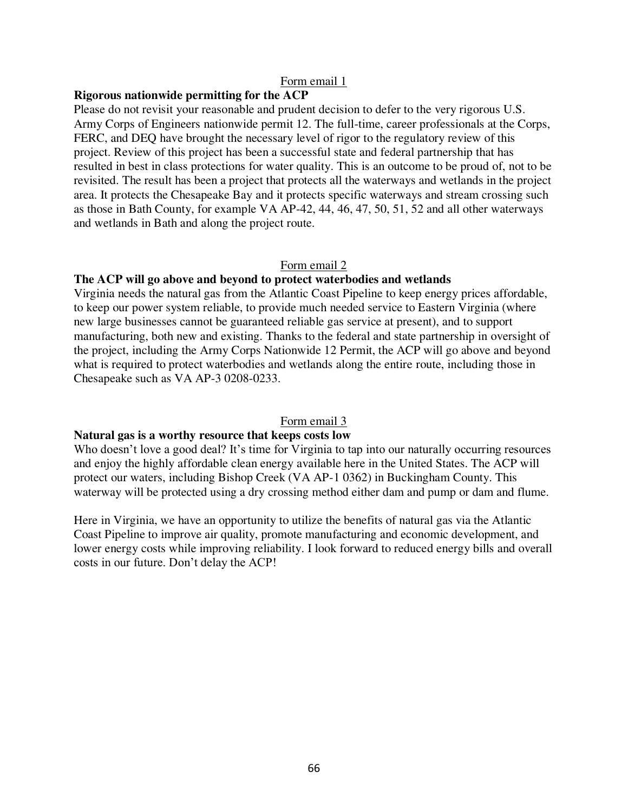### **Rigorous nationwide permitting for the ACP**

Please do not revisit your reasonable and prudent decision to defer to the very rigorous U.S. Army Corps of Engineers nationwide permit 12. The full-time, career professionals at the Corps, FERC, and DEQ have brought the necessary level of rigor to the regulatory review of this project. Review of this project has been a successful state and federal partnership that has resulted in best in class protections for water quality. This is an outcome to be proud of, not to be revisited. The result has been a project that protects all the waterways and wetlands in the project area. It protects the Chesapeake Bay and it protects specific waterways and stream crossing such as those in Bath County, for example VA AP-42, 44, 46, 47, 50, 51, 52 and all other waterways and wetlands in Bath and along the project route.

#### Form email 2

#### **The ACP will go above and beyond to protect waterbodies and wetlands**

Virginia needs the natural gas from the Atlantic Coast Pipeline to keep energy prices affordable, to keep our power system reliable, to provide much needed service to Eastern Virginia (where new large businesses cannot be guaranteed reliable gas service at present), and to support manufacturing, both new and existing. Thanks to the federal and state partnership in oversight of the project, including the Army Corps Nationwide 12 Permit, the ACP will go above and beyond what is required to protect waterbodies and wetlands along the entire route, including those in Chesapeake such as VA AP-3 0208-0233.

#### Form email 3

#### **Natural gas is a worthy resource that keeps costs low**

Who doesn't love a good deal? It's time for Virginia to tap into our naturally occurring resources and enjoy the highly affordable clean energy available here in the United States. The ACP will protect our waters, including Bishop Creek (VA AP-1 0362) in Buckingham County. This waterway will be protected using a dry crossing method either dam and pump or dam and flume.

Here in Virginia, we have an opportunity to utilize the benefits of natural gas via the Atlantic Coast Pipeline to improve air quality, promote manufacturing and economic development, and lower energy costs while improving reliability. I look forward to reduced energy bills and overall costs in our future. Don't delay the ACP!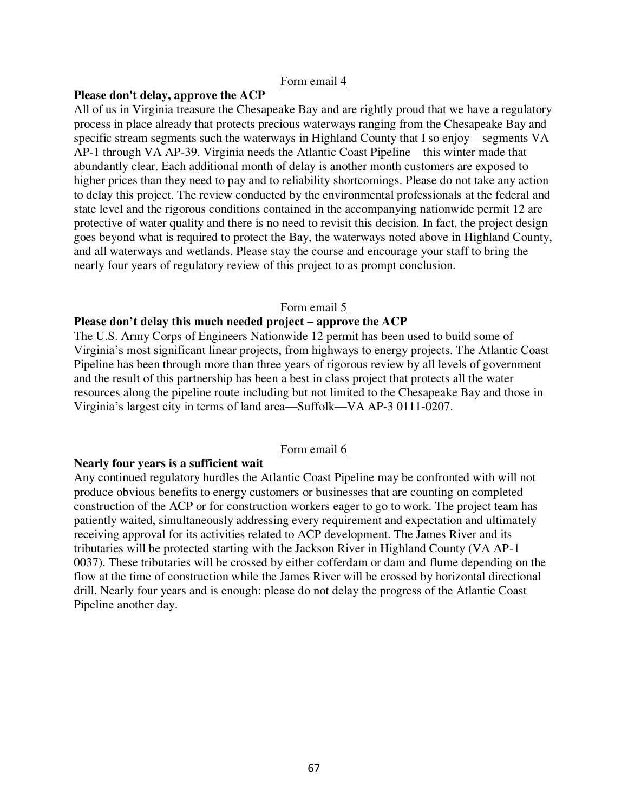#### **Please don't delay, approve the ACP**

All of us in Virginia treasure the Chesapeake Bay and are rightly proud that we have a regulatory process in place already that protects precious waterways ranging from the Chesapeake Bay and specific stream segments such the waterways in Highland County that I so enjoy—segments VA AP-1 through VA AP-39. Virginia needs the Atlantic Coast Pipeline—this winter made that abundantly clear. Each additional month of delay is another month customers are exposed to higher prices than they need to pay and to reliability shortcomings. Please do not take any action to delay this project. The review conducted by the environmental professionals at the federal and state level and the rigorous conditions contained in the accompanying nationwide permit 12 are protective of water quality and there is no need to revisit this decision. In fact, the project design goes beyond what is required to protect the Bay, the waterways noted above in Highland County, and all waterways and wetlands. Please stay the course and encourage your staff to bring the nearly four years of regulatory review of this project to as prompt conclusion.

#### Form email 5

### **Please don't delay this much needed project – approve the ACP**

The U.S. Army Corps of Engineers Nationwide 12 permit has been used to build some of Virginia's most significant linear projects, from highways to energy projects. The Atlantic Coast Pipeline has been through more than three years of rigorous review by all levels of government and the result of this partnership has been a best in class project that protects all the water resources along the pipeline route including but not limited to the Chesapeake Bay and those in Virginia's largest city in terms of land area—Suffolk—VA AP-3 0111-0207.

### Form email 6

#### **Nearly four years is a sufficient wait**

Any continued regulatory hurdles the Atlantic Coast Pipeline may be confronted with will not produce obvious benefits to energy customers or businesses that are counting on completed construction of the ACP or for construction workers eager to go to work. The project team has patiently waited, simultaneously addressing every requirement and expectation and ultimately receiving approval for its activities related to ACP development. The James River and its tributaries will be protected starting with the Jackson River in Highland County (VA AP-1 0037). These tributaries will be crossed by either cofferdam or dam and flume depending on the flow at the time of construction while the James River will be crossed by horizontal directional drill. Nearly four years and is enough: please do not delay the progress of the Atlantic Coast Pipeline another day.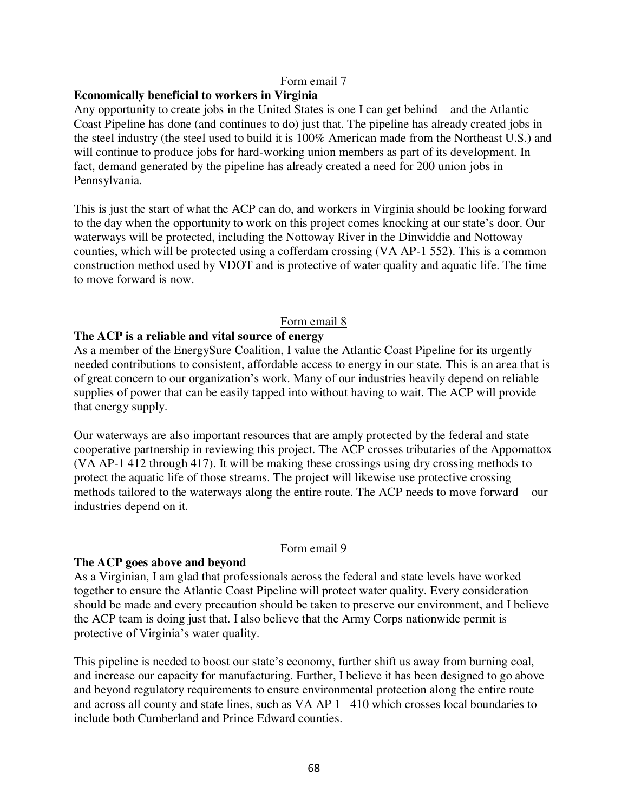# **Economically beneficial to workers in Virginia**

Any opportunity to create jobs in the United States is one I can get behind – and the Atlantic Coast Pipeline has done (and continues to do) just that. The pipeline has already created jobs in the steel industry (the steel used to build it is 100% American made from the Northeast U.S.) and will continue to produce jobs for hard-working union members as part of its development. In fact, demand generated by the pipeline has already created a need for 200 union jobs in Pennsylvania.

This is just the start of what the ACP can do, and workers in Virginia should be looking forward to the day when the opportunity to work on this project comes knocking at our state's door. Our waterways will be protected, including the Nottoway River in the Dinwiddie and Nottoway counties, which will be protected using a cofferdam crossing (VA AP-1 552). This is a common construction method used by VDOT and is protective of water quality and aquatic life. The time to move forward is now.

# Form email 8

### **The ACP is a reliable and vital source of energy**

As a member of the EnergySure Coalition, I value the Atlantic Coast Pipeline for its urgently needed contributions to consistent, affordable access to energy in our state. This is an area that is of great concern to our organization's work. Many of our industries heavily depend on reliable supplies of power that can be easily tapped into without having to wait. The ACP will provide that energy supply.

Our waterways are also important resources that are amply protected by the federal and state cooperative partnership in reviewing this project. The ACP crosses tributaries of the Appomattox (VA AP-1 412 through 417). It will be making these crossings using dry crossing methods to protect the aquatic life of those streams. The project will likewise use protective crossing methods tailored to the waterways along the entire route. The ACP needs to move forward – our industries depend on it.

### Form email 9

### **The ACP goes above and beyond**

As a Virginian, I am glad that professionals across the federal and state levels have worked together to ensure the Atlantic Coast Pipeline will protect water quality. Every consideration should be made and every precaution should be taken to preserve our environment, and I believe the ACP team is doing just that. I also believe that the Army Corps nationwide permit is protective of Virginia's water quality.

This pipeline is needed to boost our state's economy, further shift us away from burning coal, and increase our capacity for manufacturing. Further, I believe it has been designed to go above and beyond regulatory requirements to ensure environmental protection along the entire route and across all county and state lines, such as VA AP 1– 410 which crosses local boundaries to include both Cumberland and Prince Edward counties.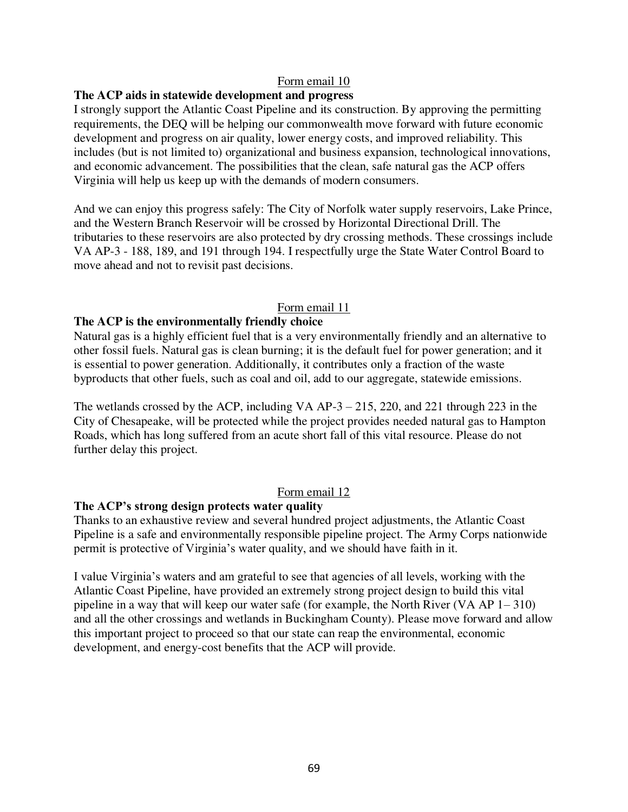### **The ACP aids in statewide development and progress**

I strongly support the Atlantic Coast Pipeline and its construction. By approving the permitting requirements, the DEQ will be helping our commonwealth move forward with future economic development and progress on air quality, lower energy costs, and improved reliability. This includes (but is not limited to) organizational and business expansion, technological innovations, and economic advancement. The possibilities that the clean, safe natural gas the ACP offers Virginia will help us keep up with the demands of modern consumers.

And we can enjoy this progress safely: The City of Norfolk water supply reservoirs, Lake Prince, and the Western Branch Reservoir will be crossed by Horizontal Directional Drill. The tributaries to these reservoirs are also protected by dry crossing methods. These crossings include VA AP-3 - 188, 189, and 191 through 194. I respectfully urge the State Water Control Board to move ahead and not to revisit past decisions.

### Form email 11

### **The ACP is the environmentally friendly choice**

Natural gas is a highly efficient fuel that is a very environmentally friendly and an alternative to other fossil fuels. Natural gas is clean burning; it is the default fuel for power generation; and it is essential to power generation. Additionally, it contributes only a fraction of the waste byproducts that other fuels, such as coal and oil, add to our aggregate, statewide emissions.

The wetlands crossed by the ACP, including VA AP-3 – 215, 220, and 221 through 223 in the City of Chesapeake, will be protected while the project provides needed natural gas to Hampton Roads, which has long suffered from an acute short fall of this vital resource. Please do not further delay this project.

### Form email 12

#### **The ACP's strong design protects water quality**

Thanks to an exhaustive review and several hundred project adjustments, the Atlantic Coast Pipeline is a safe and environmentally responsible pipeline project. The Army Corps nationwide permit is protective of Virginia's water quality, and we should have faith in it.

I value Virginia's waters and am grateful to see that agencies of all levels, working with the Atlantic Coast Pipeline, have provided an extremely strong project design to build this vital pipeline in a way that will keep our water safe (for example, the North River (VA AP 1– 310) and all the other crossings and wetlands in Buckingham County). Please move forward and allow this important project to proceed so that our state can reap the environmental, economic development, and energy-cost benefits that the ACP will provide.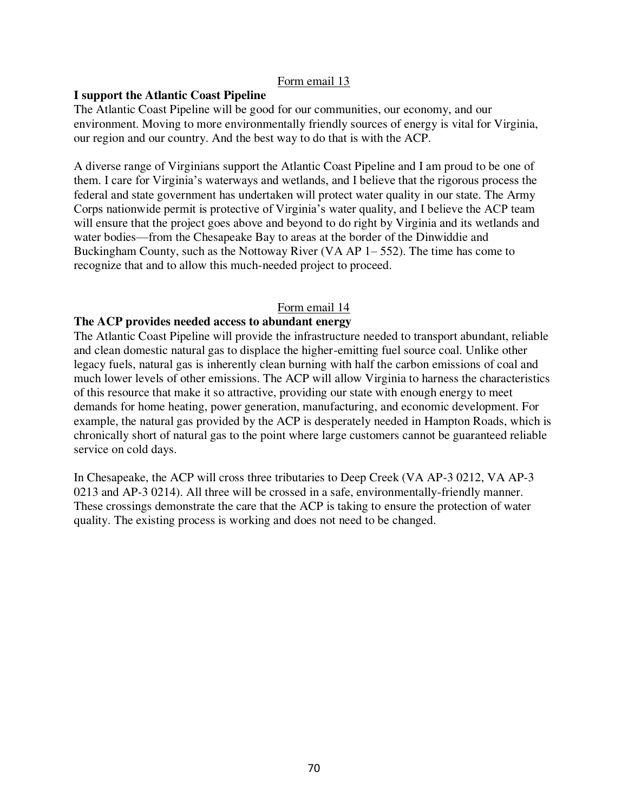# **I support the Atlantic Coast Pipeline**

The Atlantic Coast Pipeline will be good for our communities, our economy, and our environment. Moving to more environmentally friendly sources of energy is vital for Virginia, our region and our country. And the best way to do that is with the ACP.

A diverse range of Virginians support the Atlantic Coast Pipeline and I am proud to be one of them. I care for Virginia's waterways and wetlands, and I believe that the rigorous process the federal and state government has undertaken will protect water quality in our state. The Army Corps nationwide permit is protective of Virginia's water quality, and I believe the ACP team will ensure that the project goes above and beyond to do right by Virginia and its wetlands and water bodies—from the Chesapeake Bay to areas at the border of the Dinwiddie and Buckingham County, such as the Nottoway River (VA AP 1– 552). The time has come to recognize that and to allow this much-needed project to proceed.

### Form email 14

# **The ACP provides needed access to abundant energy**

The Atlantic Coast Pipeline will provide the infrastructure needed to transport abundant, reliable and clean domestic natural gas to displace the higher-emitting fuel source coal. Unlike other legacy fuels, natural gas is inherently clean burning with half the carbon emissions of coal and much lower levels of other emissions. The ACP will allow Virginia to harness the characteristics of this resource that make it so attractive, providing our state with enough energy to meet demands for home heating, power generation, manufacturing, and economic development. For example, the natural gas provided by the ACP is desperately needed in Hampton Roads, which is chronically short of natural gas to the point where large customers cannot be guaranteed reliable service on cold days.

In Chesapeake, the ACP will cross three tributaries to Deep Creek (VA AP-3 0212, VA AP-3 0213 and AP-3 0214). All three will be crossed in a safe, environmentally-friendly manner. These crossings demonstrate the care that the ACP is taking to ensure the protection of water quality. The existing process is working and does not need to be changed.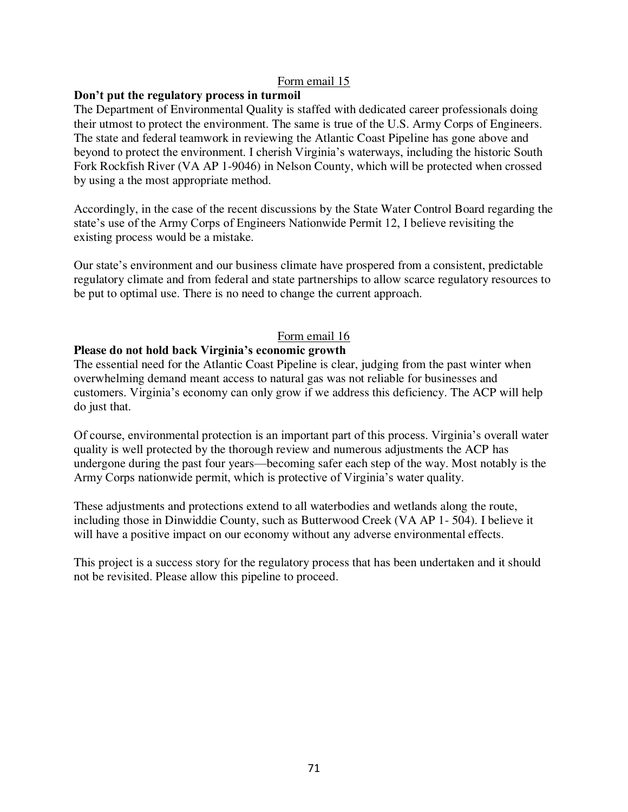# **Don't put the regulatory process in turmoil**

The Department of Environmental Quality is staffed with dedicated career professionals doing their utmost to protect the environment. The same is true of the U.S. Army Corps of Engineers. The state and federal teamwork in reviewing the Atlantic Coast Pipeline has gone above and beyond to protect the environment. I cherish Virginia's waterways, including the historic South Fork Rockfish River (VA AP 1-9046) in Nelson County, which will be protected when crossed by using a the most appropriate method.

Accordingly, in the case of the recent discussions by the State Water Control Board regarding the state's use of the Army Corps of Engineers Nationwide Permit 12, I believe revisiting the existing process would be a mistake.

Our state's environment and our business climate have prospered from a consistent, predictable regulatory climate and from federal and state partnerships to allow scarce regulatory resources to be put to optimal use. There is no need to change the current approach.

# Form email 16

# **Please do not hold back Virginia's economic growth**

The essential need for the Atlantic Coast Pipeline is clear, judging from the past winter when overwhelming demand meant access to natural gas was not reliable for businesses and customers. Virginia's economy can only grow if we address this deficiency. The ACP will help do just that.

Of course, environmental protection is an important part of this process. Virginia's overall water quality is well protected by the thorough review and numerous adjustments the ACP has undergone during the past four years—becoming safer each step of the way. Most notably is the Army Corps nationwide permit, which is protective of Virginia's water quality.

These adjustments and protections extend to all waterbodies and wetlands along the route, including those in Dinwiddie County, such as Butterwood Creek (VA AP 1- 504). I believe it will have a positive impact on our economy without any adverse environmental effects.

This project is a success story for the regulatory process that has been undertaken and it should not be revisited. Please allow this pipeline to proceed.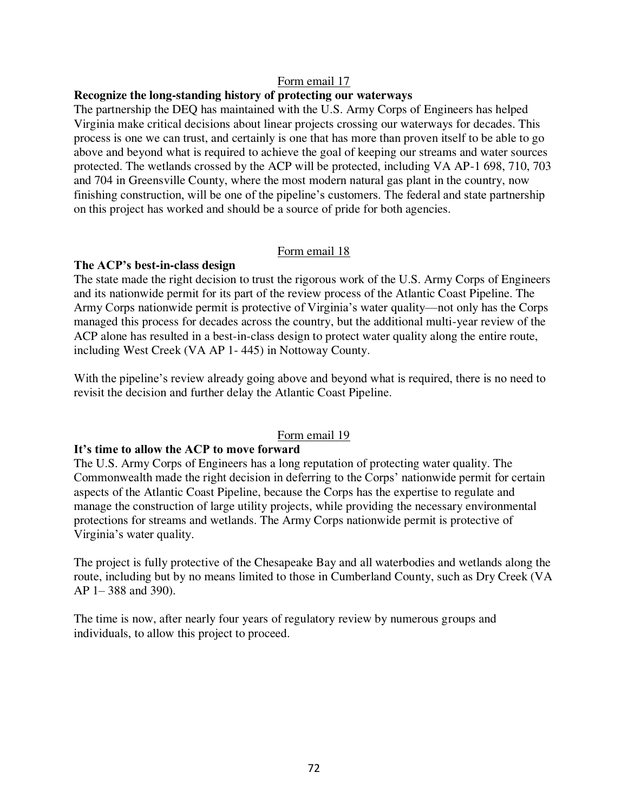### **Recognize the long-standing history of protecting our waterways**

The partnership the DEQ has maintained with the U.S. Army Corps of Engineers has helped Virginia make critical decisions about linear projects crossing our waterways for decades. This process is one we can trust, and certainly is one that has more than proven itself to be able to go above and beyond what is required to achieve the goal of keeping our streams and water sources protected. The wetlands crossed by the ACP will be protected, including VA AP-1 698, 710, 703 and 704 in Greensville County, where the most modern natural gas plant in the country, now finishing construction, will be one of the pipeline's customers. The federal and state partnership on this project has worked and should be a source of pride for both agencies.

### Form email 18

### **The ACP's best-in-class design**

The state made the right decision to trust the rigorous work of the U.S. Army Corps of Engineers and its nationwide permit for its part of the review process of the Atlantic Coast Pipeline. The Army Corps nationwide permit is protective of Virginia's water quality—not only has the Corps managed this process for decades across the country, but the additional multi-year review of the ACP alone has resulted in a best-in-class design to protect water quality along the entire route, including West Creek (VA AP 1- 445) in Nottoway County.

With the pipeline's review already going above and beyond what is required, there is no need to revisit the decision and further delay the Atlantic Coast Pipeline.

### Form email 19

#### **It's time to allow the ACP to move forward**

The U.S. Army Corps of Engineers has a long reputation of protecting water quality. The Commonwealth made the right decision in deferring to the Corps' nationwide permit for certain aspects of the Atlantic Coast Pipeline, because the Corps has the expertise to regulate and manage the construction of large utility projects, while providing the necessary environmental protections for streams and wetlands. The Army Corps nationwide permit is protective of Virginia's water quality.

The project is fully protective of the Chesapeake Bay and all waterbodies and wetlands along the route, including but by no means limited to those in Cumberland County, such as Dry Creek (VA AP 1– 388 and 390).

The time is now, after nearly four years of regulatory review by numerous groups and individuals, to allow this project to proceed.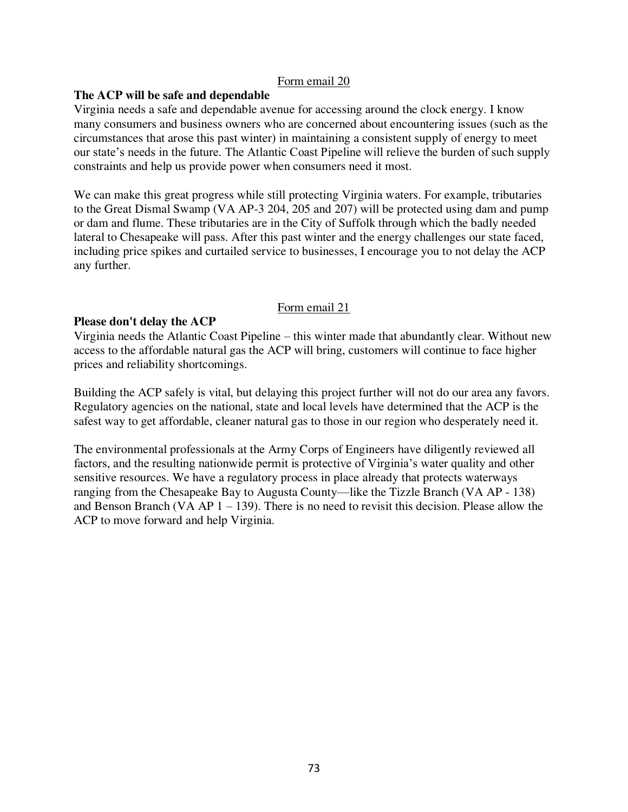# **The ACP will be safe and dependable**

Virginia needs a safe and dependable avenue for accessing around the clock energy. I know many consumers and business owners who are concerned about encountering issues (such as the circumstances that arose this past winter) in maintaining a consistent supply of energy to meet our state's needs in the future. The Atlantic Coast Pipeline will relieve the burden of such supply constraints and help us provide power when consumers need it most.

We can make this great progress while still protecting Virginia waters. For example, tributaries to the Great Dismal Swamp (VA AP-3 204, 205 and 207) will be protected using dam and pump or dam and flume. These tributaries are in the City of Suffolk through which the badly needed lateral to Chesapeake will pass. After this past winter and the energy challenges our state faced, including price spikes and curtailed service to businesses, I encourage you to not delay the ACP any further.

# Form email 21

# **Please don't delay the ACP**

Virginia needs the Atlantic Coast Pipeline – this winter made that abundantly clear. Without new access to the affordable natural gas the ACP will bring, customers will continue to face higher prices and reliability shortcomings.

Building the ACP safely is vital, but delaying this project further will not do our area any favors. Regulatory agencies on the national, state and local levels have determined that the ACP is the safest way to get affordable, cleaner natural gas to those in our region who desperately need it.

The environmental professionals at the Army Corps of Engineers have diligently reviewed all factors, and the resulting nationwide permit is protective of Virginia's water quality and other sensitive resources. We have a regulatory process in place already that protects waterways ranging from the Chesapeake Bay to Augusta County—like the Tizzle Branch (VA AP - 138) and Benson Branch (VA AP  $1 - 139$ ). There is no need to revisit this decision. Please allow the ACP to move forward and help Virginia.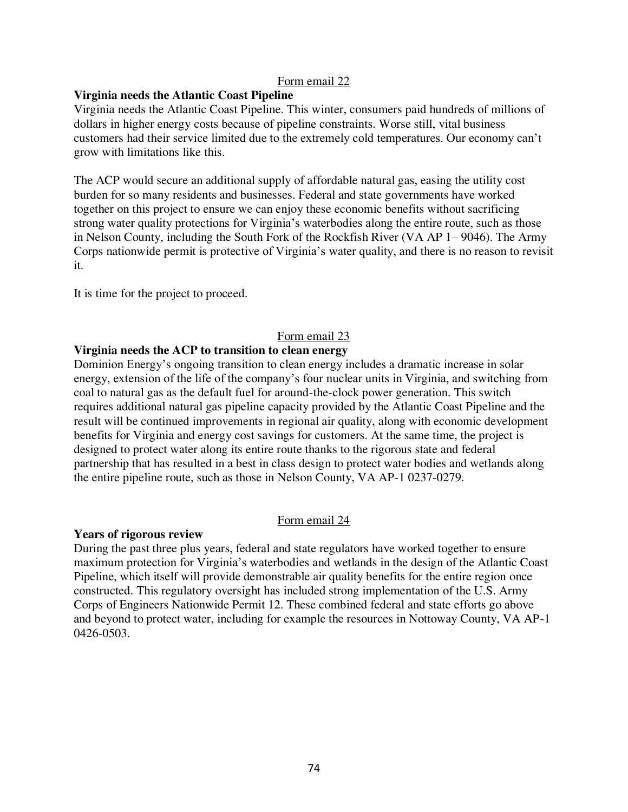## **Virginia needs the Atlantic Coast Pipeline**

Virginia needs the Atlantic Coast Pipeline. This winter, consumers paid hundreds of millions of dollars in higher energy costs because of pipeline constraints. Worse still, vital business customers had their service limited due to the extremely cold temperatures. Our economy can't grow with limitations like this.

The ACP would secure an additional supply of affordable natural gas, easing the utility cost burden for so many residents and businesses. Federal and state governments have worked together on this project to ensure we can enjoy these economic benefits without sacrificing strong water quality protections for Virginia's waterbodies along the entire route, such as those in Nelson County, including the South Fork of the Rockfish River (VA AP 1– 9046). The Army Corps nationwide permit is protective of Virginia's water quality, and there is no reason to revisit it.

It is time for the project to proceed.

# Form email 23

## **Virginia needs the ACP to transition to clean energy**

Dominion Energy's ongoing transition to clean energy includes a dramatic increase in solar energy, extension of the life of the company's four nuclear units in Virginia, and switching from coal to natural gas as the default fuel for around-the-clock power generation. This switch requires additional natural gas pipeline capacity provided by the Atlantic Coast Pipeline and the result will be continued improvements in regional air quality, along with economic development benefits for Virginia and energy cost savings for customers. At the same time, the project is designed to protect water along its entire route thanks to the rigorous state and federal partnership that has resulted in a best in class design to protect water bodies and wetlands along the entire pipeline route, such as those in Nelson County, VA AP-1 0237-0279.

#### Form email 24

#### **Years of rigorous review**

During the past three plus years, federal and state regulators have worked together to ensure maximum protection for Virginia's waterbodies and wetlands in the design of the Atlantic Coast Pipeline, which itself will provide demonstrable air quality benefits for the entire region once constructed. This regulatory oversight has included strong implementation of the U.S. Army Corps of Engineers Nationwide Permit 12. These combined federal and state efforts go above and beyond to protect water, including for example the resources in Nottoway County, VA AP-1 0426-0503.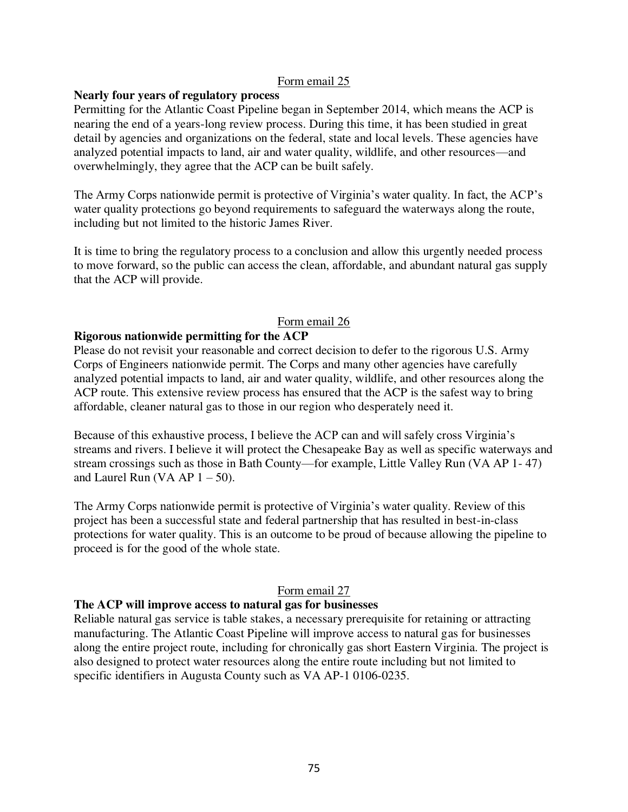## **Nearly four years of regulatory process**

Permitting for the Atlantic Coast Pipeline began in September 2014, which means the ACP is nearing the end of a years-long review process. During this time, it has been studied in great detail by agencies and organizations on the federal, state and local levels. These agencies have analyzed potential impacts to land, air and water quality, wildlife, and other resources—and overwhelmingly, they agree that the ACP can be built safely.

The Army Corps nationwide permit is protective of Virginia's water quality. In fact, the ACP's water quality protections go beyond requirements to safeguard the waterways along the route, including but not limited to the historic James River.

It is time to bring the regulatory process to a conclusion and allow this urgently needed process to move forward, so the public can access the clean, affordable, and abundant natural gas supply that the ACP will provide.

# Form email 26

## **Rigorous nationwide permitting for the ACP**

Please do not revisit your reasonable and correct decision to defer to the rigorous U.S. Army Corps of Engineers nationwide permit. The Corps and many other agencies have carefully analyzed potential impacts to land, air and water quality, wildlife, and other resources along the ACP route. This extensive review process has ensured that the ACP is the safest way to bring affordable, cleaner natural gas to those in our region who desperately need it.

Because of this exhaustive process, I believe the ACP can and will safely cross Virginia's streams and rivers. I believe it will protect the Chesapeake Bay as well as specific waterways and stream crossings such as those in Bath County—for example, Little Valley Run (VA AP 1- 47) and Laurel Run (VA AP  $1 - 50$ ).

The Army Corps nationwide permit is protective of Virginia's water quality. Review of this project has been a successful state and federal partnership that has resulted in best-in-class protections for water quality. This is an outcome to be proud of because allowing the pipeline to proceed is for the good of the whole state.

#### Form email 27

#### **The ACP will improve access to natural gas for businesses**

Reliable natural gas service is table stakes, a necessary prerequisite for retaining or attracting manufacturing. The Atlantic Coast Pipeline will improve access to natural gas for businesses along the entire project route, including for chronically gas short Eastern Virginia. The project is also designed to protect water resources along the entire route including but not limited to specific identifiers in Augusta County such as VA AP-1 0106-0235.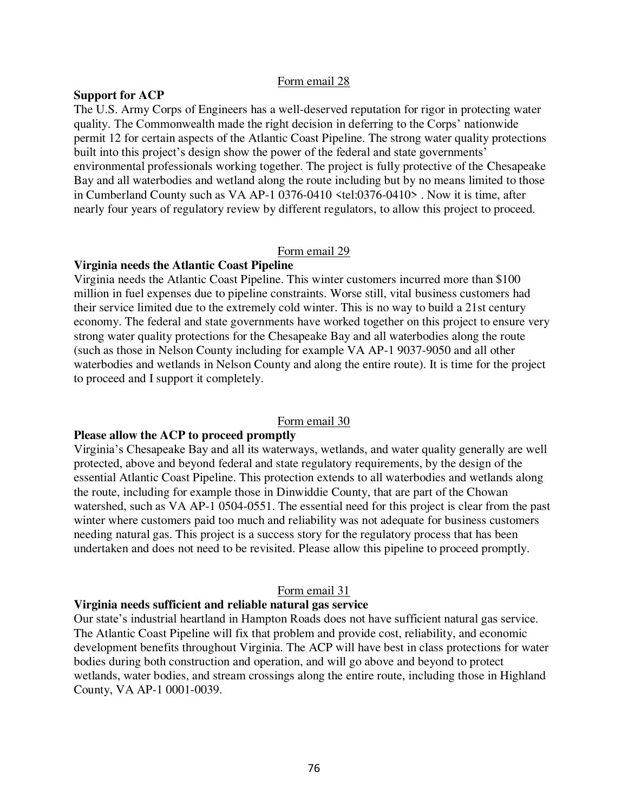#### **Support for ACP**

The U.S. Army Corps of Engineers has a well-deserved reputation for rigor in protecting water quality. The Commonwealth made the right decision in deferring to the Corps' nationwide permit 12 for certain aspects of the Atlantic Coast Pipeline. The strong water quality protections built into this project's design show the power of the federal and state governments' environmental professionals working together. The project is fully protective of the Chesapeake Bay and all waterbodies and wetland along the route including but by no means limited to those in Cumberland County such as VA AP-1 0376-0410 <tel:0376-0410> . Now it is time, after nearly four years of regulatory review by different regulators, to allow this project to proceed.

#### Form email 29

#### **Virginia needs the Atlantic Coast Pipeline**

Virginia needs the Atlantic Coast Pipeline. This winter customers incurred more than \$100 million in fuel expenses due to pipeline constraints. Worse still, vital business customers had their service limited due to the extremely cold winter. This is no way to build a 21st century economy. The federal and state governments have worked together on this project to ensure very strong water quality protections for the Chesapeake Bay and all waterbodies along the route (such as those in Nelson County including for example VA AP-1 9037-9050 and all other waterbodies and wetlands in Nelson County and along the entire route). It is time for the project to proceed and I support it completely.

### Form email 30

#### **Please allow the ACP to proceed promptly**

Virginia's Chesapeake Bay and all its waterways, wetlands, and water quality generally are well protected, above and beyond federal and state regulatory requirements, by the design of the essential Atlantic Coast Pipeline. This protection extends to all waterbodies and wetlands along the route, including for example those in Dinwiddie County, that are part of the Chowan watershed, such as VA AP-1 0504-0551. The essential need for this project is clear from the past winter where customers paid too much and reliability was not adequate for business customers needing natural gas. This project is a success story for the regulatory process that has been undertaken and does not need to be revisited. Please allow this pipeline to proceed promptly.

#### Form email 31

# **Virginia needs sufficient and reliable natural gas service**

Our state's industrial heartland in Hampton Roads does not have sufficient natural gas service. The Atlantic Coast Pipeline will fix that problem and provide cost, reliability, and economic development benefits throughout Virginia. The ACP will have best in class protections for water bodies during both construction and operation, and will go above and beyond to protect wetlands, water bodies, and stream crossings along the entire route, including those in Highland County, VA AP-1 0001-0039.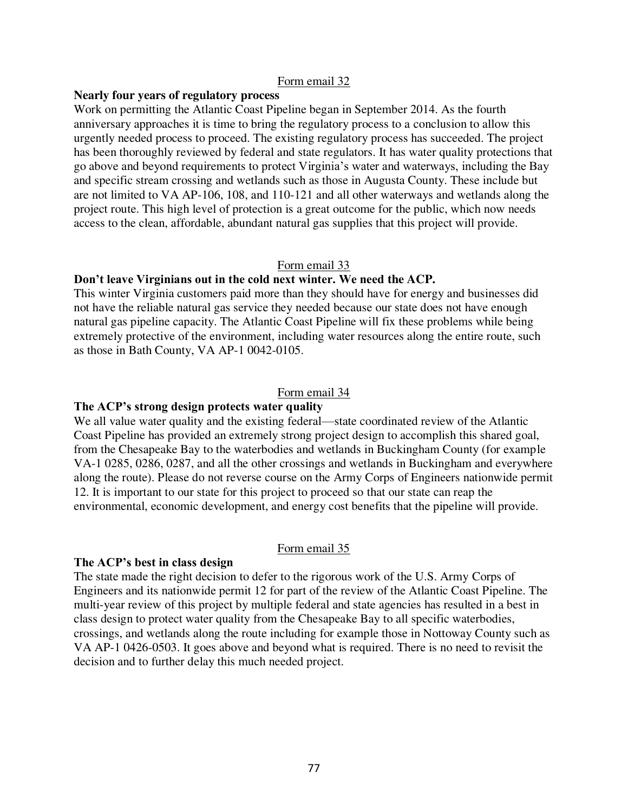## **Nearly four years of regulatory process**

Work on permitting the Atlantic Coast Pipeline began in September 2014. As the fourth anniversary approaches it is time to bring the regulatory process to a conclusion to allow this urgently needed process to proceed. The existing regulatory process has succeeded. The project has been thoroughly reviewed by federal and state regulators. It has water quality protections that go above and beyond requirements to protect Virginia's water and waterways, including the Bay and specific stream crossing and wetlands such as those in Augusta County. These include but are not limited to VA AP-106, 108, and 110-121 and all other waterways and wetlands along the project route. This high level of protection is a great outcome for the public, which now needs access to the clean, affordable, abundant natural gas supplies that this project will provide.

#### Form email 33

#### **Don't leave Virginians out in the cold next winter. We need the ACP.**

This winter Virginia customers paid more than they should have for energy and businesses did not have the reliable natural gas service they needed because our state does not have enough natural gas pipeline capacity. The Atlantic Coast Pipeline will fix these problems while being extremely protective of the environment, including water resources along the entire route, such as those in Bath County, VA AP-1 0042-0105.

#### Form email 34

#### **The ACP's strong design protects water quality**

We all value water quality and the existing federal—state coordinated review of the Atlantic Coast Pipeline has provided an extremely strong project design to accomplish this shared goal, from the Chesapeake Bay to the waterbodies and wetlands in Buckingham County (for example VA-1 0285, 0286, 0287, and all the other crossings and wetlands in Buckingham and everywhere along the route). Please do not reverse course on the Army Corps of Engineers nationwide permit 12. It is important to our state for this project to proceed so that our state can reap the environmental, economic development, and energy cost benefits that the pipeline will provide.

# Form email 35

## **The ACP's best in class design**

The state made the right decision to defer to the rigorous work of the U.S. Army Corps of Engineers and its nationwide permit 12 for part of the review of the Atlantic Coast Pipeline. The multi-year review of this project by multiple federal and state agencies has resulted in a best in class design to protect water quality from the Chesapeake Bay to all specific waterbodies, crossings, and wetlands along the route including for example those in Nottoway County such as VA AP-1 0426-0503. It goes above and beyond what is required. There is no need to revisit the decision and to further delay this much needed project.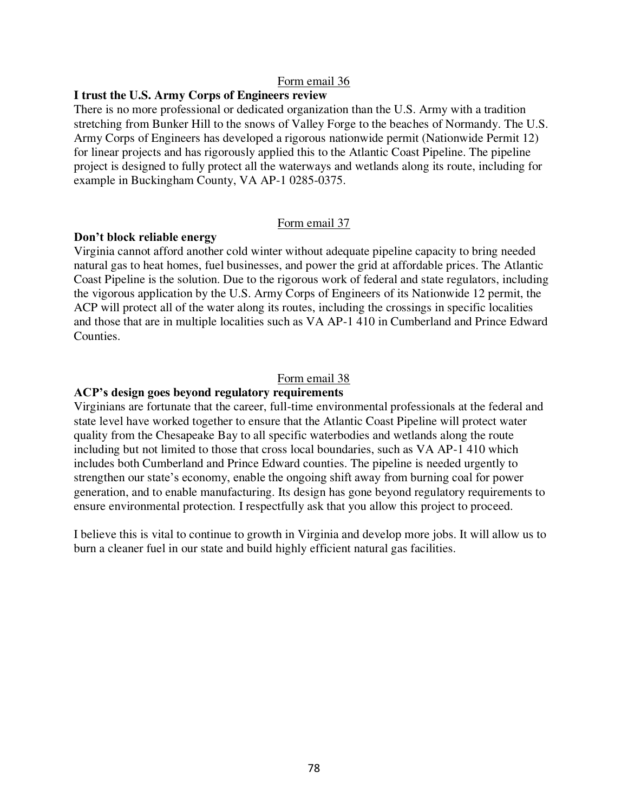## **I trust the U.S. Army Corps of Engineers review**

There is no more professional or dedicated organization than the U.S. Army with a tradition stretching from Bunker Hill to the snows of Valley Forge to the beaches of Normandy. The U.S. Army Corps of Engineers has developed a rigorous nationwide permit (Nationwide Permit 12) for linear projects and has rigorously applied this to the Atlantic Coast Pipeline. The pipeline project is designed to fully protect all the waterways and wetlands along its route, including for example in Buckingham County, VA AP-1 0285-0375.

#### Form email 37

#### **Don't block reliable energy**

Virginia cannot afford another cold winter without adequate pipeline capacity to bring needed natural gas to heat homes, fuel businesses, and power the grid at affordable prices. The Atlantic Coast Pipeline is the solution. Due to the rigorous work of federal and state regulators, including the vigorous application by the U.S. Army Corps of Engineers of its Nationwide 12 permit, the ACP will protect all of the water along its routes, including the crossings in specific localities and those that are in multiple localities such as VA AP-1 410 in Cumberland and Prince Edward Counties.

## Form email 38

## **ACP's design goes beyond regulatory requirements**

Virginians are fortunate that the career, full-time environmental professionals at the federal and state level have worked together to ensure that the Atlantic Coast Pipeline will protect water quality from the Chesapeake Bay to all specific waterbodies and wetlands along the route including but not limited to those that cross local boundaries, such as VA AP-1 410 which includes both Cumberland and Prince Edward counties. The pipeline is needed urgently to strengthen our state's economy, enable the ongoing shift away from burning coal for power generation, and to enable manufacturing. Its design has gone beyond regulatory requirements to ensure environmental protection. I respectfully ask that you allow this project to proceed.

I believe this is vital to continue to growth in Virginia and develop more jobs. It will allow us to burn a cleaner fuel in our state and build highly efficient natural gas facilities.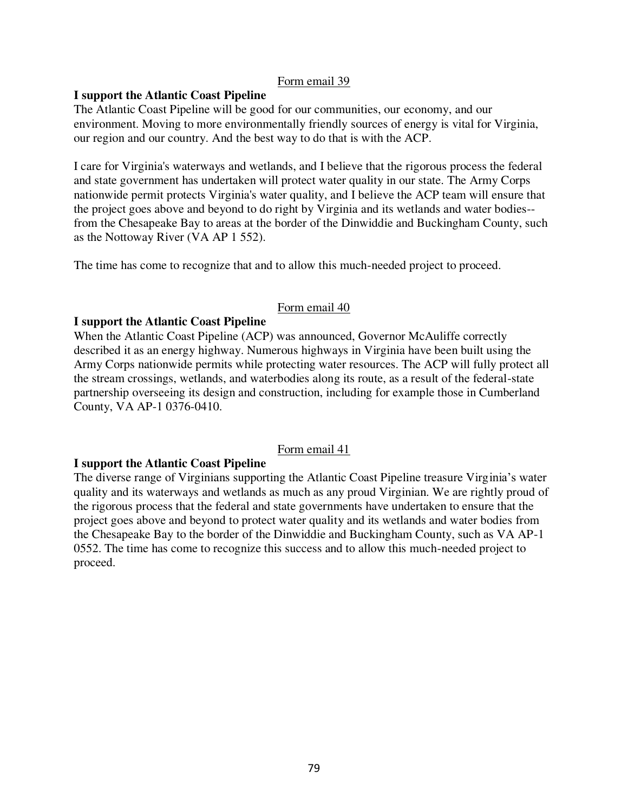# **I support the Atlantic Coast Pipeline**

The Atlantic Coast Pipeline will be good for our communities, our economy, and our environment. Moving to more environmentally friendly sources of energy is vital for Virginia, our region and our country. And the best way to do that is with the ACP.

I care for Virginia's waterways and wetlands, and I believe that the rigorous process the federal and state government has undertaken will protect water quality in our state. The Army Corps nationwide permit protects Virginia's water quality, and I believe the ACP team will ensure that the project goes above and beyond to do right by Virginia and its wetlands and water bodies- from the Chesapeake Bay to areas at the border of the Dinwiddie and Buckingham County, such as the Nottoway River (VA AP 1 552).

The time has come to recognize that and to allow this much-needed project to proceed.

# Form email 40

# **I support the Atlantic Coast Pipeline**

When the Atlantic Coast Pipeline (ACP) was announced, Governor McAuliffe correctly described it as an energy highway. Numerous highways in Virginia have been built using the Army Corps nationwide permits while protecting water resources. The ACP will fully protect all the stream crossings, wetlands, and waterbodies along its route, as a result of the federal-state partnership overseeing its design and construction, including for example those in Cumberland County, VA AP-1 0376-0410.

# Form email 41

# **I support the Atlantic Coast Pipeline**

The diverse range of Virginians supporting the Atlantic Coast Pipeline treasure Virginia's water quality and its waterways and wetlands as much as any proud Virginian. We are rightly proud of the rigorous process that the federal and state governments have undertaken to ensure that the project goes above and beyond to protect water quality and its wetlands and water bodies from the Chesapeake Bay to the border of the Dinwiddie and Buckingham County, such as VA AP-1 0552. The time has come to recognize this success and to allow this much-needed project to proceed.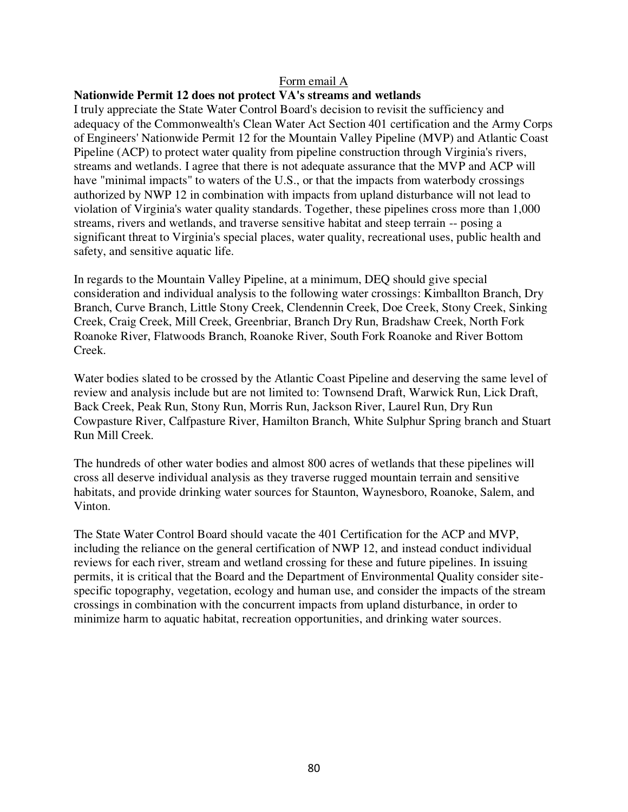## **Nationwide Permit 12 does not protect VA's streams and wetlands**

I truly appreciate the State Water Control Board's decision to revisit the sufficiency and adequacy of the Commonwealth's Clean Water Act Section 401 certification and the Army Corps of Engineers' Nationwide Permit 12 for the Mountain Valley Pipeline (MVP) and Atlantic Coast Pipeline (ACP) to protect water quality from pipeline construction through Virginia's rivers, streams and wetlands. I agree that there is not adequate assurance that the MVP and ACP will have "minimal impacts" to waters of the U.S., or that the impacts from waterbody crossings authorized by NWP 12 in combination with impacts from upland disturbance will not lead to violation of Virginia's water quality standards. Together, these pipelines cross more than 1,000 streams, rivers and wetlands, and traverse sensitive habitat and steep terrain -- posing a significant threat to Virginia's special places, water quality, recreational uses, public health and safety, and sensitive aquatic life.

In regards to the Mountain Valley Pipeline, at a minimum, DEQ should give special consideration and individual analysis to the following water crossings: Kimballton Branch, Dry Branch, Curve Branch, Little Stony Creek, Clendennin Creek, Doe Creek, Stony Creek, Sinking Creek, Craig Creek, Mill Creek, Greenbriar, Branch Dry Run, Bradshaw Creek, North Fork Roanoke River, Flatwoods Branch, Roanoke River, South Fork Roanoke and River Bottom Creek.

Water bodies slated to be crossed by the Atlantic Coast Pipeline and deserving the same level of review and analysis include but are not limited to: Townsend Draft, Warwick Run, Lick Draft, Back Creek, Peak Run, Stony Run, Morris Run, Jackson River, Laurel Run, Dry Run Cowpasture River, Calfpasture River, Hamilton Branch, White Sulphur Spring branch and Stuart Run Mill Creek.

The hundreds of other water bodies and almost 800 acres of wetlands that these pipelines will cross all deserve individual analysis as they traverse rugged mountain terrain and sensitive habitats, and provide drinking water sources for Staunton, Waynesboro, Roanoke, Salem, and Vinton.

The State Water Control Board should vacate the 401 Certification for the ACP and MVP, including the reliance on the general certification of NWP 12, and instead conduct individual reviews for each river, stream and wetland crossing for these and future pipelines. In issuing permits, it is critical that the Board and the Department of Environmental Quality consider sitespecific topography, vegetation, ecology and human use, and consider the impacts of the stream crossings in combination with the concurrent impacts from upland disturbance, in order to minimize harm to aquatic habitat, recreation opportunities, and drinking water sources.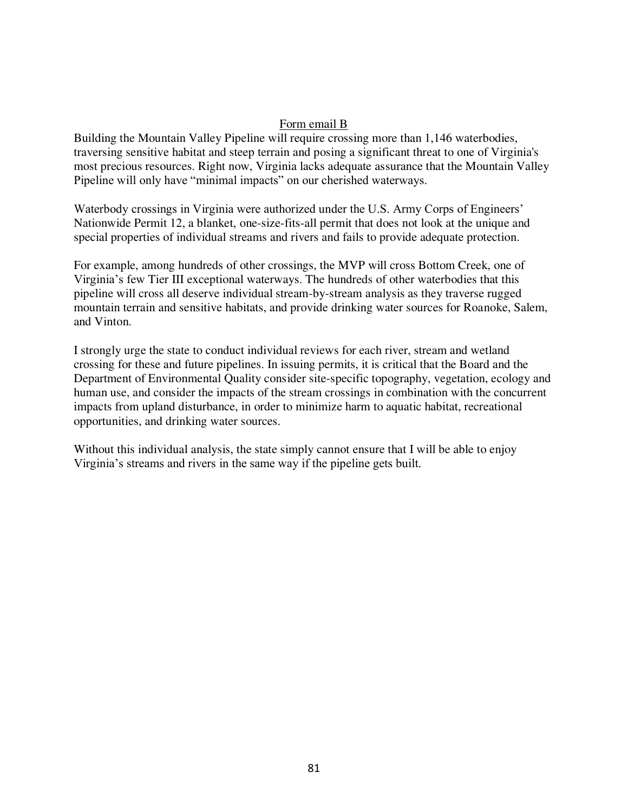Building the Mountain Valley Pipeline will require crossing more than 1,146 waterbodies, traversing sensitive habitat and steep terrain and posing a significant threat to one of Virginia's most precious resources. Right now, Virginia lacks adequate assurance that the Mountain Valley Pipeline will only have "minimal impacts" on our cherished waterways.

Waterbody crossings in Virginia were authorized under the U.S. Army Corps of Engineers' Nationwide Permit 12, a blanket, one-size-fits-all permit that does not look at the unique and special properties of individual streams and rivers and fails to provide adequate protection.

For example, among hundreds of other crossings, the MVP will cross Bottom Creek, one of Virginia's few Tier III exceptional waterways. The hundreds of other waterbodies that this pipeline will cross all deserve individual stream-by-stream analysis as they traverse rugged mountain terrain and sensitive habitats, and provide drinking water sources for Roanoke, Salem, and Vinton.

I strongly urge the state to conduct individual reviews for each river, stream and wetland crossing for these and future pipelines. In issuing permits, it is critical that the Board and the Department of Environmental Quality consider site-specific topography, vegetation, ecology and human use, and consider the impacts of the stream crossings in combination with the concurrent impacts from upland disturbance, in order to minimize harm to aquatic habitat, recreational opportunities, and drinking water sources.

Without this individual analysis, the state simply cannot ensure that I will be able to enjoy Virginia's streams and rivers in the same way if the pipeline gets built.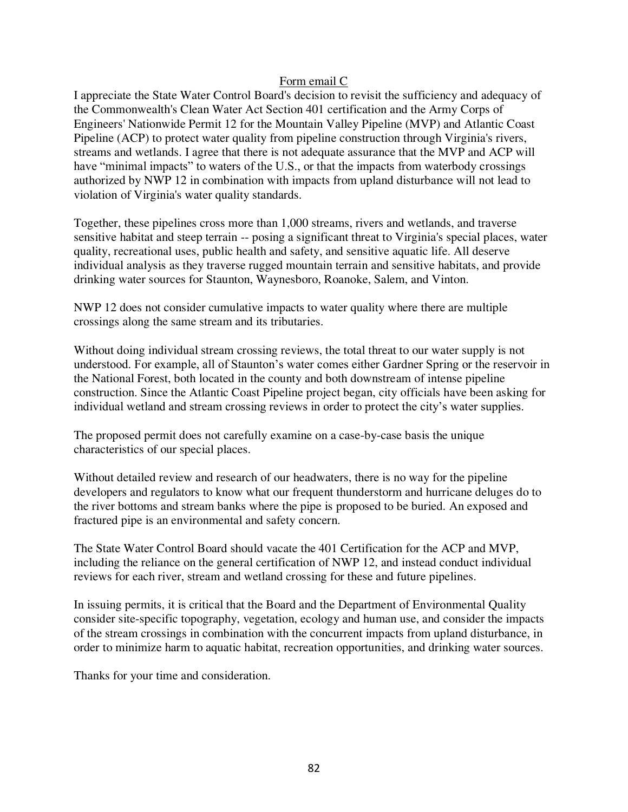I appreciate the State Water Control Board's decision to revisit the sufficiency and adequacy of the Commonwealth's Clean Water Act Section 401 certification and the Army Corps of Engineers' Nationwide Permit 12 for the Mountain Valley Pipeline (MVP) and Atlantic Coast Pipeline (ACP) to protect water quality from pipeline construction through Virginia's rivers, streams and wetlands. I agree that there is not adequate assurance that the MVP and ACP will have "minimal impacts" to waters of the U.S., or that the impacts from waterbody crossings authorized by NWP 12 in combination with impacts from upland disturbance will not lead to violation of Virginia's water quality standards.

Together, these pipelines cross more than 1,000 streams, rivers and wetlands, and traverse sensitive habitat and steep terrain -- posing a significant threat to Virginia's special places, water quality, recreational uses, public health and safety, and sensitive aquatic life. All deserve individual analysis as they traverse rugged mountain terrain and sensitive habitats, and provide drinking water sources for Staunton, Waynesboro, Roanoke, Salem, and Vinton.

NWP 12 does not consider cumulative impacts to water quality where there are multiple crossings along the same stream and its tributaries.

Without doing individual stream crossing reviews, the total threat to our water supply is not understood. For example, all of Staunton's water comes either Gardner Spring or the reservoir in the National Forest, both located in the county and both downstream of intense pipeline construction. Since the Atlantic Coast Pipeline project began, city officials have been asking for individual wetland and stream crossing reviews in order to protect the city's water supplies.

The proposed permit does not carefully examine on a case-by-case basis the unique characteristics of our special places.

Without detailed review and research of our headwaters, there is no way for the pipeline developers and regulators to know what our frequent thunderstorm and hurricane deluges do to the river bottoms and stream banks where the pipe is proposed to be buried. An exposed and fractured pipe is an environmental and safety concern.

The State Water Control Board should vacate the 401 Certification for the ACP and MVP, including the reliance on the general certification of NWP 12, and instead conduct individual reviews for each river, stream and wetland crossing for these and future pipelines.

In issuing permits, it is critical that the Board and the Department of Environmental Quality consider site-specific topography, vegetation, ecology and human use, and consider the impacts of the stream crossings in combination with the concurrent impacts from upland disturbance, in order to minimize harm to aquatic habitat, recreation opportunities, and drinking water sources.

Thanks for your time and consideration.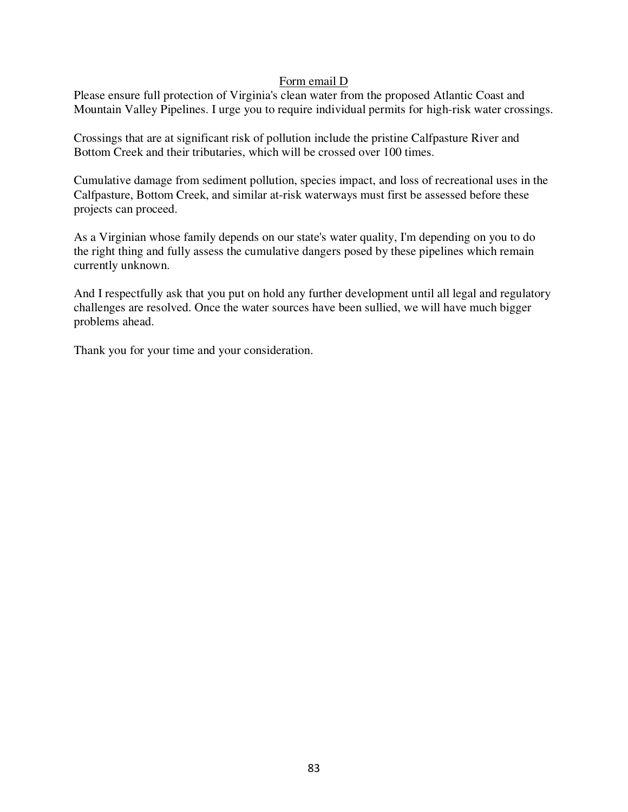Please ensure full protection of Virginia's clean water from the proposed Atlantic Coast and Mountain Valley Pipelines. I urge you to require individual permits for high-risk water crossings.

Crossings that are at significant risk of pollution include the pristine Calfpasture River and Bottom Creek and their tributaries, which will be crossed over 100 times.

Cumulative damage from sediment pollution, species impact, and loss of recreational uses in the Calfpasture, Bottom Creek, and similar at-risk waterways must first be assessed before these projects can proceed.

As a Virginian whose family depends on our state's water quality, I'm depending on you to do the right thing and fully assess the cumulative dangers posed by these pipelines which remain currently unknown.

And I respectfully ask that you put on hold any further development until all legal and regulatory challenges are resolved. Once the water sources have been sullied, we will have much bigger problems ahead.

Thank you for your time and your consideration.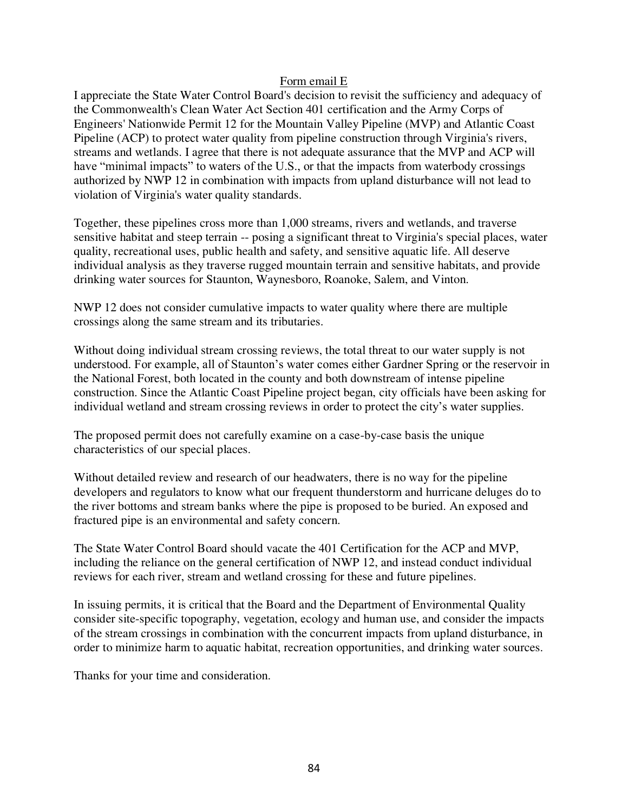I appreciate the State Water Control Board's decision to revisit the sufficiency and adequacy of the Commonwealth's Clean Water Act Section 401 certification and the Army Corps of Engineers' Nationwide Permit 12 for the Mountain Valley Pipeline (MVP) and Atlantic Coast Pipeline (ACP) to protect water quality from pipeline construction through Virginia's rivers, streams and wetlands. I agree that there is not adequate assurance that the MVP and ACP will have "minimal impacts" to waters of the U.S., or that the impacts from waterbody crossings authorized by NWP 12 in combination with impacts from upland disturbance will not lead to violation of Virginia's water quality standards.

Together, these pipelines cross more than 1,000 streams, rivers and wetlands, and traverse sensitive habitat and steep terrain -- posing a significant threat to Virginia's special places, water quality, recreational uses, public health and safety, and sensitive aquatic life. All deserve individual analysis as they traverse rugged mountain terrain and sensitive habitats, and provide drinking water sources for Staunton, Waynesboro, Roanoke, Salem, and Vinton.

NWP 12 does not consider cumulative impacts to water quality where there are multiple crossings along the same stream and its tributaries.

Without doing individual stream crossing reviews, the total threat to our water supply is not understood. For example, all of Staunton's water comes either Gardner Spring or the reservoir in the National Forest, both located in the county and both downstream of intense pipeline construction. Since the Atlantic Coast Pipeline project began, city officials have been asking for individual wetland and stream crossing reviews in order to protect the city's water supplies.

The proposed permit does not carefully examine on a case-by-case basis the unique characteristics of our special places.

Without detailed review and research of our headwaters, there is no way for the pipeline developers and regulators to know what our frequent thunderstorm and hurricane deluges do to the river bottoms and stream banks where the pipe is proposed to be buried. An exposed and fractured pipe is an environmental and safety concern.

The State Water Control Board should vacate the 401 Certification for the ACP and MVP, including the reliance on the general certification of NWP 12, and instead conduct individual reviews for each river, stream and wetland crossing for these and future pipelines.

In issuing permits, it is critical that the Board and the Department of Environmental Quality consider site-specific topography, vegetation, ecology and human use, and consider the impacts of the stream crossings in combination with the concurrent impacts from upland disturbance, in order to minimize harm to aquatic habitat, recreation opportunities, and drinking water sources.

Thanks for your time and consideration.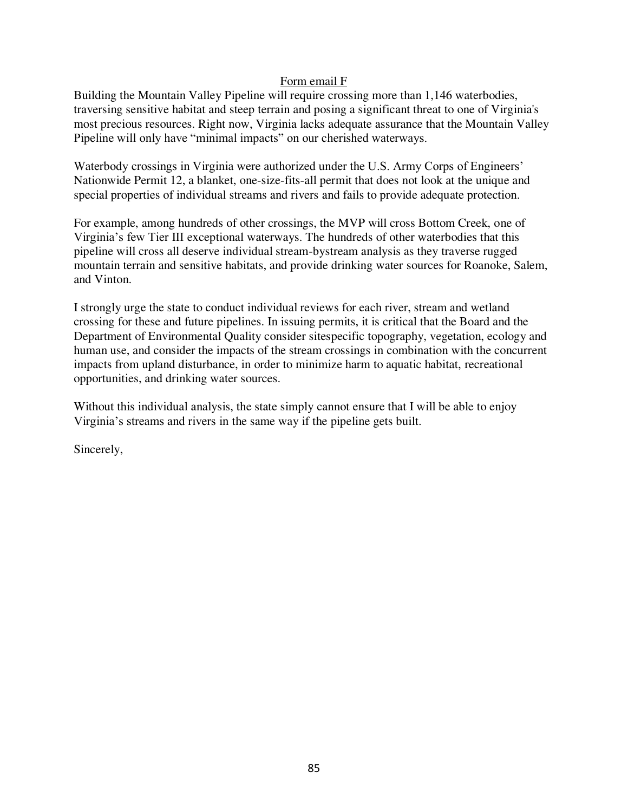Building the Mountain Valley Pipeline will require crossing more than 1,146 waterbodies, traversing sensitive habitat and steep terrain and posing a significant threat to one of Virginia's most precious resources. Right now, Virginia lacks adequate assurance that the Mountain Valley Pipeline will only have "minimal impacts" on our cherished waterways.

Waterbody crossings in Virginia were authorized under the U.S. Army Corps of Engineers' Nationwide Permit 12, a blanket, one-size-fits-all permit that does not look at the unique and special properties of individual streams and rivers and fails to provide adequate protection.

For example, among hundreds of other crossings, the MVP will cross Bottom Creek, one of Virginia's few Tier III exceptional waterways. The hundreds of other waterbodies that this pipeline will cross all deserve individual stream-bystream analysis as they traverse rugged mountain terrain and sensitive habitats, and provide drinking water sources for Roanoke, Salem, and Vinton.

I strongly urge the state to conduct individual reviews for each river, stream and wetland crossing for these and future pipelines. In issuing permits, it is critical that the Board and the Department of Environmental Quality consider sitespecific topography, vegetation, ecology and human use, and consider the impacts of the stream crossings in combination with the concurrent impacts from upland disturbance, in order to minimize harm to aquatic habitat, recreational opportunities, and drinking water sources.

Without this individual analysis, the state simply cannot ensure that I will be able to enjoy Virginia's streams and rivers in the same way if the pipeline gets built.

Sincerely,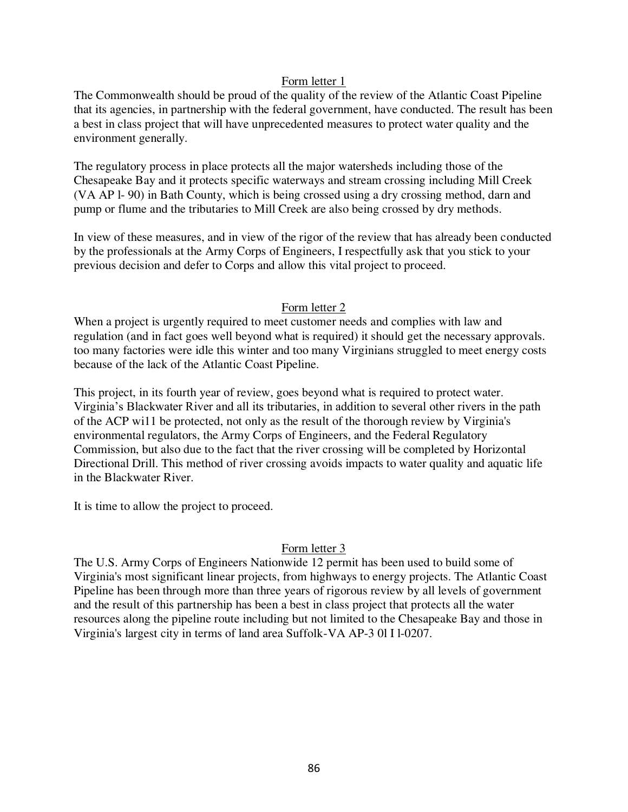The Commonwealth should be proud of the quality of the review of the Atlantic Coast Pipeline that its agencies, in partnership with the federal government, have conducted. The result has been a best in class project that will have unprecedented measures to protect water quality and the environment generally.

The regulatory process in place protects all the major watersheds including those of the Chesapeake Bay and it protects specific waterways and stream crossing including Mill Creek (VA AP l- 90) in Bath County, which is being crossed using a dry crossing method, darn and pump or flume and the tributaries to Mill Creek are also being crossed by dry methods.

In view of these measures, and in view of the rigor of the review that has already been conducted by the professionals at the Army Corps of Engineers, I respectfully ask that you stick to your previous decision and defer to Corps and allow this vital project to proceed.

# Form letter 2

When a project is urgently required to meet customer needs and complies with law and regulation (and in fact goes well beyond what is required) it should get the necessary approvals. too many factories were idle this winter and too many Virginians struggled to meet energy costs because of the lack of the Atlantic Coast Pipeline.

This project, in its fourth year of review, goes beyond what is required to protect water. Virginia's Blackwater River and all its tributaries, in addition to several other rivers in the path of the ACP wi11 be protected, not only as the result of the thorough review by Virginia's environmental regulators, the Army Corps of Engineers, and the Federal Regulatory Commission, but also due to the fact that the river crossing will be completed by Horizontal Directional Drill. This method of river crossing avoids impacts to water quality and aquatic life in the Blackwater River.

It is time to allow the project to proceed.

# Form letter 3

The U.S. Army Corps of Engineers Nationwide 12 permit has been used to build some of Virginia's most significant linear projects, from highways to energy projects. The Atlantic Coast Pipeline has been through more than three years of rigorous review by all levels of government and the result of this partnership has been a best in class project that protects all the water resources along the pipeline route including but not limited to the Chesapeake Bay and those in Virginia's largest city in terms of land area Suffolk-VA AP-3 0l I l-0207.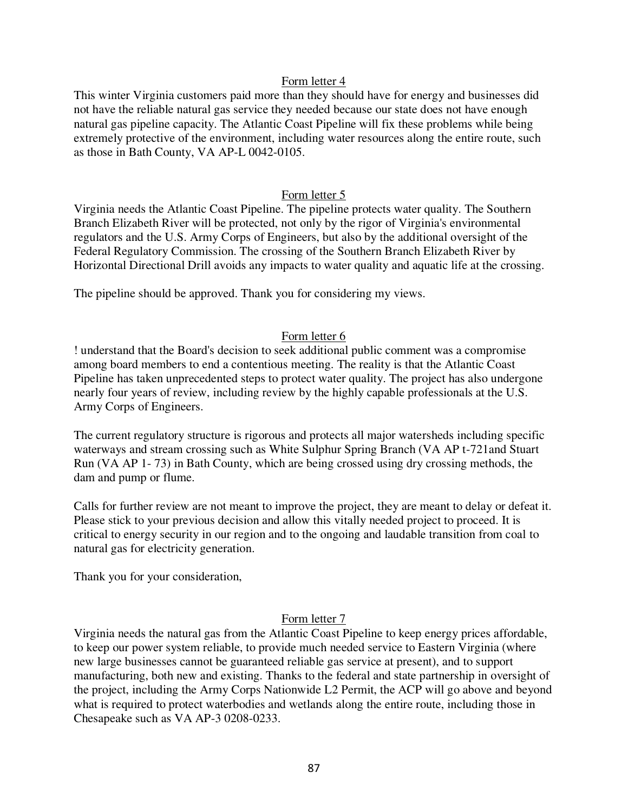This winter Virginia customers paid more than they should have for energy and businesses did not have the reliable natural gas service they needed because our state does not have enough natural gas pipeline capacity. The Atlantic Coast Pipeline will fix these problems while being extremely protective of the environment, including water resources along the entire route, such as those in Bath County, VA AP-L 0042-0105.

## Form letter 5

Virginia needs the Atlantic Coast Pipeline. The pipeline protects water quality. The Southern Branch Elizabeth River will be protected, not only by the rigor of Virginia's environmental regulators and the U.S. Army Corps of Engineers, but also by the additional oversight of the Federal Regulatory Commission. The crossing of the Southern Branch Elizabeth River by Horizontal Directional Drill avoids any impacts to water quality and aquatic life at the crossing.

The pipeline should be approved. Thank you for considering my views.

# Form letter 6

! understand that the Board's decision to seek additional public comment was a compromise among board members to end a contentious meeting. The reality is that the Atlantic Coast Pipeline has taken unprecedented steps to protect water quality. The project has also undergone nearly four years of review, including review by the highly capable professionals at the U.S. Army Corps of Engineers.

The current regulatory structure is rigorous and protects all major watersheds including specific waterways and stream crossing such as White Sulphur Spring Branch (VA AP t-721and Stuart Run (VA AP 1- 73) in Bath County, which are being crossed using dry crossing methods, the dam and pump or flume.

Calls for further review are not meant to improve the project, they are meant to delay or defeat it. Please stick to your previous decision and allow this vitally needed project to proceed. It is critical to energy security in our region and to the ongoing and laudable transition from coal to natural gas for electricity generation.

Thank you for your consideration,

#### Form letter 7

Virginia needs the natural gas from the Atlantic Coast Pipeline to keep energy prices affordable, to keep our power system reliable, to provide much needed service to Eastern Virginia (where new large businesses cannot be guaranteed reliable gas service at present), and to support manufacturing, both new and existing. Thanks to the federal and state partnership in oversight of the project, including the Army Corps Nationwide L2 Permit, the ACP will go above and beyond what is required to protect waterbodies and wetlands along the entire route, including those in Chesapeake such as VA AP-3 0208-0233.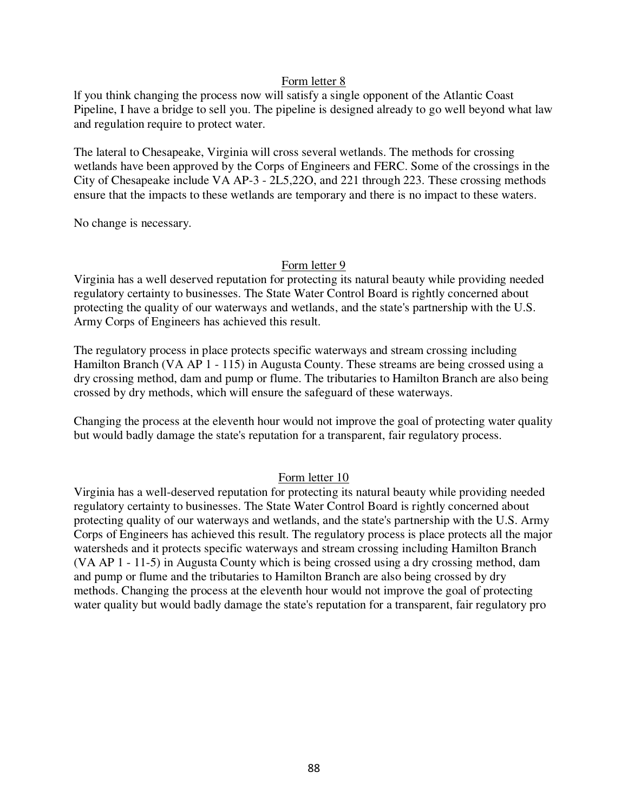lf you think changing the process now will satisfy a single opponent of the Atlantic Coast Pipeline, I have a bridge to sell you. The pipeline is designed already to go well beyond what law and regulation require to protect water.

The lateral to Chesapeake, Virginia will cross several wetlands. The methods for crossing wetlands have been approved by the Corps of Engineers and FERC. Some of the crossings in the City of Chesapeake include VA AP-3 - 2L5,22O, and 221 through 223. These crossing methods ensure that the impacts to these wetlands are temporary and there is no impact to these waters.

No change is necessary.

## Form letter 9

Virginia has a well deserved reputation for protecting its natural beauty while providing needed regulatory certainty to businesses. The State Water Control Board is rightly concerned about protecting the quality of our waterways and wetlands, and the state's partnership with the U.S. Army Corps of Engineers has achieved this result.

The regulatory process in place protects specific waterways and stream crossing including Hamilton Branch (VA AP 1 - 115) in Augusta County. These streams are being crossed using a dry crossing method, dam and pump or flume. The tributaries to Hamilton Branch are also being crossed by dry methods, which will ensure the safeguard of these waterways.

Changing the process at the eleventh hour would not improve the goal of protecting water quality but would badly damage the state's reputation for a transparent, fair regulatory process.

# Form letter 10

Virginia has a well-deserved reputation for protecting its natural beauty while providing needed regulatory certainty to businesses. The State Water Control Board is rightly concerned about protecting quality of our waterways and wetlands, and the state's partnership with the U.S. Army Corps of Engineers has achieved this result. The regulatory process is place protects all the major watersheds and it protects specific waterways and stream crossing including Hamilton Branch (VA AP 1 - 11-5) in Augusta County which is being crossed using a dry crossing method, dam and pump or flume and the tributaries to Hamilton Branch are also being crossed by dry methods. Changing the process at the eleventh hour would not improve the goal of protecting water quality but would badly damage the state's reputation for a transparent, fair regulatory pro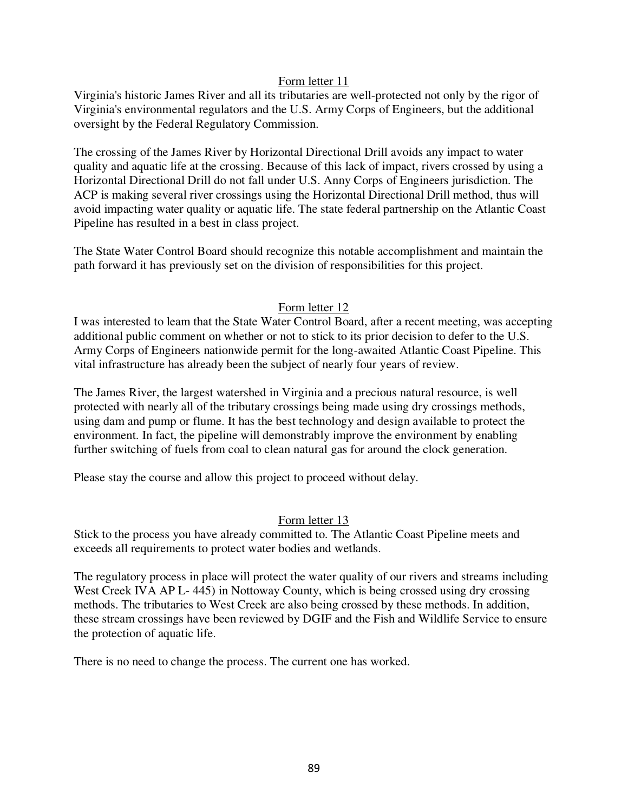Virginia's historic James River and all its tributaries are well-protected not only by the rigor of Virginia's environmental regulators and the U.S. Army Corps of Engineers, but the additional oversight by the Federal Regulatory Commission.

The crossing of the James River by Horizontal Directional Drill avoids any impact to water quality and aquatic life at the crossing. Because of this lack of impact, rivers crossed by using a Horizontal Directional Drill do not fall under U.S. Anny Corps of Engineers jurisdiction. The ACP is making several river crossings using the Horizontal Directional Drill method, thus will avoid impacting water quality or aquatic life. The state federal partnership on the Atlantic Coast Pipeline has resulted in a best in class project.

The State Water Control Board should recognize this notable accomplishment and maintain the path forward it has previously set on the division of responsibilities for this project.

# Form letter 12

I was interested to leam that the State Water Control Board, after a recent meeting, was accepting additional public comment on whether or not to stick to its prior decision to defer to the U.S. Army Corps of Engineers nationwide permit for the long-awaited Atlantic Coast Pipeline. This vital infrastructure has already been the subject of nearly four years of review.

The James River, the largest watershed in Virginia and a precious natural resource, is well protected with nearly all of the tributary crossings being made using dry crossings methods, using dam and pump or flume. It has the best technology and design available to protect the environment. In fact, the pipeline will demonstrably improve the environment by enabling further switching of fuels from coal to clean natural gas for around the clock generation.

Please stay the course and allow this project to proceed without delay.

# Form letter 13

Stick to the process you have already committed to. The Atlantic Coast Pipeline meets and exceeds all requirements to protect water bodies and wetlands.

The regulatory process in place will protect the water quality of our rivers and streams including West Creek IVA AP L- 445) in Nottoway County, which is being crossed using dry crossing methods. The tributaries to West Creek are also being crossed by these methods. In addition, these stream crossings have been reviewed by DGIF and the Fish and Wildlife Service to ensure the protection of aquatic life.

There is no need to change the process. The current one has worked.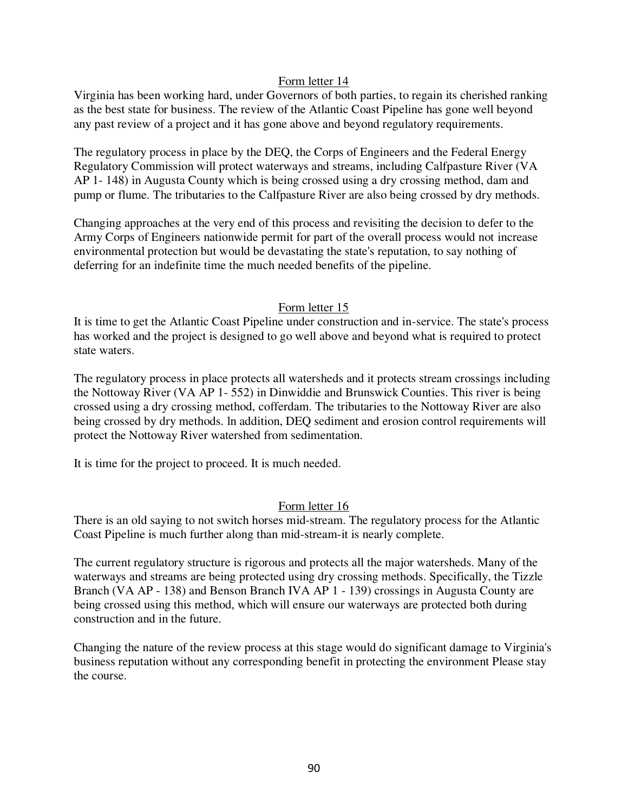Virginia has been working hard, under Governors of both parties, to regain its cherished ranking as the best state for business. The review of the Atlantic Coast Pipeline has gone well beyond any past review of a project and it has gone above and beyond regulatory requirements.

The regulatory process in place by the DEQ, the Corps of Engineers and the Federal Energy Regulatory Commission will protect waterways and streams, including Calfpasture River (VA AP 1- 148) in Augusta County which is being crossed using a dry crossing method, dam and pump or flume. The tributaries to the Calfpasture River are also being crossed by dry methods.

Changing approaches at the very end of this process and revisiting the decision to defer to the Army Corps of Engineers nationwide permit for part of the overall process would not increase environmental protection but would be devastating the state's reputation, to say nothing of deferring for an indefinite time the much needed benefits of the pipeline.

# Form letter 15

It is time to get the Atlantic Coast Pipeline under construction and in-service. The state's process has worked and the project is designed to go well above and beyond what is required to protect state waters.

The regulatory process in place protects all watersheds and it protects stream crossings including the Nottoway River (VA AP 1- 552) in Dinwiddie and Brunswick Counties. This river is being crossed using a dry crossing method, cofferdam. The tributaries to the Nottoway River are also being crossed by dry methods. ln addition, DEQ sediment and erosion control requirements will protect the Nottoway River watershed from sedimentation.

It is time for the project to proceed. It is much needed.

# Form letter 16

There is an old saying to not switch horses mid-stream. The regulatory process for the Atlantic Coast Pipeline is much further along than mid-stream-it is nearly complete.

The current regulatory structure is rigorous and protects all the major watersheds. Many of the waterways and streams are being protected using dry crossing methods. Specifically, the Tizzle Branch (VA AP - 138) and Benson Branch IVA AP 1 - 139) crossings in Augusta County are being crossed using this method, which will ensure our waterways are protected both during construction and in the future.

Changing the nature of the review process at this stage would do significant damage to Virginia's business reputation without any corresponding benefit in protecting the environment Please stay the course.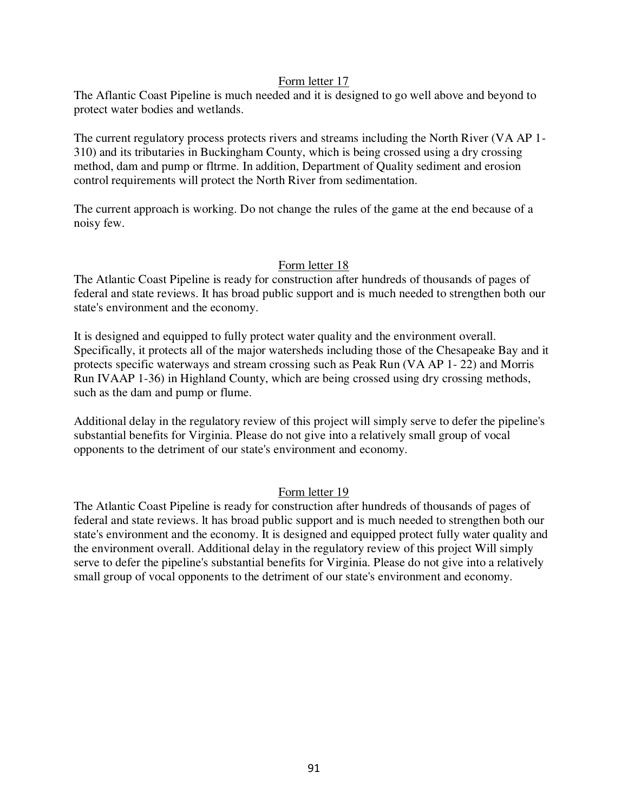The Aflantic Coast Pipeline is much needed and it is designed to go well above and beyond to protect water bodies and wetlands.

The current regulatory process protects rivers and streams including the North River (VA AP 1- 310) and its tributaries in Buckingham County, which is being crossed using a dry crossing method, dam and pump or fltrme. In addition, Department of Quality sediment and erosion control requirements will protect the North River from sedimentation.

The current approach is working. Do not change the rules of the game at the end because of a noisy few.

# Form letter 18

The Atlantic Coast Pipeline is ready for construction after hundreds of thousands of pages of federal and state reviews. It has broad public support and is much needed to strengthen both our state's environment and the economy.

It is designed and equipped to fully protect water quality and the environment overall. Specifically, it protects all of the major watersheds including those of the Chesapeake Bay and it protects specific waterways and stream crossing such as Peak Run (VA AP 1- 22) and Morris Run IVAAP 1-36) in Highland County, which are being crossed using dry crossing methods, such as the dam and pump or flume.

Additional delay in the regulatory review of this project will simply serve to defer the pipeline's substantial benefits for Virginia. Please do not give into a relatively small group of vocal opponents to the detriment of our state's environment and economy.

# Form letter 19

The Atlantic Coast Pipeline is ready for construction after hundreds of thousands of pages of federal and state reviews. lt has broad public support and is much needed to strengthen both our state's environment and the economy. It is designed and equipped protect fully water quality and the environment overall. Additional delay in the regulatory review of this project Will simply serve to defer the pipeline's substantial benefits for Virginia. Please do not give into a relatively small group of vocal opponents to the detriment of our state's environment and economy.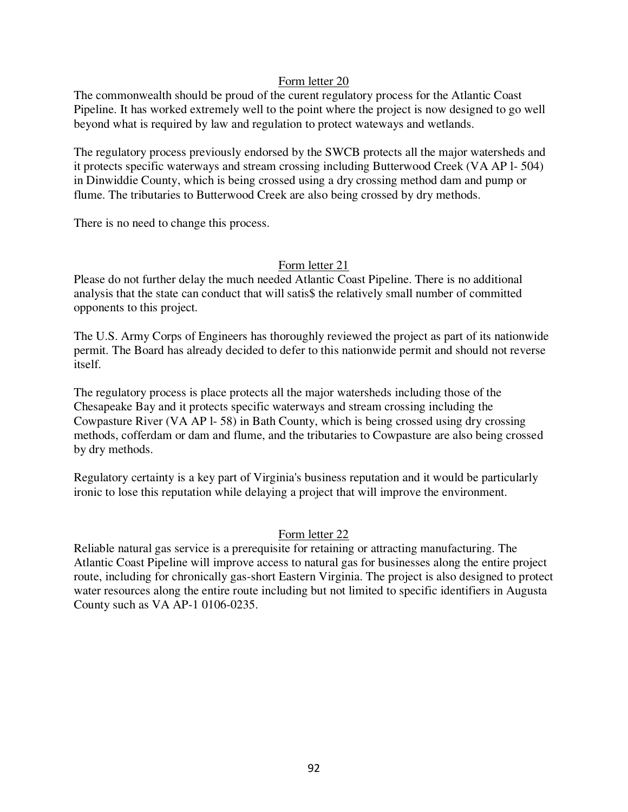The commonwealth should be proud of the curent regulatory process for the Atlantic Coast Pipeline. It has worked extremely well to the point where the project is now designed to go well beyond what is required by law and regulation to protect wateways and wetlands.

The regulatory process previously endorsed by the SWCB protects all the major watersheds and it protects specific waterways and stream crossing including Butterwood Creek (VA AP l- 504) in Dinwiddie County, which is being crossed using a dry crossing method dam and pump or flume. The tributaries to Butterwood Creek are also being crossed by dry methods.

There is no need to change this process.

# Form letter 21

Please do not further delay the much needed Atlantic Coast Pipeline. There is no additional analysis that the state can conduct that will satis\$ the relatively small number of committed opponents to this project.

The U.S. Army Corps of Engineers has thoroughly reviewed the project as part of its nationwide permit. The Board has already decided to defer to this nationwide permit and should not reverse itself.

The regulatory process is place protects all the major watersheds including those of the Chesapeake Bay and it protects specific waterways and stream crossing including the Cowpasture River (VA AP l- 58) in Bath County, which is being crossed using dry crossing methods, cofferdam or dam and flume, and the tributaries to Cowpasture are also being crossed by dry methods.

Regulatory certainty is a key part of Virginia's business reputation and it would be particularly ironic to lose this reputation while delaying a project that will improve the environment.

# Form letter 22

Reliable natural gas service is a prerequisite for retaining or attracting manufacturing. The Atlantic Coast Pipeline will improve access to natural gas for businesses along the entire project route, including for chronically gas-short Eastern Virginia. The project is also designed to protect water resources along the entire route including but not limited to specific identifiers in Augusta County such as VA AP-1 0106-0235.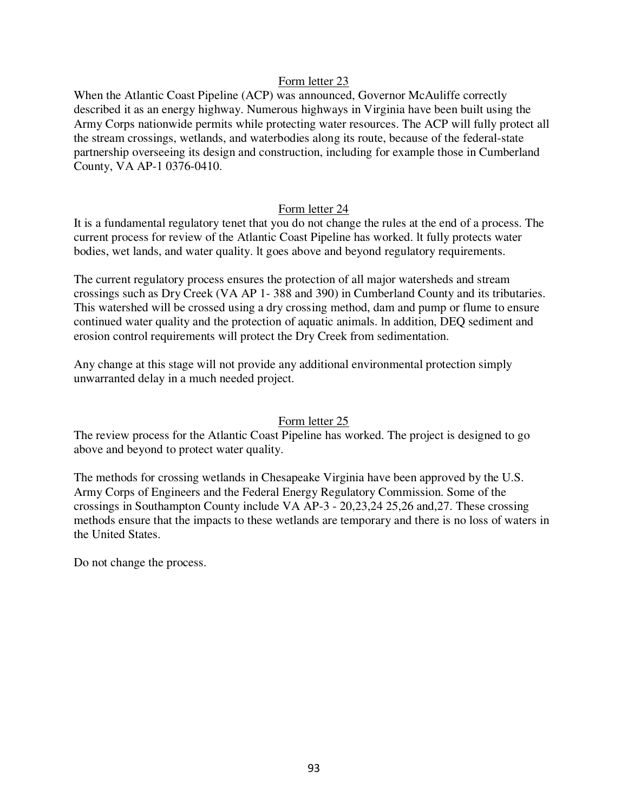When the Atlantic Coast Pipeline (ACP) was announced, Governor McAuliffe correctly described it as an energy highway. Numerous highways in Virginia have been built using the Army Corps nationwide permits while protecting water resources. The ACP will fully protect all the stream crossings, wetlands, and waterbodies along its route, because of the federal-state partnership overseeing its design and construction, including for example those in Cumberland County, VA AP-1 0376-0410.

## Form letter 24

It is a fundamental regulatory tenet that you do not change the rules at the end of a process. The current process for review of the Atlantic Coast Pipeline has worked. lt fully protects water bodies, wet lands, and water quality. lt goes above and beyond regulatory requirements.

The current regulatory process ensures the protection of all major watersheds and stream crossings such as Dry Creek (VA AP 1- 388 and 390) in Cumberland County and its tributaries. This watershed will be crossed using a dry crossing method, dam and pump or flume to ensure continued water quality and the protection of aquatic animals. ln addition, DEQ sediment and erosion control requirements will protect the Dry Creek from sedimentation.

Any change at this stage will not provide any additional environmental protection simply unwarranted delay in a much needed project.

# Form letter 25

The review process for the Atlantic Coast Pipeline has worked. The project is designed to go above and beyond to protect water quality.

The methods for crossing wetlands in Chesapeake Virginia have been approved by the U.S. Army Corps of Engineers and the Federal Energy Regulatory Commission. Some of the crossings in Southampton County include VA AP-3 - 20,23,24 25,26 and,27. These crossing methods ensure that the impacts to these wetlands are temporary and there is no loss of waters in the United States.

Do not change the process.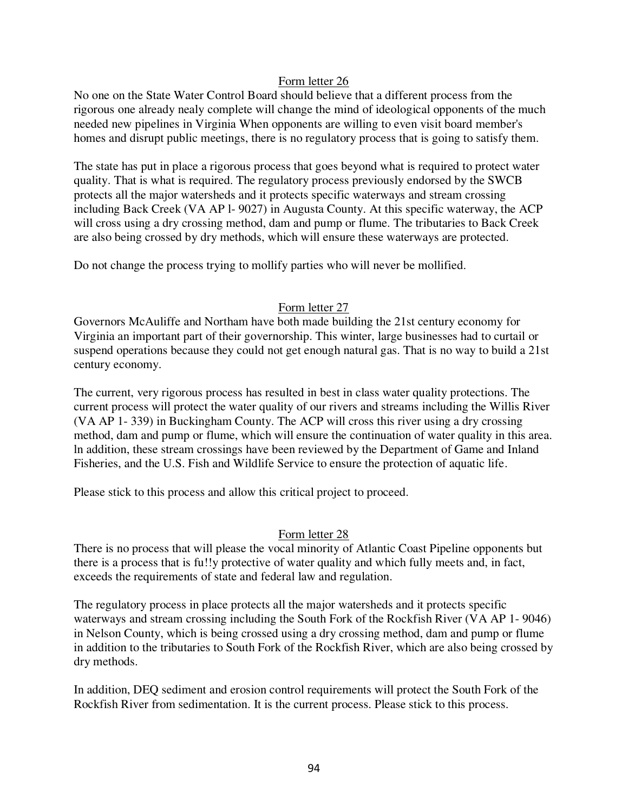No one on the State Water Control Board should believe that a different process from the rigorous one already nealy complete will change the mind of ideological opponents of the much needed new pipelines in Virginia When opponents are willing to even visit board member's homes and disrupt public meetings, there is no regulatory process that is going to satisfy them.

The state has put in place a rigorous process that goes beyond what is required to protect water quality. That is what is required. The regulatory process previously endorsed by the SWCB protects all the major watersheds and it protects specific waterways and stream crossing including Back Creek (VA AP l- 9027) in Augusta County. At this specific waterway, the ACP will cross using a dry crossing method, dam and pump or flume. The tributaries to Back Creek are also being crossed by dry methods, which will ensure these waterways are protected.

Do not change the process trying to mollify parties who will never be mollified.

# Form letter 27

Governors McAuliffe and Northam have both made building the 21st century economy for Virginia an important part of their governorship. This winter, large businesses had to curtail or suspend operations because they could not get enough natural gas. That is no way to build a 21st century economy.

The current, very rigorous process has resulted in best in class water quality protections. The current process will protect the water quality of our rivers and streams including the Willis River (VA AP 1- 339) in Buckingham County. The ACP will cross this river using a dry crossing method, dam and pump or flume, which will ensure the continuation of water quality in this area. ln addition, these stream crossings have been reviewed by the Department of Game and Inland Fisheries, and the U.S. Fish and Wildlife Service to ensure the protection of aquatic life.

Please stick to this process and allow this critical project to proceed.

# Form letter 28

There is no process that will please the vocal minority of Atlantic Coast Pipeline opponents but there is a process that is fu!!y protective of water quality and which fully meets and, in fact, exceeds the requirements of state and federal law and regulation.

The regulatory process in place protects all the major watersheds and it protects specific waterways and stream crossing including the South Fork of the Rockfish River (VA AP 1- 9046) in Nelson County, which is being crossed using a dry crossing method, dam and pump or flume in addition to the tributaries to South Fork of the Rockfish River, which are also being crossed by dry methods.

In addition, DEQ sediment and erosion control requirements will protect the South Fork of the Rockfish River from sedimentation. It is the current process. Please stick to this process.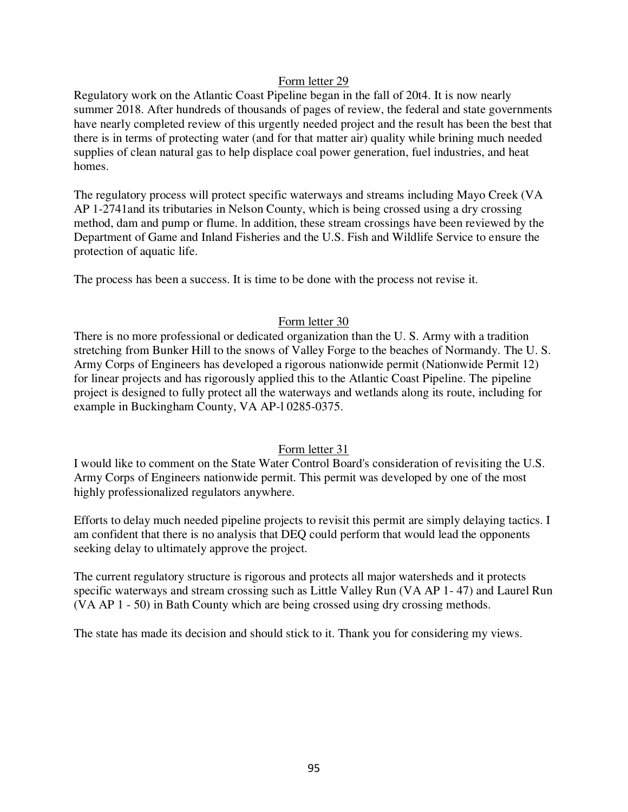Regulatory work on the Atlantic Coast Pipeline began in the fall of 20t4. It is now nearly summer 2018. After hundreds of thousands of pages of review, the federal and state governments have nearly completed review of this urgently needed project and the result has been the best that there is in terms of protecting water (and for that matter air) quality while brining much needed supplies of clean natural gas to help displace coal power generation, fuel industries, and heat homes.

The regulatory process will protect specific waterways and streams including Mayo Creek (VA AP 1-2741and its tributaries in Nelson County, which is being crossed using a dry crossing method, dam and pump or flume. ln addition, these stream crossings have been reviewed by the Department of Game and Inland Fisheries and the U.S. Fish and Wildlife Service to ensure the protection of aquatic life.

The process has been a success. It is time to be done with the process not revise it.

# Form letter 30

There is no more professional or dedicated organization than the U. S. Army with a tradition stretching from Bunker Hill to the snows of Valley Forge to the beaches of Normandy. The U. S. Army Corps of Engineers has developed a rigorous nationwide permit (Nationwide Permit 12) for linear projects and has rigorously applied this to the Atlantic Coast Pipeline. The pipeline project is designed to fully protect all the waterways and wetlands along its route, including for example in Buckingham County, VA AP-l 0285-0375.

# Form letter 31

I would like to comment on the State Water Control Board's consideration of revisiting the U.S. Army Corps of Engineers nationwide permit. This permit was developed by one of the most highly professionalized regulators anywhere.

Efforts to delay much needed pipeline projects to revisit this permit are simply delaying tactics. I am confident that there is no analysis that DEQ could perform that would lead the opponents seeking delay to ultimately approve the project.

The current regulatory structure is rigorous and protects all major watersheds and it protects specific waterways and stream crossing such as Little Valley Run (VA AP 1- 47) and Laurel Run (VA AP 1 - 50) in Bath County which are being crossed using dry crossing methods.

The state has made its decision and should stick to it. Thank you for considering my views.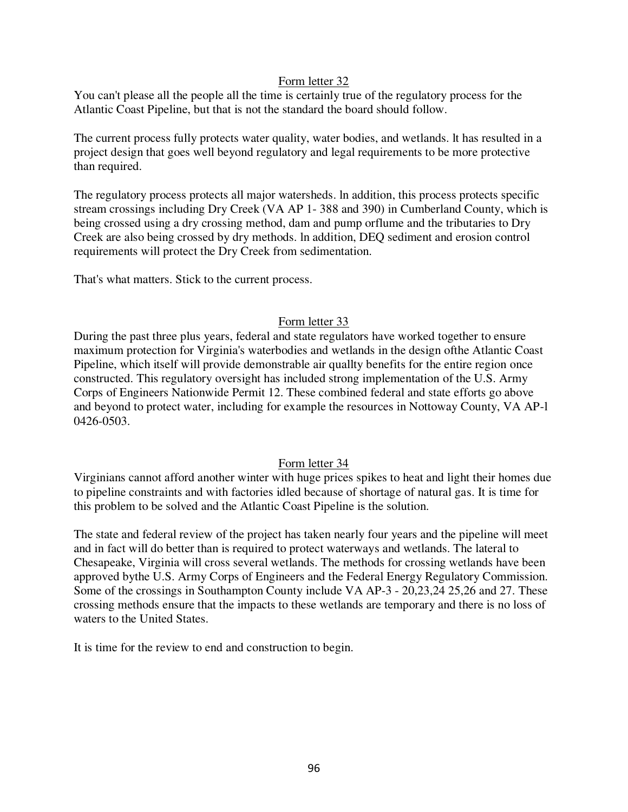You can't please all the people all the time is certainly true of the regulatory process for the Atlantic Coast Pipeline, but that is not the standard the board should follow.

The current process fully protects water quality, water bodies, and wetlands. lt has resulted in a project design that goes well beyond regulatory and legal requirements to be more protective than required.

The regulatory process protects all major watersheds. ln addition, this process protects specific stream crossings including Dry Creek (VA AP 1- 388 and 390) in Cumberland County, which is being crossed using a dry crossing method, dam and pump orflume and the tributaries to Dry Creek are also being crossed by dry methods. ln addition, DEQ sediment and erosion control requirements will protect the Dry Creek from sedimentation.

That's what matters. Stick to the current process.

# Form letter 33

During the past three plus years, federal and state regulators have worked together to ensure maximum protection for Virginia's waterbodies and wetlands in the design ofthe Atlantic Coast Pipeline, which itself will provide demonstrable air quallty benefits for the entire region once constructed. This regulatory oversight has included strong implementation of the U.S. Army Corps of Engineers Nationwide Permit 12. These combined federal and state efforts go above and beyond to protect water, including for example the resources in Nottoway County, VA AP-l 0426-0503.

# Form letter 34

Virginians cannot afford another winter with huge prices spikes to heat and light their homes due to pipeline constraints and with factories idled because of shortage of natural gas. It is time for this problem to be solved and the Atlantic Coast Pipeline is the solution.

The state and federal review of the project has taken nearly four years and the pipeline will meet and in fact will do better than is required to protect waterways and wetlands. The lateral to Chesapeake, Virginia will cross several wetlands. The methods for crossing wetlands have been approved bythe U.S. Army Corps of Engineers and the Federal Energy Regulatory Commission. Some of the crossings in Southampton County include VA AP-3 - 20,23,24 25,26 and 27. These crossing methods ensure that the impacts to these wetlands are temporary and there is no loss of waters to the United States.

It is time for the review to end and construction to begin.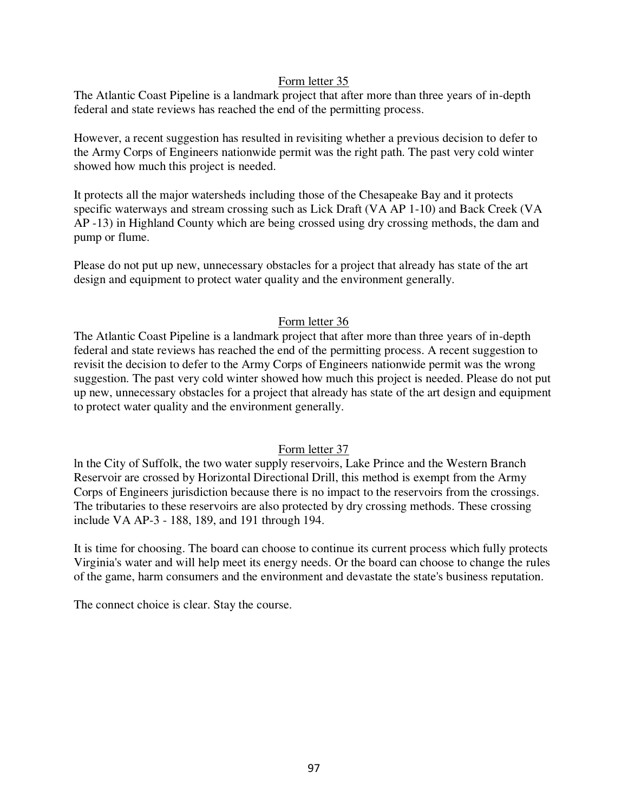The Atlantic Coast Pipeline is a landmark project that after more than three years of in-depth federal and state reviews has reached the end of the permitting process.

However, a recent suggestion has resulted in revisiting whether a previous decision to defer to the Army Corps of Engineers nationwide permit was the right path. The past very cold winter showed how much this project is needed.

It protects all the major watersheds including those of the Chesapeake Bay and it protects specific waterways and stream crossing such as Lick Draft (VA AP 1-10) and Back Creek (VA AP -13) in Highland County which are being crossed using dry crossing methods, the dam and pump or flume.

Please do not put up new, unnecessary obstacles for a project that already has state of the art design and equipment to protect water quality and the environment generally.

# Form letter 36

The Atlantic Coast Pipeline is a landmark project that after more than three years of in-depth federal and state reviews has reached the end of the permitting process. A recent suggestion to revisit the decision to defer to the Army Corps of Engineers nationwide permit was the wrong suggestion. The past very cold winter showed how much this project is needed. Please do not put up new, unnecessary obstacles for a project that already has state of the art design and equipment to protect water quality and the environment generally.

# Form letter 37

ln the City of Suffolk, the two water supply reservoirs, Lake Prince and the Western Branch Reservoir are crossed by Horizontal Directional Drill, this method is exempt from the Army Corps of Engineers jurisdiction because there is no impact to the reservoirs from the crossings. The tributaries to these reservoirs are also protected by dry crossing methods. These crossing include VA AP-3 - 188, 189, and 191 through 194.

It is time for choosing. The board can choose to continue its current process which fully protects Virginia's water and will help meet its energy needs. Or the board can choose to change the rules of the game, harm consumers and the environment and devastate the state's business reputation.

The connect choice is clear. Stay the course.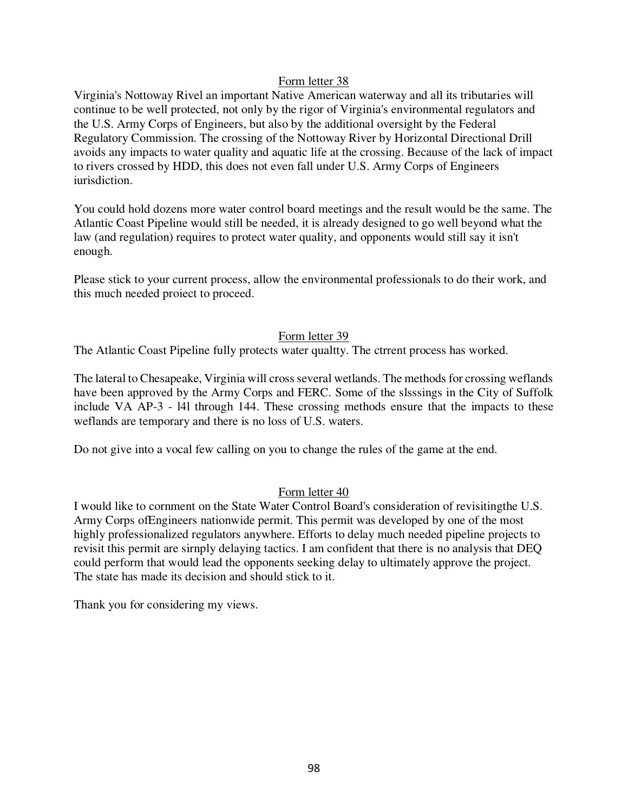Virginia's Nottoway Rivel an important Native American waterway and all its tributaries will continue to be well protected, not only by the rigor of Virginia's environmental regulators and the U.S. Army Corps of Engineers, but also by the additional oversight by the Federal Regulatory Commission. The crossing of the Nottoway River by Horizontal Directional Drill avoids any impacts to water quality and aquatic life at the crossing. Because of the lack of impact to rivers crossed by HDD, this does not even fall under U.S. Army Corps of Engineers iurisdiction.

You could hold dozens more water control board meetings and the result would be the same. The Atlantic Coast Pipeline would still be needed, it is already designed to go well beyond what the law (and regulation) requires to protect water quality, and opponents would still say it isn't enough.

Please stick to your current process, allow the environmental professionals to do their work, and this much needed proiect to proceed.

# Form letter 39

The Atlantic Coast Pipeline fully protects water qualtty. The ctrrent process has worked.

The lateral to Chesapeake, Virginia will cross several wetlands. The methods for crossing weflands have been approved by the Army Corps and FERC. Some of the slsssings in the City of Suffolk include VA AP-3 - l4l through 144. These crossing methods ensure that the impacts to these weflands are temporary and there is no loss of U.S. waters.

Do not give into a vocal few calling on you to change the rules of the game at the end.

# Form letter 40

I would like to cornment on the State Water Control Board's consideration of revisitingthe U.S. Army Corps ofEngineers nationwide permit. This permit was developed by one of the most highly professionalized regulators anywhere. Efforts to delay much needed pipeline projects to revisit this permit are sirnply delaying tactics. I am confident that there is no analysis that DEQ could perform that would lead the opponents seeking delay to ultimately approve the project. The state has made its decision and should stick to it.

Thank you for considering my views.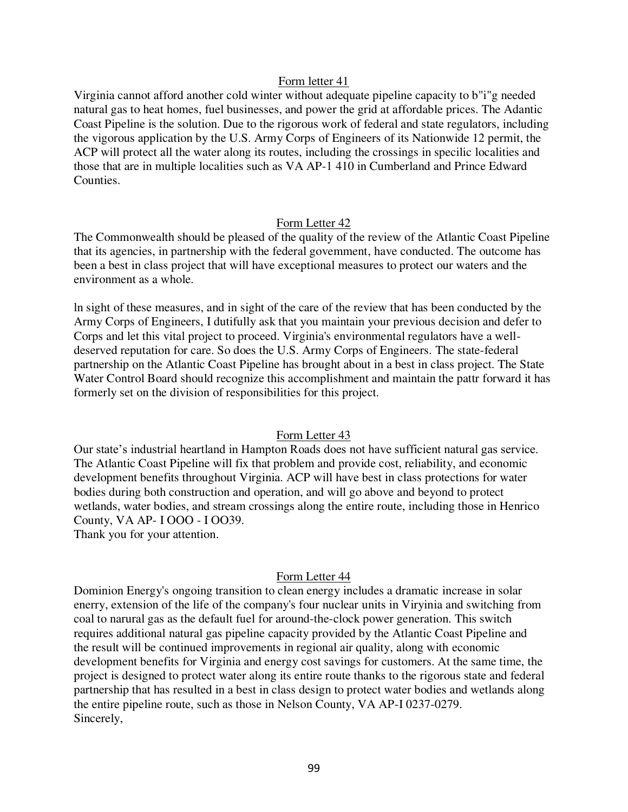Virginia cannot afford another cold winter without adequate pipeline capacity to b"i"g needed natural gas to heat homes, fuel businesses, and power the grid at affordable prices. The Adantic Coast Pipeline is the solution. Due to the rigorous work of federal and state regulators, including the vigorous application by the U.S. Army Corps of Engineers of its Nationwide 12 permit, the ACP will protect all the water along its routes, including the crossings in specilic localities and those that are in multiple localities such as VA AP-1 410 in Cumberland and Prince Edward Counties.

## Form Letter 42

The Commonwealth should be pleased of the quality of the review of the Atlantic Coast Pipeline that its agencies, in partnership with the federal govemment, have conducted. The outcome has been a best in class project that will have exceptional measures to protect our waters and the environment as a whole.

ln sight of these measures, and in sight of the care of the review that has been conducted by the Army Corps of Engineers, I dutifully ask that you maintain your previous decision and defer to Corps and let this vital project to proceed. Virginia's environmental regulators have a welldeserved reputation for care. So does the U.S. Army Corps of Engineers. The state-federal partnership on the Atlantic Coast Pipeline has brought about in a best in class project. The State Water Control Board should recognize this accomplishment and maintain the pattr forward it has formerly set on the division of responsibilities for this project.

#### Form Letter 43

Our state's industrial heartland in Hampton Roads does not have sufficient natural gas service. The Atlantic Coast Pipeline will fix that problem and provide cost, reliability, and economic development benefits throughout Virginia. ACP will have best in class protections for water bodies during both construction and operation, and will go above and beyond to protect wetlands, water bodies, and stream crossings along the entire route, including those in Henrico County, VA AP- I OOO - I OO39.

Thank you for your attention.

# Form Letter 44

Dominion Energy's ongoing transition to clean energy includes a dramatic increase in solar enerry, extension of the life of the company's four nuclear units in Viryinia and switching from coal to narural gas as the default fuel for around-the-clock power generation. This switch requires additional natural gas pipeline capacity provided by the Atlantic Coast Pipeline and the result will be continued improvements in regional air quality, along with economic development benefits for Virginia and energy cost savings for customers. At the same time, the project is designed to protect water along its entire route thanks to the rigorous state and federal partnership that has resulted in a best in class design to protect water bodies and wetlands along the entire pipeline route, such as those in Nelson County, VA AP-I 0237-0279. Sincerely,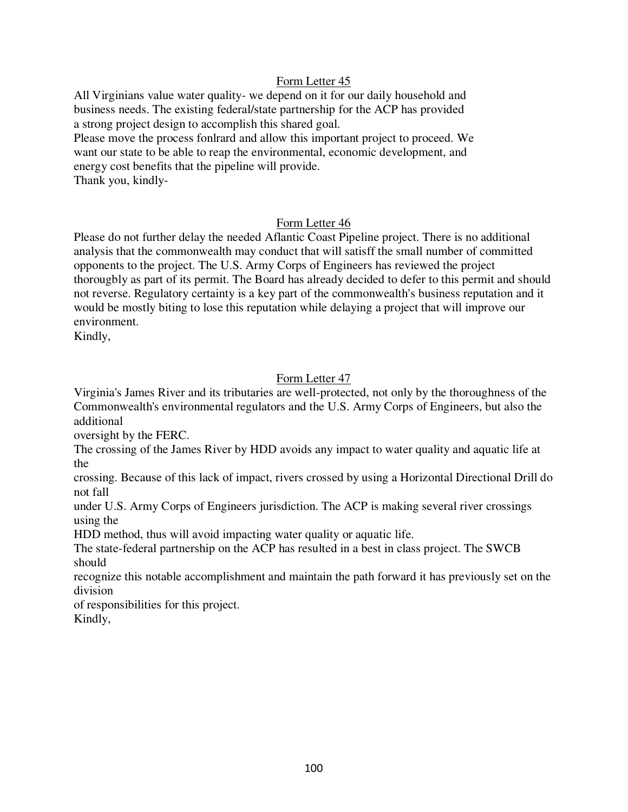All Virginians value water quality- we depend on it for our daily household and business needs. The existing federal/state partnership for the ACP has provided a strong project design to accomplish this shared goal.

Please move the process fonlrard and allow this important project to proceed. We want our state to be able to reap the environmental, economic development, and energy cost benefits that the pipeline will provide.

Thank you, kindly-

# Form Letter 46

Please do not further delay the needed Aflantic Coast Pipeline project. There is no additional analysis that the commonwealth may conduct that will satisff the small number of committed opponents to the project. The U.S. Army Corps of Engineers has reviewed the project thorougbly as part of its permit. The Board has already decided to defer to this permit and should not reverse. Regulatory certainty is a key part of the commonwealth's business reputation and it would be mostly biting to lose this reputation while delaying a project that will improve our environment.

Kindly,

# Form Letter 47

Virginia's James River and its tributaries are well-protected, not only by the thoroughness of the Commonwealth's environmental regulators and the U.S. Army Corps of Engineers, but also the additional

oversight by the FERC.

The crossing of the James River by HDD avoids any impact to water quality and aquatic life at the

crossing. Because of this lack of impact, rivers crossed by using a Horizontal Directional Drill do not fall

under U.S. Army Corps of Engineers jurisdiction. The ACP is making several river crossings using the

HDD method, thus will avoid impacting water quality or aquatic life.

The state-federal partnership on the ACP has resulted in a best in class project. The SWCB should

recognize this notable accomplishment and maintain the path forward it has previously set on the division

of responsibilities for this project.

Kindly,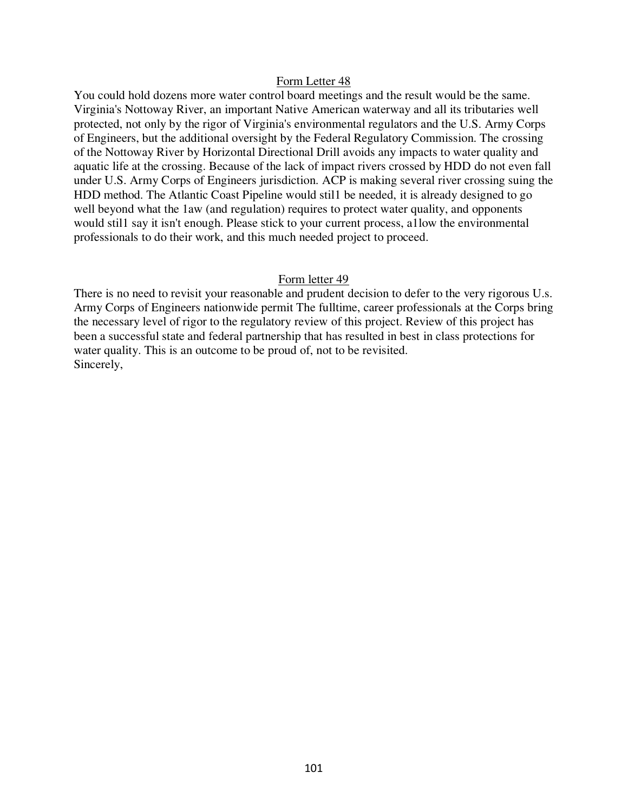You could hold dozens more water control board meetings and the result would be the same. Virginia's Nottoway River, an important Native American waterway and all its tributaries well protected, not only by the rigor of Virginia's environmental regulators and the U.S. Army Corps of Engineers, but the additional oversight by the Federal Regulatory Commission. The crossing of the Nottoway River by Horizontal Directional Drill avoids any impacts to water quality and aquatic life at the crossing. Because of the lack of impact rivers crossed by HDD do not even fall under U.S. Army Corps of Engineers jurisdiction. ACP is making several river crossing suing the HDD method. The Atlantic Coast Pipeline would stil1 be needed, it is already designed to go well beyond what the 1aw (and regulation) requires to protect water quality, and opponents would stil1 say it isn't enough. Please stick to your current process, a1low the environmental professionals to do their work, and this much needed project to proceed.

#### Form letter 49

There is no need to revisit your reasonable and prudent decision to defer to the very rigorous U.s. Army Corps of Engineers nationwide permit The fulltime, career professionals at the Corps bring the necessary level of rigor to the regulatory review of this project. Review of this project has been a successful state and federal partnership that has resulted in best in class protections for water quality. This is an outcome to be proud of, not to be revisited. Sincerely,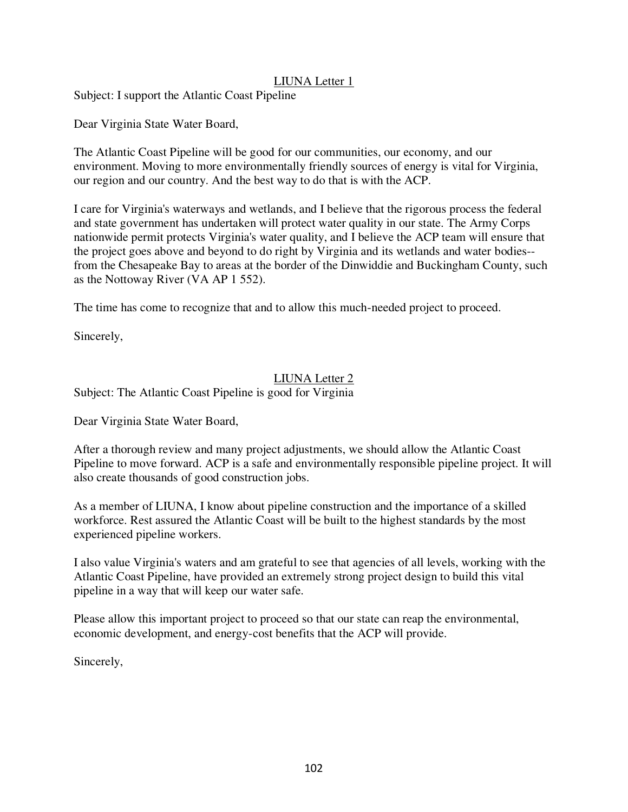# LIUNA Letter 1

Subject: I support the Atlantic Coast Pipeline

Dear Virginia State Water Board,

The Atlantic Coast Pipeline will be good for our communities, our economy, and our environment. Moving to more environmentally friendly sources of energy is vital for Virginia, our region and our country. And the best way to do that is with the ACP.

I care for Virginia's waterways and wetlands, and I believe that the rigorous process the federal and state government has undertaken will protect water quality in our state. The Army Corps nationwide permit protects Virginia's water quality, and I believe the ACP team will ensure that the project goes above and beyond to do right by Virginia and its wetlands and water bodies- from the Chesapeake Bay to areas at the border of the Dinwiddie and Buckingham County, such as the Nottoway River (VA AP 1 552).

The time has come to recognize that and to allow this much-needed project to proceed.

Sincerely,

# LIUNA Letter 2

Subject: The Atlantic Coast Pipeline is good for Virginia

Dear Virginia State Water Board,

After a thorough review and many project adjustments, we should allow the Atlantic Coast Pipeline to move forward. ACP is a safe and environmentally responsible pipeline project. It will also create thousands of good construction jobs.

As a member of LIUNA, I know about pipeline construction and the importance of a skilled workforce. Rest assured the Atlantic Coast will be built to the highest standards by the most experienced pipeline workers.

I also value Virginia's waters and am grateful to see that agencies of all levels, working with the Atlantic Coast Pipeline, have provided an extremely strong project design to build this vital pipeline in a way that will keep our water safe.

Please allow this important project to proceed so that our state can reap the environmental, economic development, and energy-cost benefits that the ACP will provide.

Sincerely,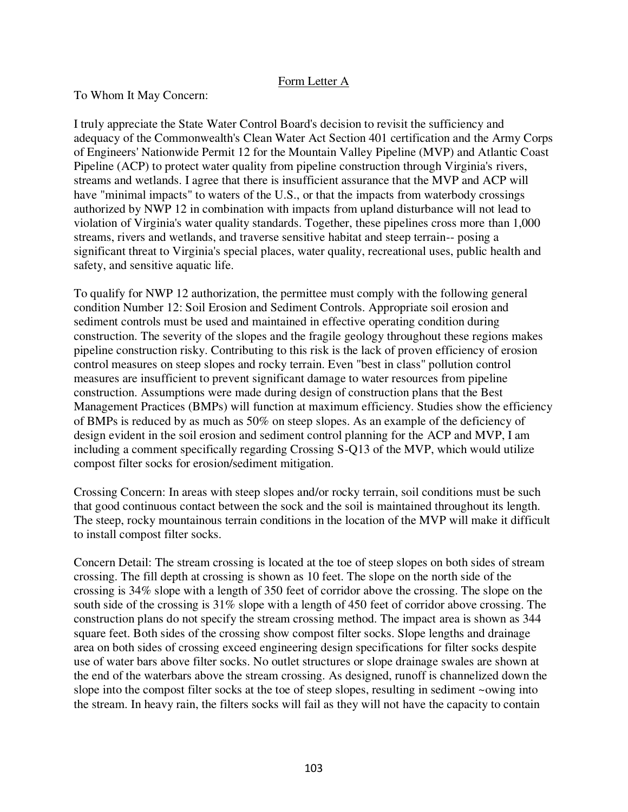# Form Letter A

## To Whom It May Concern:

I truly appreciate the State Water Control Board's decision to revisit the sufficiency and adequacy of the Commonwealth's Clean Water Act Section 401 certification and the Army Corps of Engineers' Nationwide Permit 12 for the Mountain Valley Pipeline (MVP) and Atlantic Coast Pipeline (ACP) to protect water quality from pipeline construction through Virginia's rivers, streams and wetlands. I agree that there is insufficient assurance that the MVP and ACP will have "minimal impacts" to waters of the U.S., or that the impacts from waterbody crossings authorized by NWP 12 in combination with impacts from upland disturbance will not lead to violation of Virginia's water quality standards. Together, these pipelines cross more than 1,000 streams, rivers and wetlands, and traverse sensitive habitat and steep terrain-- posing a significant threat to Virginia's special places, water quality, recreational uses, public health and safety, and sensitive aquatic life.

To qualify for NWP 12 authorization, the permittee must comply with the following general condition Number 12: Soil Erosion and Sediment Controls. Appropriate soil erosion and sediment controls must be used and maintained in effective operating condition during construction. The severity of the slopes and the fragile geology throughout these regions makes pipeline construction risky. Contributing to this risk is the lack of proven efficiency of erosion control measures on steep slopes and rocky terrain. Even "best in class" pollution control measures are insufficient to prevent significant damage to water resources from pipeline construction. Assumptions were made during design of construction plans that the Best Management Practices (BMPs) will function at maximum efficiency. Studies show the efficiency of BMPs is reduced by as much as 50% on steep slopes. As an example of the deficiency of design evident in the soil erosion and sediment control planning for the ACP and MVP, I am including a comment specifically regarding Crossing S-Q13 of the MVP, which would utilize compost filter socks for erosion/sediment mitigation.

Crossing Concern: In areas with steep slopes and/or rocky terrain, soil conditions must be such that good continuous contact between the sock and the soil is maintained throughout its length. The steep, rocky mountainous terrain conditions in the location of the MVP will make it difficult to install compost filter socks.

Concern Detail: The stream crossing is located at the toe of steep slopes on both sides of stream crossing. The fill depth at crossing is shown as 10 feet. The slope on the north side of the crossing is 34% slope with a length of 350 feet of corridor above the crossing. The slope on the south side of the crossing is 31% slope with a length of 450 feet of corridor above crossing. The construction plans do not specify the stream crossing method. The impact area is shown as 344 square feet. Both sides of the crossing show compost filter socks. Slope lengths and drainage area on both sides of crossing exceed engineering design specifications for filter socks despite use of water bars above filter socks. No outlet structures or slope drainage swales are shown at the end of the waterbars above the stream crossing. As designed, runoff is channelized down the slope into the compost filter socks at the toe of steep slopes, resulting in sediment ~owing into the stream. In heavy rain, the filters socks will fail as they will not have the capacity to contain